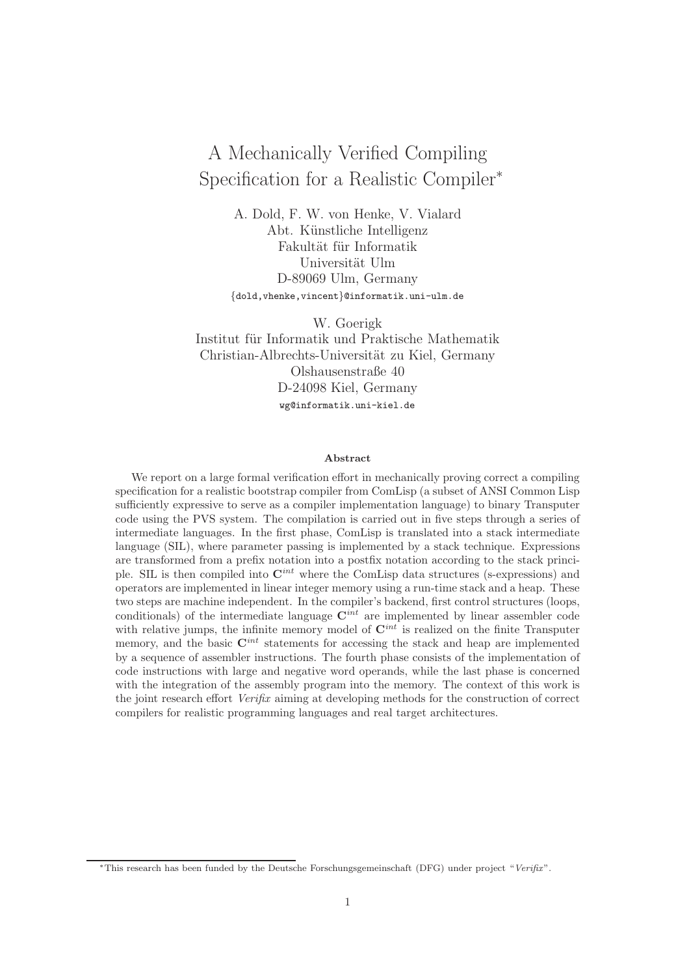# A Mechanically Verified Compiling Specification for a Realistic Compiler<sup>∗</sup>

A. Dold, F. W. von Henke, V. Vialard Abt. Künstliche Intelligenz Fakultät für Informatik Universität Ulm D-89069 Ulm, Germany *{*dold,vhenke,vincent*}*@informatik.uni-ulm.de

W. Goerigk Institut für Informatik und Praktische Mathematik Christian-Albrechts-Universität zu Kiel, Germany Olshausenstraße 40 D-24098 Kiel, Germany wg@informatik.uni-kiel.de

#### **Abstract**

We report on a large formal verification effort in mechanically proving correct a compiling specification for a realistic bootstrap compiler from ComLisp (a subset of ANSI Common Lisp sufficiently expressive to serve as a compiler implementation language) to binary Transputer code using the PVS system. The compilation is carried out in five steps through a series of intermediate languages. In the first phase, ComLisp is translated into a stack intermediate language (SIL), where parameter passing is implemented by a stack technique. Expressions are transformed from a prefix notation into a postfix notation according to the stack principle. SIL is then compiled into **C***int* where the ComLisp data structures (s-expressions) and operators are implemented in linear integer memory using a run-time stack and a heap. These two steps are machine independent. In the compiler's backend, first control structures (loops, conditionals) of the intermediate language **C***int* are implemented by linear assembler code with relative jumps, the infinite memory model of  $\mathbf{C}^{int}$  is realized on the finite Transputer memory, and the basic **C***int* statements for accessing the stack and heap are implemented by a sequence of assembler instructions. The fourth phase consists of the implementation of code instructions with large and negative word operands, while the last phase is concerned with the integration of the assembly program into the memory. The context of this work is the joint research effort *Verifix* aiming at developing methods for the construction of correct compilers for realistic programming languages and real target architectures.

<sup>∗</sup>This research has been funded by the Deutsche Forschungsgemeinschaft (DFG) under project "*Verifix*".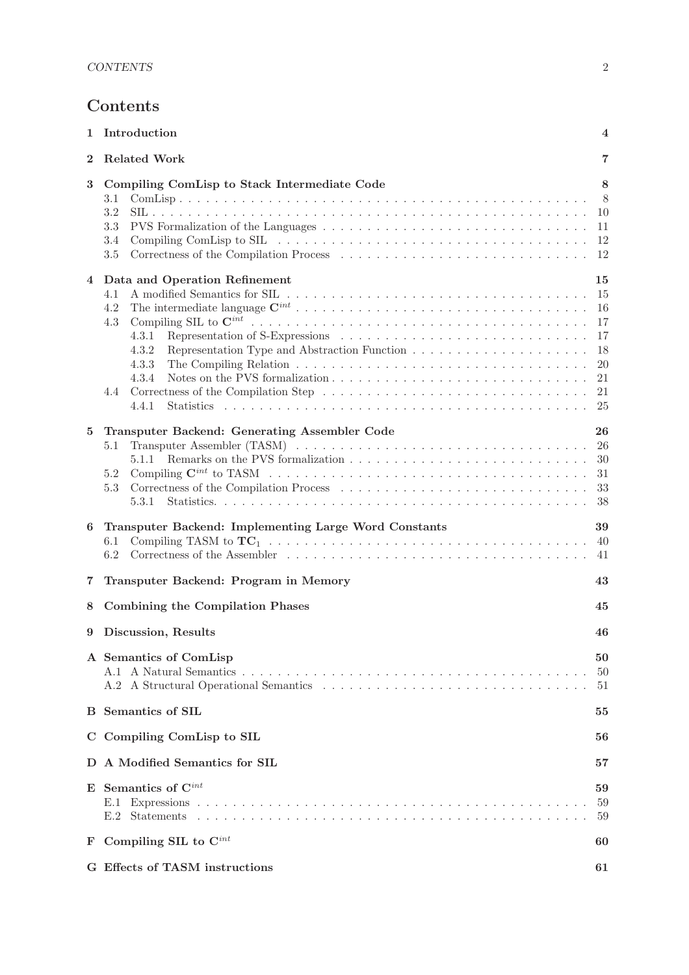## **Contents**

| 1              | Introduction<br>4                                                                                                                                                                                                      |                                                          |  |  |  |  |
|----------------|------------------------------------------------------------------------------------------------------------------------------------------------------------------------------------------------------------------------|----------------------------------------------------------|--|--|--|--|
| $\bf{2}$       | <b>Related Work</b>                                                                                                                                                                                                    | 7                                                        |  |  |  |  |
| 3              | Compiling ComLisp to Stack Intermediate Code<br>3.1<br>3.2<br>3.3<br>$3.4\,$<br>$3.5\,$                                                                                                                                | 8<br>- 8<br>10<br>11<br>12<br>12                         |  |  |  |  |
| $\overline{4}$ | Data and Operation Refinement<br>4.1<br>4.2<br>4.3<br>4.3.1<br>4.3.2<br>4.3.3<br>The Compiling Relation $\dots \dots \dots \dots \dots \dots \dots \dots \dots \dots \dots \dots \dots \dots$<br>4.3.4<br>4.4<br>4.4.1 | 15<br>15<br>16<br>17<br>17<br>18<br>20<br>21<br>21<br>25 |  |  |  |  |
| 5              | Transputer Backend: Generating Assembler Code<br>5.1<br>5.1.1<br>$5.2\,$<br>$5.3\,$<br>5.3.1                                                                                                                           | 26<br>26<br>30<br>31<br>33<br>38                         |  |  |  |  |
| 6              | Transputer Backend: Implementing Large Word Constants<br>6.1<br>6.2                                                                                                                                                    | 39<br>40<br>41                                           |  |  |  |  |
| 7              | Transputer Backend: Program in Memory                                                                                                                                                                                  | 43                                                       |  |  |  |  |
| 8              | <b>Combining the Compilation Phases</b>                                                                                                                                                                                | 45                                                       |  |  |  |  |
| 9              | Discussion, Results                                                                                                                                                                                                    | 46                                                       |  |  |  |  |
|                | A Semantics of ComLisp                                                                                                                                                                                                 | 50<br>50<br>51                                           |  |  |  |  |
|                | <b>B</b> Semantics of SIL<br>55                                                                                                                                                                                        |                                                          |  |  |  |  |
|                | C Compiling ComLisp to SIL<br>56                                                                                                                                                                                       |                                                          |  |  |  |  |
|                | D A Modified Semantics for SIL                                                                                                                                                                                         | 57                                                       |  |  |  |  |
|                | $E$ Semantics of $C^{int}$<br>E.1                                                                                                                                                                                      | 59<br>59<br>59                                           |  |  |  |  |
| F              | Compiling SIL to $C^{int}$<br>60                                                                                                                                                                                       |                                                          |  |  |  |  |
|                | G Effects of TASM instructions                                                                                                                                                                                         | 61                                                       |  |  |  |  |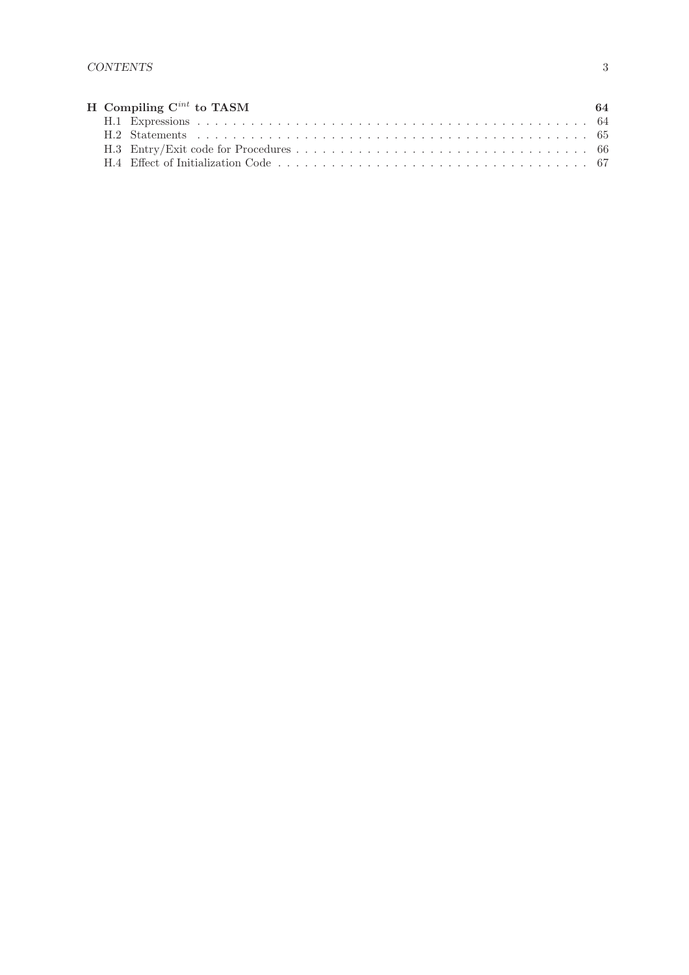|  | H Compiling $C^{int}$ to TASM | -64 |
|--|-------------------------------|-----|
|  |                               |     |
|  |                               |     |
|  |                               |     |
|  |                               |     |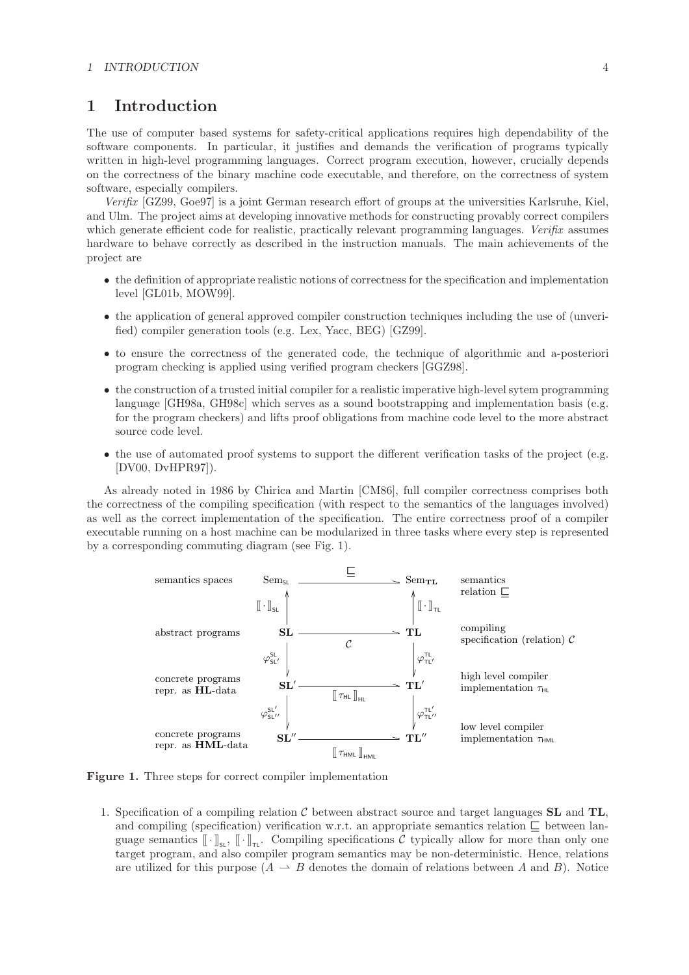## **1 Introduction**

The use of computer based systems for safety-critical applications requires high dependability of the software components. In particular, it justifies and demands the verification of programs typically written in high-level programming languages. Correct program execution, however, crucially depends on the correctness of the binary machine code executable, and therefore, on the correctness of system software, especially compilers.

*Verifix* [GZ99, Goe97] is a joint German research effort of groups at the universities Karlsruhe, Kiel, and Ulm. The project aims at developing innovative methods for constructing provably correct compilers which generate efficient code for realistic, practically relevant programming languages. *Verifix* assumes hardware to behave correctly as described in the instruction manuals. The main achievements of the project are

- the definition of appropriate realistic notions of correctness for the specification and implementation level [GL01b, MOW99].
- the application of general approved compiler construction techniques including the use of (unverified) compiler generation tools (e.g. Lex, Yacc, BEG) [GZ99].
- to ensure the correctness of the generated code, the technique of algorithmic and a-posteriori program checking is applied using verified program checkers [GGZ98].
- the construction of a trusted initial compiler for a realistic imperative high-level sytem programming language [GH98a, GH98c] which serves as a sound bootstrapping and implementation basis (e.g. for the program checkers) and lifts proof obligations from machine code level to the more abstract source code level.
- the use of automated proof systems to support the different verification tasks of the project (e.g. [DV00, DvHPR97]).

As already noted in 1986 by Chirica and Martin [CM86], full compiler correctness comprises both the correctness of the compiling specification (with respect to the semantics of the languages involved) as well as the correct implementation of the specification. The entire correctness proof of a compiler executable running on a host machine can be modularized in three tasks where every step is represented by a corresponding commuting diagram (see Fig. 1).



**Figure 1.** Three steps for correct compiler implementation

1. Specification of a compiling relation C between abstract source and target languages **SL** and **TL**, and compiling (specification) verification w.r.t. an appropriate semantics relation  $\Box$  between language semantics  $[\![\cdot]\!]_{\mathsf{s}_\mathsf{L}}, [\![\cdot]\!]_{\mathsf{T}_\mathsf{L}}$ . Compiling specifications C typically allow for more than only one target program, and also compiler program semantics may be non-deterministic. Hence, relations are utilized for this purpose  $(A \rightarrow B$  denotes the domain of relations between A and B). Notice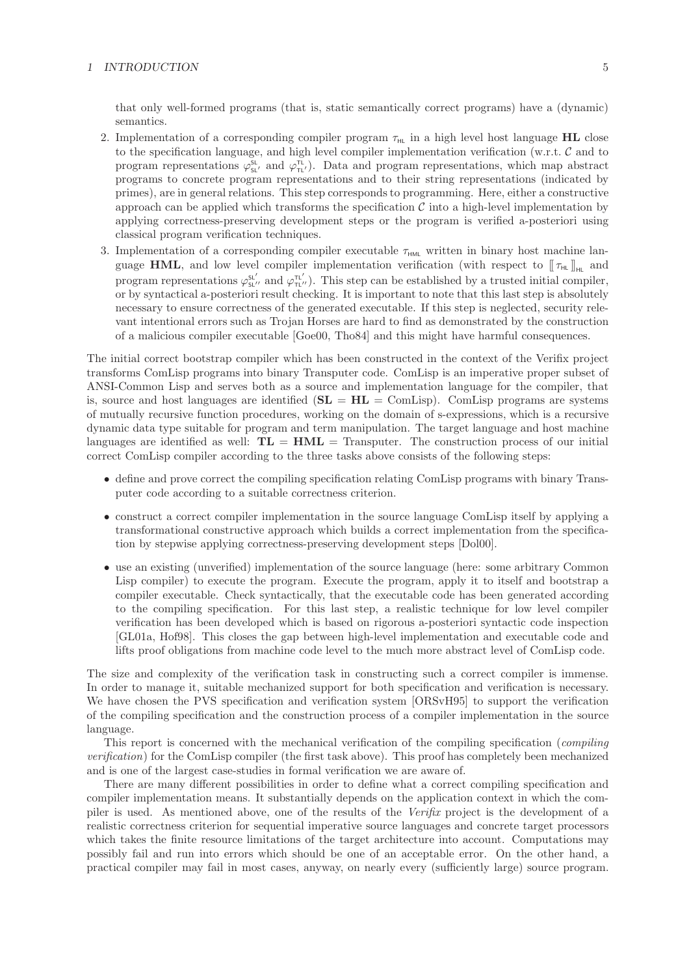#### *1 INTRODUCTION* 5

that only well-formed programs (that is, static semantically correct programs) have a (dynamic) semantics.

- 2. Implementation of a corresponding compiler program  $\tau_{HL}$  in a high level host language **HL** close to the specification language, and high level compiler implementation verification (w.r.t. C and to program representations  $\varphi_{sL'}^{sL}$  and  $\varphi_{TL'}^{TL}$ . Data and program representations, which map abstract programs to concrete program representations and to their string representations (indicated by primes), are in general relations. This step corresponds to programming. Here, either a constructive approach can be applied which transforms the specification  $\mathcal C$  into a high-level implementation by applying correctness-preserving development steps or the program is verified a-posteriori using classical program verification techniques.
- 3. Implementation of a corresponding compiler executable  $\tau_{HML}$  written in binary host machine language **HML**, and low level compiler implementation verification (with respect to  $[\![\tau_{HL}]\!]_{\text{HL}}$  and program representations  $\varphi_{\rm st}^{\rm st'}$  and  $\varphi_{\rm nt'}^{\rm nt'}$ ). This step can be established by a trusted initial compiler, or by syntactical a-posteriori result checking. It is important to note that this last step is absolutely necessary to ensure correctness of the generated executable. If this step is neglected, security relevant intentional errors such as Trojan Horses are hard to find as demonstrated by the construction of a malicious compiler executable [Goe00, Tho84] and this might have harmful consequences.

The initial correct bootstrap compiler which has been constructed in the context of the Verifix project transforms ComLisp programs into binary Transputer code. ComLisp is an imperative proper subset of ANSI-Common Lisp and serves both as a source and implementation language for the compiler, that is, source and host languages are identified (**SL** = **HL** = ComLisp). ComLisp programs are systems of mutually recursive function procedures, working on the domain of s-expressions, which is a recursive dynamic data type suitable for program and term manipulation. The target language and host machine languages are identified as well:  $TL = HML =$  Transputer. The construction process of our initial correct ComLisp compiler according to the three tasks above consists of the following steps:

- define and prove correct the compiling specification relating ComLisp programs with binary Transputer code according to a suitable correctness criterion.
- construct a correct compiler implementation in the source language ComLisp itself by applying a transformational constructive approach which builds a correct implementation from the specification by stepwise applying correctness-preserving development steps [Dol00].
- use an existing (unverified) implementation of the source language (here: some arbitrary Common Lisp compiler) to execute the program. Execute the program, apply it to itself and bootstrap a compiler executable. Check syntactically, that the executable code has been generated according to the compiling specification. For this last step, a realistic technique for low level compiler verification has been developed which is based on rigorous a-posteriori syntactic code inspection [GL01a, Hof98]. This closes the gap between high-level implementation and executable code and lifts proof obligations from machine code level to the much more abstract level of ComLisp code.

The size and complexity of the verification task in constructing such a correct compiler is immense. In order to manage it, suitable mechanized support for both specification and verification is necessary. We have chosen the PVS specification and verification system [ORSvH95] to support the verification of the compiling specification and the construction process of a compiler implementation in the source language.

This report is concerned with the mechanical verification of the compiling specification (*compiling verification*) for the ComLisp compiler (the first task above). This proof has completely been mechanized and is one of the largest case-studies in formal verification we are aware of.

There are many different possibilities in order to define what a correct compiling specification and compiler implementation means. It substantially depends on the application context in which the compiler is used. As mentioned above, one of the results of the *Verifix* project is the development of a realistic correctness criterion for sequential imperative source languages and concrete target processors which takes the finite resource limitations of the target architecture into account. Computations may possibly fail and run into errors which should be one of an acceptable error. On the other hand, a practical compiler may fail in most cases, anyway, on nearly every (sufficiently large) source program.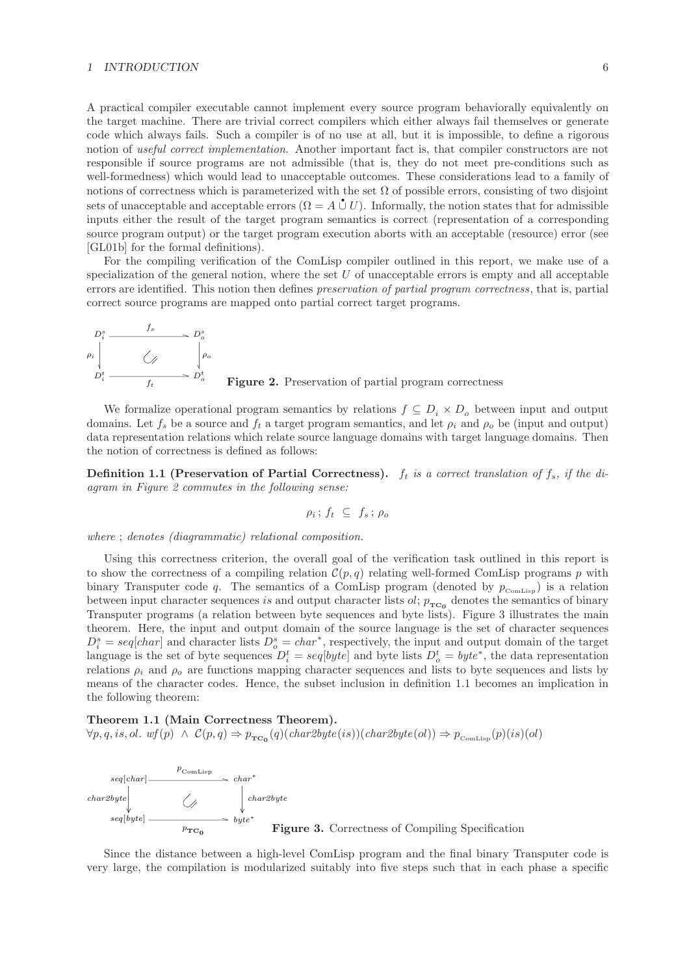#### *1 INTRODUCTION* 6

A practical compiler executable cannot implement every source program behaviorally equivalently on the target machine. There are trivial correct compilers which either always fail themselves or generate code which always fails. Such a compiler is of no use at all, but it is impossible, to define a rigorous notion of *useful correct implementation*. Another important fact is, that compiler constructors are not responsible if source programs are not admissible (that is, they do not meet pre-conditions such as well-formedness) which would lead to unacceptable outcomes. These considerations lead to a family of notions of correctness which is parameterized with the set  $\Omega$  of possible errors, consisting of two disjoint sets of unacceptable and acceptable errors  $(\Omega = A \mathring{\cup} U)$ . Informally, the notion states that for admissible inputs either the result of the target program semantics is correct (representation of a corresponding source program output) or the target program execution aborts with an acceptable (resource) error (see [GL01b] for the formal definitions).

For the compiling verification of the ComLisp compiler outlined in this report, we make use of a specialization of the general notion, where the set  $U$  of unacceptable errors is empty and all acceptable errors are identified. This notion then defines *preservation of partial program correctness*, that is, partial correct source programs are mapped onto partial correct target programs.



<sup>f</sup>*<sup>t</sup>* **Figure 2.** Preservation of partial program correctness

We formalize operational program semantics by relations  $f \subseteq D_i \times D_o$  between input and output domains. Let  $f_s$  be a source and  $f_t$  a target program semantics, and let  $\rho_i$  and  $\rho_o$  be (input and output) data representation relations which relate source language domains with target language domains. Then the notion of correctness is defined as follows:

**Definition 1.1 (Preservation of Partial Correctness).**  $f_t$  is a correct translation of  $f_s$ , if the di*agram in Figure 2 commutes in the following sense:*

$$
\rho_i\,;\,f_t\,\,\subseteq\,\,f_s\,;\,\rho_o
$$

*where* ; *denotes (diagrammatic) relational composition.*

Using this correctness criterion, the overall goal of the verification task outlined in this report is to show the correctness of a compiling relation  $\mathcal{C}(p,q)$  relating well-formed ComLisp programs p with binary Transputer code q. The semantics of a ComLisp program (denoted by  $p_{\text{ComLisp}}$ ) is a relation between input character sequences is and output character lists  $ol$ ;  $p_{TC_0}$  denotes the semantics of binary Transputer programs (a relation between byte sequences and byte lists). Figure 3 illustrates the main theorem. Here, the input and output domain of the source language is the set of character sequences  $D_i^s = seq[char]$  and character lists  $D_o^s = char^*$ , respectively, the input and output domain of the target<br>language is the set of hyte sequences  $D^t = scal[het]$  and hyte lists  $D^t = hute^*$  the data representation language is the set of byte sequences  $D_i^t = seq[byte]$  and byte lists  $D_o^t = byte^*$ , the data representation relations  $a_1$  and  $a_n$  are functions mapping character sequences and lists to byte sequences and lists by relations  $\rho_i$  and  $\rho_o$  are functions mapping character sequences and lists to byte sequences and lists by means of the character codes. Hence, the subset inclusion in definition 1.1 becomes an implication in the following theorem:

**Theorem 1.1 (Main Correctness Theorem).**  $\forall p,q,is,ol.\ \ w f(p) \ \wedge \ \mathcal{C}(p,q) \Rightarrow p_{\texttt{TC}_0}(q)(\textit{char2byte}(is))(\textit{char2byte}(ol)) \Rightarrow p_{\texttt{ComLisp}}(p)(is)(ol)$ 



Since the distance between a high-level ComLisp program and the final binary Transputer code is very large, the compilation is modularized suitably into five steps such that in each phase a specific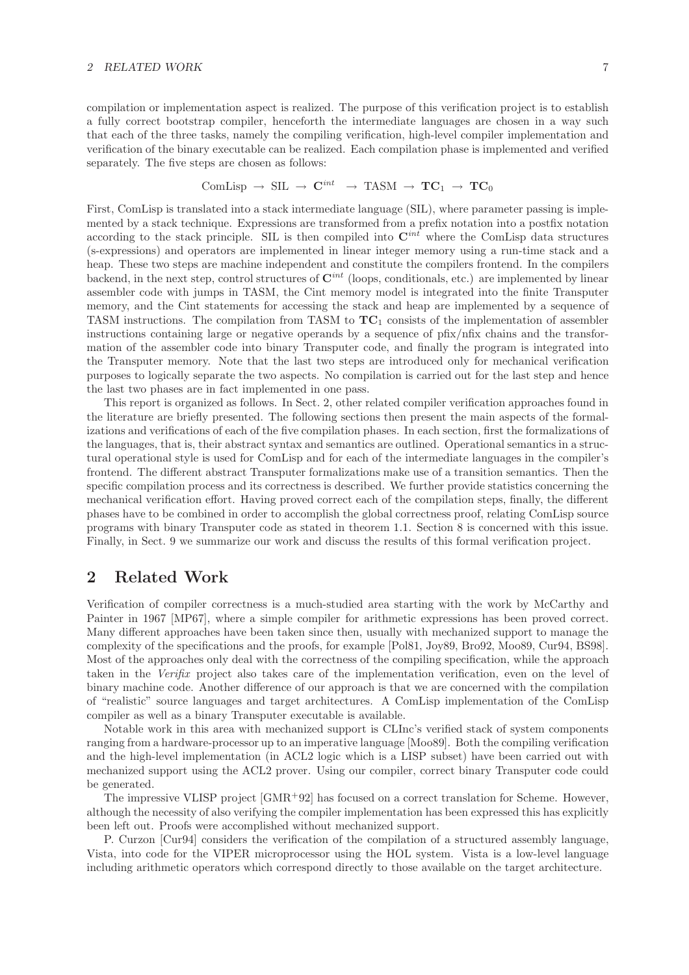#### 2 RELATED WORK <sup>7</sup>

compilation or implementation aspect is realized. The purpose of this verification project is to establish a fully correct bootstrap compiler, henceforth the intermediate languages are chosen in a way such that each of the three tasks, namely the compiling verification, high-level compiler implementation and verification of the binary executable can be realized. Each compilation phase is implemented and verified separately. The five steps are chosen as follows:

$$
\text{ComLisp} \rightarrow \text{SIL} \rightarrow \text{C}^{int} \rightarrow \text{TASM} \rightarrow \text{TC}_1 \rightarrow \text{TC}_0
$$

First, ComLisp is translated into a stack intermediate language (SIL), where parameter passing is implemented by a stack technique. Expressions are transformed from a prefix notation into a postfix notation according to the stack principle. SIL is then compiled into **C***int* where the ComLisp data structures (s-expressions) and operators are implemented in linear integer memory using a run-time stack and a heap. These two steps are machine independent and constitute the compilers frontend. In the compilers backend, in the next step, control structures of **C***int* (loops, conditionals, etc.) are implemented by linear assembler code with jumps in TASM, the Cint memory model is integrated into the finite Transputer memory, and the Cint statements for accessing the stack and heap are implemented by a sequence of TASM instructions. The compilation from TASM to **TC**<sup>1</sup> consists of the implementation of assembler instructions containing large or negative operands by a sequence of pfix/nfix chains and the transformation of the assembler code into binary Transputer code, and finally the program is integrated into the Transputer memory. Note that the last two steps are introduced only for mechanical verification purposes to logically separate the two aspects. No compilation is carried out for the last step and hence the last two phases are in fact implemented in one pass.

This report is organized as follows. In Sect. 2, other related compiler verification approaches found in the literature are briefly presented. The following sections then present the main aspects of the formalizations and verifications of each of the five compilation phases. In each section, first the formalizations of the languages, that is, their abstract syntax and semantics are outlined. Operational semantics in a structural operational style is used for ComLisp and for each of the intermediate languages in the compiler's frontend. The different abstract Transputer formalizations make use of a transition semantics. Then the specific compilation process and its correctness is described. We further provide statistics concerning the mechanical verification effort. Having proved correct each of the compilation steps, finally, the different phases have to be combined in order to accomplish the global correctness proof, relating ComLisp source programs with binary Transputer code as stated in theorem 1.1. Section 8 is concerned with this issue. Finally, in Sect. 9 we summarize our work and discuss the results of this formal verification project.

## **2 Related Work**

Verification of compiler correctness is a much-studied area starting with the work by McCarthy and Painter in 1967 [MP67], where a simple compiler for arithmetic expressions has been proved correct. Many different approaches have been taken since then, usually with mechanized support to manage the complexity of the specifications and the proofs, for example [Pol81, Joy89, Bro92, Moo89, Cur94, BS98]. Most of the approaches only deal with the correctness of the compiling specification, while the approach taken in the *Verifix* project also takes care of the implementation verification, even on the level of binary machine code. Another difference of our approach is that we are concerned with the compilation of "realistic" source languages and target architectures. A ComLisp implementation of the ComLisp compiler as well as a binary Transputer executable is available.

Notable work in this area with mechanized support is CLInc's verified stack of system components ranging from a hardware-processor up to an imperative language [Moo89]. Both the compiling verification and the high-level implementation (in ACL2 logic which is a LISP subset) have been carried out with mechanized support using the ACL2 prover. Using our compiler, correct binary Transputer code could be generated.

The impressive VLISP project [GMR<sup>+</sup>92] has focused on a correct translation for Scheme. However, although the necessity of also verifying the compiler implementation has been expressed this has explicitly been left out. Proofs were accomplished without mechanized support.

P. Curzon [Cur94] considers the verification of the compilation of a structured assembly language, Vista, into code for the VIPER microprocessor using the HOL system. Vista is a low-level language including arithmetic operators which correspond directly to those available on the target architecture.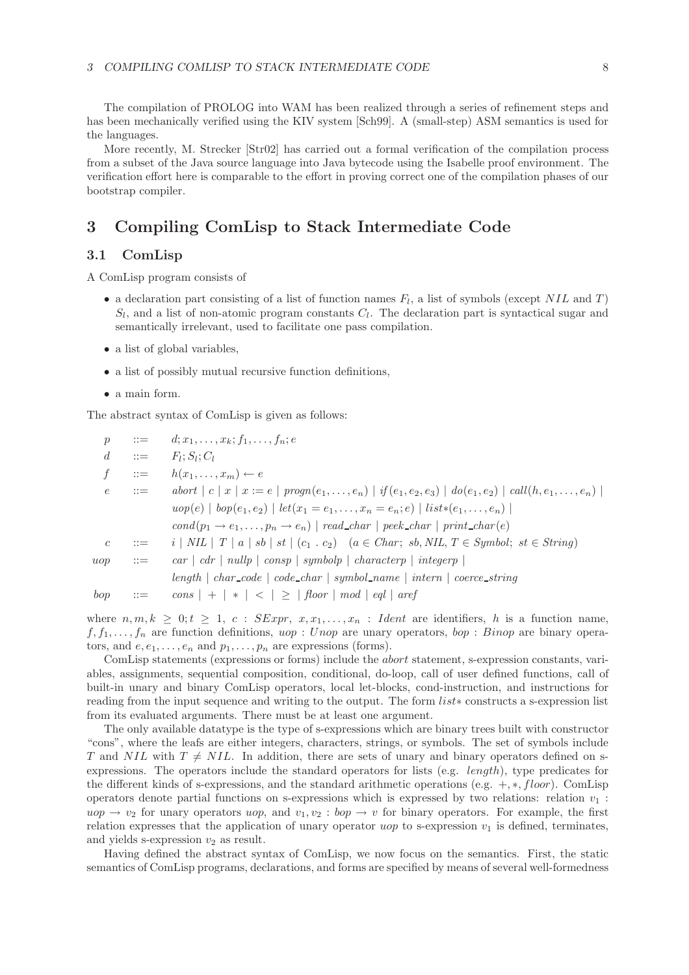The compilation of PROLOG into WAM has been realized through a series of refinement steps and has been mechanically verified using the KIV system [Sch99]. A (small-step) ASM semantics is used for the languages.

More recently, M. Strecker [Str02] has carried out a formal verification of the compilation process from a subset of the Java source language into Java bytecode using the Isabelle proof environment. The verification effort here is comparable to the effort in proving correct one of the compilation phases of our bootstrap compiler.

## **3 Compiling ComLisp to Stack Intermediate Code**

### **3.1 ComLisp**

A ComLisp program consists of

- a declaration part consisting of a list of function names  $F_l$ , a list of symbols (except NIL and T)  $S_l$ , and a list of non-atomic program constants  $C_l$ . The declaration part is syntactical sugar and semantically irrelevant, used to facilitate one pass compilation.
- a list of global variables,
- a list of possibly mutual recursive function definitions,
- a main form.

The abstract syntax of ComLisp is given as follows:

| $\mathcal{D}$  |                           | $\therefore = d; x_1, \ldots, x_k; f_1, \ldots, f_n; e$                                                                            |
|----------------|---------------------------|------------------------------------------------------------------------------------------------------------------------------------|
| $\mathfrak{a}$ | $\mathbf{H} = \mathbf{H}$ | $F_l; S_l; C_l$                                                                                                                    |
| $\mathcal{F}$  |                           | $\therefore = h(x_1, \ldots, x_m) \leftarrow e$                                                                                    |
| $\epsilon$     | $\cdots =$                | abort $ c  x   x := e   program(e_1, , e_n)   if(e_1, e_2, e_3)   do(e_1, e_2)   call(h, e_1, , e_n)$                              |
|                |                           | $u \circ p(e) \mid \text{top}(e_1, e_2) \mid \text{let}(x_1 = e_1, \ldots, x_n = e_n; e) \mid \text{list*}(e_1, \ldots, e_n) \mid$ |
|                |                           | $cond(p_1 \rightarrow e_1, \ldots, p_n \rightarrow e_n)$   read_char   peek_char   print_char(e)                                   |
| $\overline{c}$ | $\therefore =$            | $i \mid NIL \mid T \mid a \mid sb \mid st \mid (c_1 \cdot c_2) \mid (a \in Char; sb, NIL, T \in Symbol; st \in String)$            |
| uop            | $\therefore =$            | $\lceil \sqrt{c}ar \rceil \lceil \sqrt{c}ar \rceil \lceil \sqrt{c}ar \rceil \rceil$ and $\lceil \sqrt{c}ar \rceil$ integery        |
|                |                           | $length \mid char\_code \mid code\_char \mid symbol_name \mid intern \mid coerce\_string$                                          |
| bop            | $\cdots =$                | $\lfloor \cos   +   *   <   \geq   \textit{floor}   \textit{mod}   \textit{eql}   \textit{aref}$                                   |

where  $n, m, k \geq 0; t \geq 1, c$ :  $SExpr, x, x_1, \ldots, x_n$ : Ident are identifiers, h is a function name,  $f_1, f_1, \ldots, f_n$  are function definitions, uop : Unop are unary operators, bop : Binop are binary operators, and  $e, e_1, \ldots, e_n$  and  $p_1, \ldots, p_n$  are expressions (forms).

ComLisp statements (expressions or forms) include the abort statement, s-expression constants, variables, assignments, sequential composition, conditional, do-loop, call of user defined functions, call of built-in unary and binary ComLisp operators, local let-blocks, cond-instruction, and instructions for reading from the input sequence and writing to the output. The form list∗ constructs a s-expression list from its evaluated arguments. There must be at least one argument.

The only available datatype is the type of s-expressions which are binary trees built with constructor "cons", where the leafs are either integers, characters, strings, or symbols. The set of symbols include T and NIL with  $T \neq NIL$ . In addition, there are sets of unary and binary operators defined on sexpressions. The operators include the standard operators for lists (e.g.  $length$ ), type predicates for the different kinds of s-expressions, and the standard arithmetic operations (e.g.  $+, *, floor$ ). ComLisp operators denote partial functions on s-expressions which is expressed by two relations: relation  $v_1$ :  $u \circ p \to v_2$  for unary operators  $u \circ p$ , and  $v_1, v_2 : b \circ p \to v$  for binary operators. For example, the first relation expresses that the application of unary operator uop to s-expression  $v_1$  is defined, terminates, and yields s-expression  $v_2$  as result.

Having defined the abstract syntax of ComLisp, we now focus on the semantics. First, the static semantics of ComLisp programs, declarations, and forms are specified by means of several well-formedness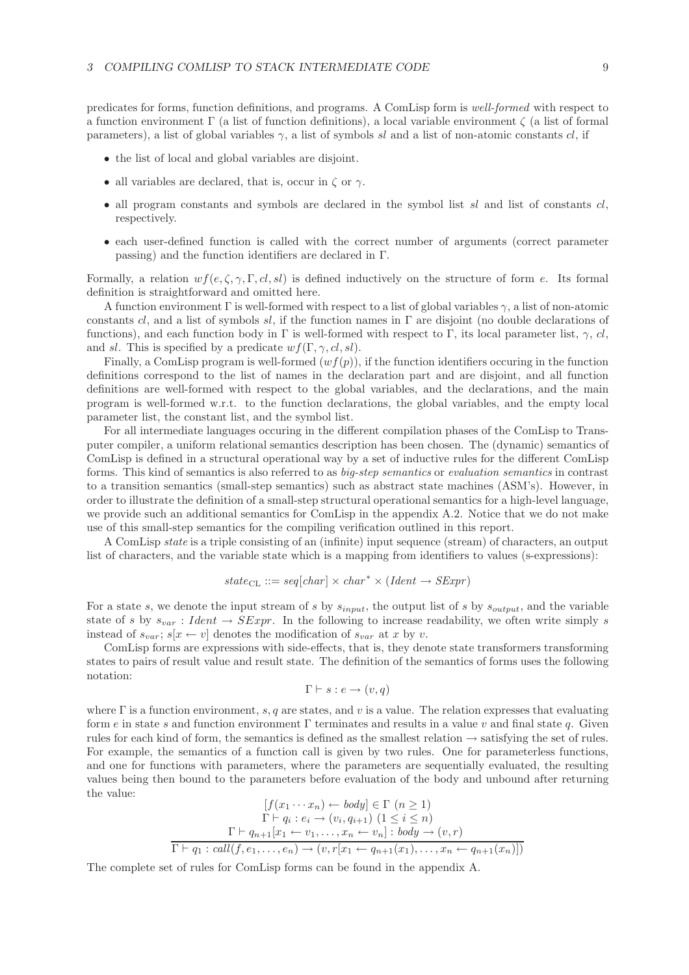predicates for forms, function definitions, and programs. A ComLisp form is *well-formed* with respect to a function environment Γ (a list of function definitions), a local variable environment ζ (a list of formal parameters), a list of global variables  $\gamma$ , a list of symbols sl and a list of non-atomic constants cl, if

- the list of local and global variables are disjoint.
- all variables are declared, that is, occur in  $\zeta$  or  $\gamma$ .
- all program constants and symbols are declared in the symbol list  $sl$  and list of constants  $cl$ , respectively.
- each user-defined function is called with the correct number of arguments (correct parameter passing) and the function identifiers are declared in Γ.

Formally, a relation  $wf(e, \zeta, \gamma, \Gamma, cl, sl)$  is defined inductively on the structure of form e. Its formal definition is straightforward and omitted here.

A function environment  $\Gamma$  is well-formed with respect to a list of global variables  $\gamma$ , a list of non-atomic constants cl, and a list of symbols sl, if the function names in  $\Gamma$  are disjoint (no double declarations of functions), and each function body in Γ is well-formed with respect to Γ, its local parameter list,  $\gamma$ , cl, and sl. This is specified by a predicate  $wf(\Gamma, \gamma, cl, sl)$ .

Finally, a ComLisp program is well-formed  $(wf(p))$ , if the function identifiers occuring in the function definitions correspond to the list of names in the declaration part and are disjoint, and all function definitions are well-formed with respect to the global variables, and the declarations, and the main program is well-formed w.r.t. to the function declarations, the global variables, and the empty local parameter list, the constant list, and the symbol list.

For all intermediate languages occuring in the different compilation phases of the ComLisp to Transputer compiler, a uniform relational semantics description has been chosen. The (dynamic) semantics of ComLisp is defined in a structural operational way by a set of inductive rules for the different ComLisp forms. This kind of semantics is also referred to as *big-step semantics* or *evaluation semantics* in contrast to a transition semantics (small-step semantics) such as abstract state machines (ASM's). However, in order to illustrate the definition of a small-step structural operational semantics for a high-level language, we provide such an additional semantics for ComLisp in the appendix A.2. Notice that we do not make use of this small-step semantics for the compiling verification outlined in this report.

A ComLisp *state* is a triple consisting of an (infinite) input sequence (stream) of characters, an output list of characters, and the variable state which is a mapping from identifiers to values (s-expressions):

$$
state_{CL} ::= seq[char] \times char^* \times (Ident \rightarrow SExpr)
$$

For a state s, we denote the input stream of s by  $s_{input}$ , the output list of s by  $s_{output}$ , and the variable state of s by  $s_{var}$ : Ident  $\rightarrow$  SExpr. In the following to increase readability, we often write simply s instead of  $s_{var}$ ;  $s[x \leftarrow v]$  denotes the modification of  $s_{var}$  at x by v.

ComLisp forms are expressions with side-effects, that is, they denote state transformers transforming states to pairs of result value and result state. The definition of the semantics of forms uses the following notation:

$$
\Gamma \vdash s : e \to (v, q)
$$

where  $\Gamma$  is a function environment, s, q are states, and v is a value. The relation expresses that evaluating form e in state s and function environment Γ terminates and results in a value v and final state q. Given rules for each kind of form, the semantics is defined as the smallest relation  $\rightarrow$  satisfying the set of rules. For example, the semantics of a function call is given by two rules. One for parameterless functions, and one for functions with parameters, where the parameters are sequentially evaluated, the resulting values being then bound to the parameters before evaluation of the body and unbound after returning the value:

$$
[f(x_1 \cdots x_n) \leftarrow body] \in \Gamma \ (n \ge 1)
$$

$$
\Gamma \vdash q_i : e_i \to (v_i, q_{i+1}) \ (1 \le i \le n)
$$

$$
\Gamma \vdash q_{n+1}[x_1 \leftarrow v_1, \dots, x_n \leftarrow v_n] : body \to (v, r)
$$

$$
\overline{\Gamma \vdash q_1 : call(f, e_1, \dots, e_n) \to (v, r[x_1 \leftarrow q_{n+1}(x_1), \dots, x_n \leftarrow q_{n+1}(x_n)])}
$$

The complete set of rules for ComLisp forms can be found in the appendix A.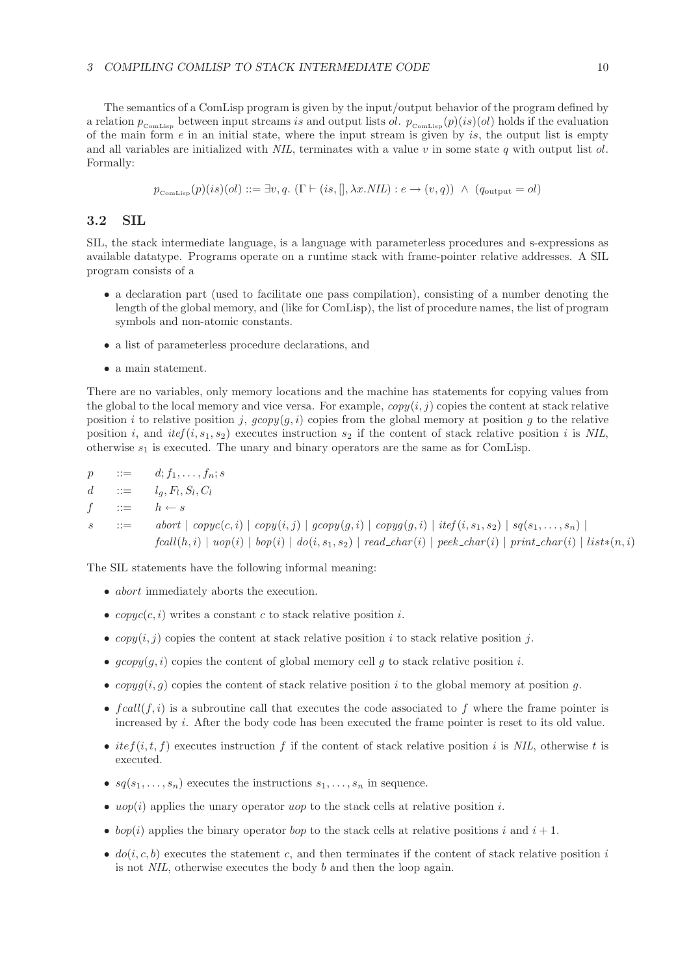The semantics of a ComLisp program is given by the input/output behavior of the program defined by a relation  $p_{\text{ComLisp}}$  between input streams is and output lists ol.  $p_{\text{ComLisp}}(p)(is)(ol)$  holds if the evaluation of the main form  $e$  in an initial state, where the input stream is given by is, the output list is empty and all variables are initialized with *NIL*, terminates with a value v in some state q with output list ol. Formally:

$$
p_{\text{ComLisp}}(p)(is)(ol) ::= \exists v, q. \ (\Gamma \vdash (is,[], \lambda x. \mathit{NIL}) : e \to (v, q)) \ \land \ (q_{\text{output}} = ol)
$$

### **3.2 SIL**

SIL, the stack intermediate language, is a language with parameterless procedures and s-expressions as available datatype. Programs operate on a runtime stack with frame-pointer relative addresses. A SIL program consists of a

- a declaration part (used to facilitate one pass compilation), consisting of a number denoting the length of the global memory, and (like for ComLisp), the list of procedure names, the list of program symbols and non-atomic constants.
- a list of parameterless procedure declarations, and
- a main statement.

There are no variables, only memory locations and the machine has statements for copying values from the global to the local memory and vice versa. For example,  $\langle cov(i, i) \rangle$  copies the content at stack relative position i to relative position j,  $\text{gcopy}(g, i)$  copies from the global memory at position g to the relative position i, and  $itef(i, s_1, s_2)$  executes instruction  $s_2$  if the content of stack relative position i is NIL, otherwise  $s_1$  is executed. The unary and binary operators are the same as for ComLisp.

 $p$  ::=  $d; f_1, ..., f_n; s$ <br>  $d$  ::=  $l_a, F_l, S_l, C_l$ d ::=  $l_g, F_l, S_l, C_l$ <br>
f ::=  $h \leftarrow s$  $h \leftarrow s$  $s$  ::= *abort*  $\vert \text{ copy}(c, i) \vert \text{ copy}(i, j) \vert \text{ group}(g, i) \vert \text{ copy}(g, i) \vert \text{ itef}(i, s_1, s_2) \vert \text{ sq}(s_1, \ldots, s_n) \vert$  $fcall(h, i) \mid uop(i) \mid bop(i) \mid do(i, s_1, s_2) \mid read\_char(i) \mid peek\_char(i) \mid print\_char(i) \mid list*(n, i)$ 

The SIL statements have the following informal meaning:

- *abort* immediately aborts the execution.
- $copyc(c, i)$  writes a constant c to stack relative position i.
- copy $(i, j)$  copies the content at stack relative position i to stack relative position j.
- $q\text{copy}(q, i)$  copies the content of global memory cell q to stack relative position i.
- copyg(i, q) copies the content of stack relative position i to the global memory at position q.
- $f \, \text{call}(f, i)$  is a subroutine call that executes the code associated to f where the frame pointer is increased by  $i$ . After the body code has been executed the frame pointer is reset to its old value.
- ite $f(i, t, f)$  executes instruction f if the content of stack relative position i is *NIL*, otherwise t is executed.
- $sq(s_1,\ldots,s_n)$  executes the instructions  $s_1,\ldots,s_n$  in sequence.
- uop(i) applies the unary operator uop to the stack cells at relative position i.
- bop(i) applies the binary operator bop to the stack cells at relative positions i and  $i + 1$ .
- $do(i, c, b)$  executes the statement c, and then terminates if the content of stack relative position i is not *NIL*, otherwise executes the body b and then the loop again.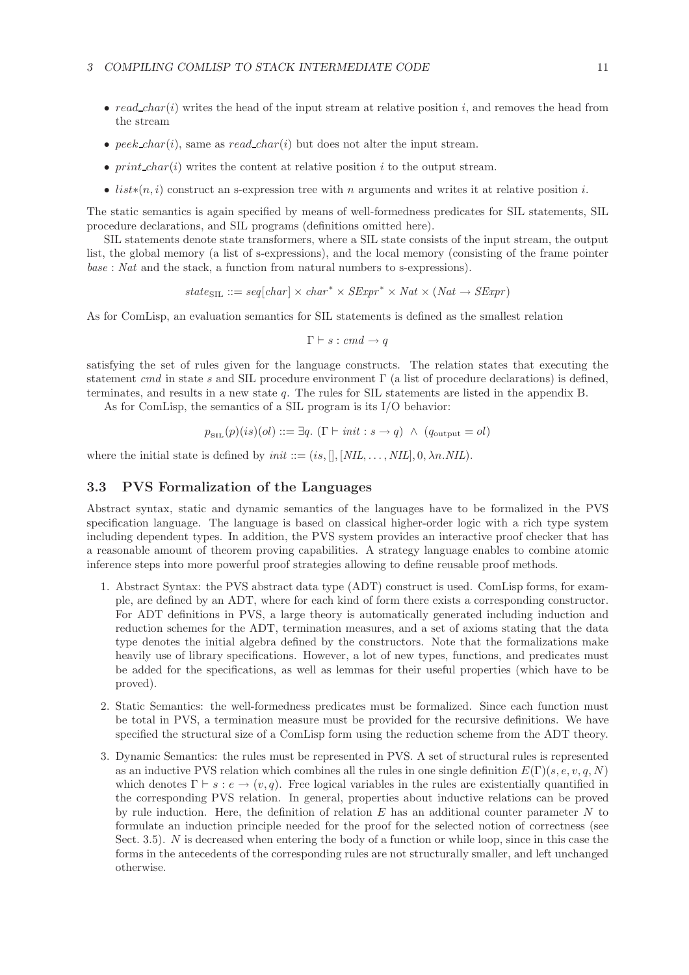#### 3 COMPILING COMLISP TO STACK INTERMEDIATE CODE 11

- $read\_char(i)$  writes the head of the input stream at relative position i, and removes the head from the stream
- peek\_char(i), same as read\_char(i) but does not alter the input stream.
- $print\_char(i)$  writes the content at relative position i to the output stream.
- list<sup>\*</sup>(n, i) construct an s-expression tree with n arguments and writes it at relative position i.

The static semantics is again specified by means of well-formedness predicates for SIL statements, SIL procedure declarations, and SIL programs (definitions omitted here).

SIL statements denote state transformers, where a SIL state consists of the input stream, the output list, the global memory (a list of s-expressions), and the local memory (consisting of the frame pointer *base* : *Nat* and the stack, a function from natural numbers to s-expressions).

$$
state_{\text{SIL}} ::= seq[char] \times char^* \times SExpr^* \times Nat \times (Nat \rightarrow SExpr)
$$

As for ComLisp, an evaluation semantics for SIL statements is defined as the smallest relation

$$
\Gamma \vdash s : cmd \rightarrow q
$$

satisfying the set of rules given for the language constructs. The relation states that executing the statement *cmd* in state s and SIL procedure environment Γ (a list of procedure declarations) is defined, terminates, and results in a new state q. The rules for SIL statements are listed in the appendix B.

As for ComLisp, the semantics of a SIL program is its I/O behavior:

$$
p_{\text{SIL}}(p)(is)(ol) ::= \exists q. ( \Gamma \vdash init : s \to q) \ \land \ (q_{\text{output}} = ol)
$$

where the initial state is defined by  $\text{init} ::= (is,[],[NIL,...,NIL], 0, \lambda n.NIL)$ .

#### **3.3 PVS Formalization of the Languages**

Abstract syntax, static and dynamic semantics of the languages have to be formalized in the PVS specification language. The language is based on classical higher-order logic with a rich type system including dependent types. In addition, the PVS system provides an interactive proof checker that has a reasonable amount of theorem proving capabilities. A strategy language enables to combine atomic inference steps into more powerful proof strategies allowing to define reusable proof methods.

- 1. Abstract Syntax: the PVS abstract data type (ADT) construct is used. ComLisp forms, for example, are defined by an ADT, where for each kind of form there exists a corresponding constructor. For ADT definitions in PVS, a large theory is automatically generated including induction and reduction schemes for the ADT, termination measures, and a set of axioms stating that the data type denotes the initial algebra defined by the constructors. Note that the formalizations make heavily use of library specifications. However, a lot of new types, functions, and predicates must be added for the specifications, as well as lemmas for their useful properties (which have to be proved).
- 2. Static Semantics: the well-formedness predicates must be formalized. Since each function must be total in PVS, a termination measure must be provided for the recursive definitions. We have specified the structural size of a ComLisp form using the reduction scheme from the ADT theory.
- 3. Dynamic Semantics: the rules must be represented in PVS. A set of structural rules is represented as an inductive PVS relation which combines all the rules in one single definition  $E(\Gamma)(s, e, v, q, N)$ which denotes  $\Gamma \vdash s : e \rightarrow (v, q)$ . Free logical variables in the rules are existentially quantified in the corresponding PVS relation. In general, properties about inductive relations can be proved by rule induction. Here, the definition of relation  $E$  has an additional counter parameter  $N$  to formulate an induction principle needed for the proof for the selected notion of correctness (see Sect. 3.5). N is decreased when entering the body of a function or while loop, since in this case the forms in the antecedents of the corresponding rules are not structurally smaller, and left unchanged otherwise.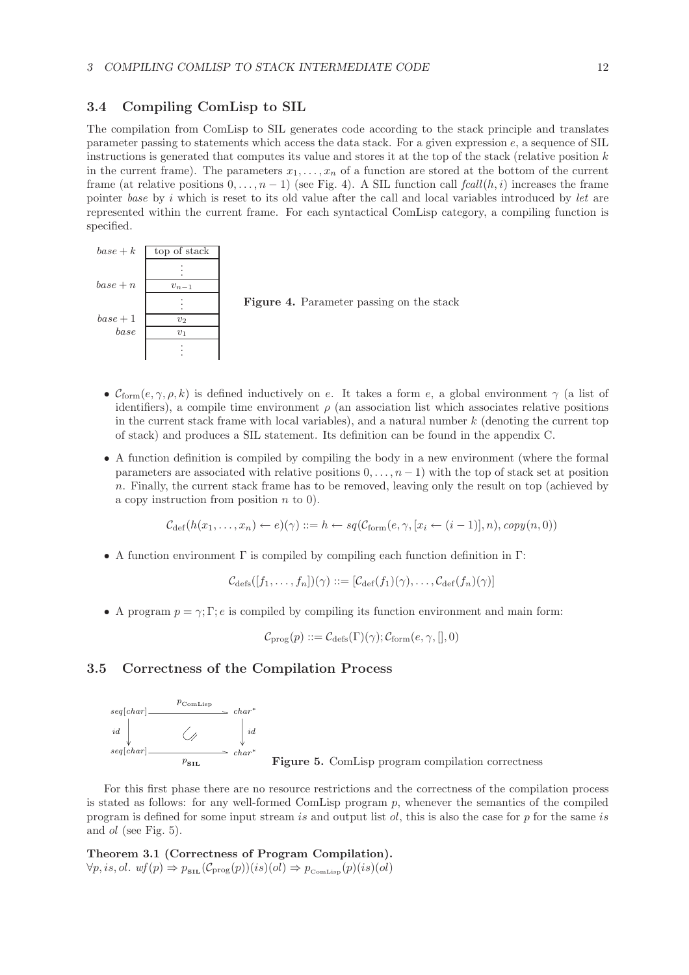### **3.4 Compiling ComLisp to SIL**

The compilation from ComLisp to SIL generates code according to the stack principle and translates parameter passing to statements which access the data stack. For a given expression e, a sequence of SIL instructions is generated that computes its value and stores it at the top of the stack (relative position  $k$ in the current frame). The parameters  $x_1, \ldots, x_n$  of a function are stored at the bottom of the current frame (at relative positions  $0, \ldots, n-1$ ) (see Fig. 4). A SIL function call  $fcall(h, i)$  increases the frame pointer *base* by i which is reset to its old value after the call and local variables introduced by *let* are represented within the current frame. For each syntactical ComLisp category, a compiling function is specified.



**Figure 4.** Parameter passing on the stack

- $\mathcal{C}_{\text{form}}(e, \gamma, \rho, k)$  is defined inductively on e. It takes a form e, a global environment  $\gamma$  (a list of identifiers), a compile time environment  $\rho$  (an association list which associates relative positions in the current stack frame with local variables), and a natural number  $k$  (denoting the current top of stack) and produces a SIL statement. Its definition can be found in the appendix C.
- A function definition is compiled by compiling the body in a new environment (where the formal parameters are associated with relative positions  $0, \ldots, n-1$ ) with the top of stack set at position n. Finally, the current stack frame has to be removed, leaving only the result on top (achieved by a copy instruction from position  $n$  to 0).

$$
\mathcal{C}_{\text{def}}(h(x_1,\ldots,x_n) \leftarrow e)(\gamma) ::= h \leftarrow sq(\mathcal{C}_{\text{form}}(e,\gamma,[x_i \leftarrow (i-1)],n), copy(n,0))
$$

• A function environment  $\Gamma$  is compiled by compiling each function definition in  $\Gamma$ :

 $\mathcal{C}_{\text{defs}}([f_1,\ldots,f_n])(\gamma) ::= [\mathcal{C}_{\text{def}}(f_1)(\gamma),\ldots,\mathcal{C}_{\text{def}}(f_n)(\gamma)]$ 

• A program  $p = \gamma$ ; Γ; e is compiled by compiling its function environment and main form:

 $\mathcal{C}_{\text{prog}}(p) ::= \mathcal{C}_{\text{defs}}(\Gamma)(\gamma); \mathcal{C}_{\text{form}}(e, \gamma,[], 0)$ 

## **3.5 Correctness of the Compilation Process**



**Figure 5.** ComLisp program compilation correctness

For this first phase there are no resource restrictions and the correctness of the compilation process is stated as follows: for any well-formed ComLisp program  $p$ , whenever the semantics of the compiled program is defined for some input stream is and output list  $ol$ , this is also the case for p for the same is and ol (see Fig. 5).

**Theorem 3.1 (Correctness of Program Compilation).**  $\forall p, is, ol. \text{wf}(p) \Rightarrow p_{\text{SL}}(\mathcal{C}_{\text{prog}}(p))(is)(ol) \Rightarrow p_{\text{ComLiss}}(p)(is)(ol)$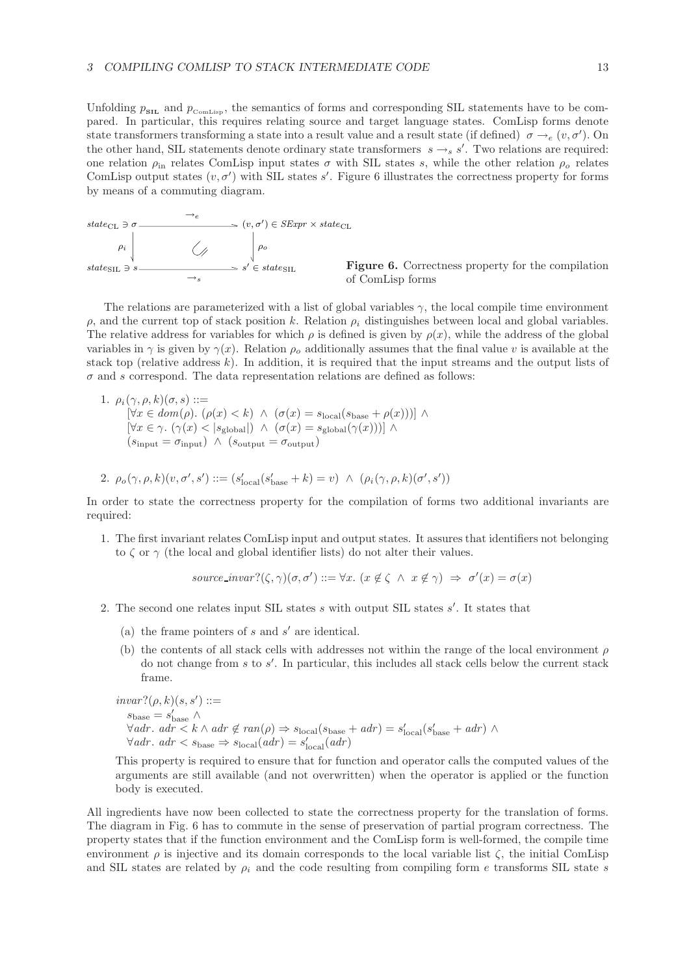Unfolding  $p_{\text{SL}}$  and  $p_{\text{ComLisp}}$ , the semantics of forms and corresponding SIL statements have to be compared. In particular, this requires relating source and target language states. ComLisp forms denote state transformers transforming a state into a result value and a result state (if defined)  $\sigma \rightarrow_e (v, \sigma')$ . On the other hand, SIL statements denote ordinary state transformers  $s \rightarrow_s s'$ . Two relations are required:<br>can relation a probable Cam in input states  $\epsilon$  with SIL states a while the other polation a polation one relation  $\rho_{\rm in}$  relates ComLisp input states  $\sigma$  with SIL states s, while the other relation  $\rho_o$  relates ComLisp output states  $(v, \sigma')$  with SIL states s'. Figure 6 illustrates the correctness property for forms by means of a commuting diagram.



**Figure 6.** Correctness property for the compilation of ComLisp forms

The relations are parameterized with a list of global variables  $\gamma$ , the local compile time environment  $ρ$ , and the current top of stack position k. Relation  $ρ<sub>i</sub>$  distinguishes between local and global variables. The relative address for variables for which  $\rho$  is defined is given by  $\rho(x)$ , while the address of the global variables in  $\gamma$  is given by  $\gamma(x)$ . Relation  $\rho_0$  additionally assumes that the final value v is available at the stack top (relative address k). In addition, it is required that the input streams and the output lists of  $\sigma$  and s correspond. The data representation relations are defined as follows:

1.  $\rho_i(\gamma, \rho, k)(\sigma, s) ::=$  $[\forall x \in dom(\rho). (\rho(x) < k) \land (\sigma(x) = s_{local}(s_{base} + \rho(x)))] \land$  $[\forall x \in \gamma \ldotp (\gamma(x) \lt \vert s_{\text{global}}|) \land (\sigma(x) = s_{\text{global}}(\gamma(x)))] \land$  $(s_{\text{innut}} = \sigma_{\text{input}}) \ \wedge \ (s_{\text{output}} = \sigma_{\text{output}})$ 

2. 
$$
\rho_o(\gamma, \rho, k)(v, \sigma', s') ::= (s'_{local}(s'_{base} + k) = v) \land (\rho_i(\gamma, \rho, k)(\sigma', s'))
$$

In order to state the correctness property for the compilation of forms two additional invariants are required:

1. The first invariant relates ComLisp input and output states. It assures that identifiers not belonging to  $\zeta$  or  $\gamma$  (the local and global identifier lists) do not alter their values.

 $source\_invar?(\zeta,\gamma)(\sigma,\sigma') ::= \forall x. (x \notin \zeta \land x \notin \gamma) \Rightarrow \sigma'(x) = \sigma(x)$ 

- 2. The second one relates input SIL states s with output SIL states s'. It states that
	- (a) the frame pointers of  $s$  and  $s'$  are identical.
	- (b) the contents of all stack cells with addresses not within the range of the local environment  $\rho$ do not change from s to  $s'$ . In particular, this includes all stack cells below the current stack frame.

$$
\begin{aligned}\n\text{invar?}(\rho, k)(s, s') &::= \\
\text{s}_{\text{base}} & \wedge \\
\forall adr. \ adr < k \wedge adr \notin \text{ran}(\rho) \Rightarrow \text{s}_{\text{local}}(\text{s}_{\text{base}} + adr) = s'_{\text{local}}(s'_{\text{base}} + adr) \wedge \\
\forall adr. \ adr < s_{\text{base}} \Rightarrow \text{s}_{\text{local}}(adr) = s'_{\text{local}}(adr)\n\end{aligned}
$$

This property is required to ensure that for function and operator calls the computed values of the arguments are still available (and not overwritten) when the operator is applied or the function body is executed.

All ingredients have now been collected to state the correctness property for the translation of forms. The diagram in Fig. 6 has to commute in the sense of preservation of partial program correctness. The property states that if the function environment and the ComLisp form is well-formed, the compile time environment  $\rho$  is injective and its domain corresponds to the local variable list  $\zeta$ , the initial ComLisp and SIL states are related by  $\rho_i$  and the code resulting from compiling form e transforms SIL state s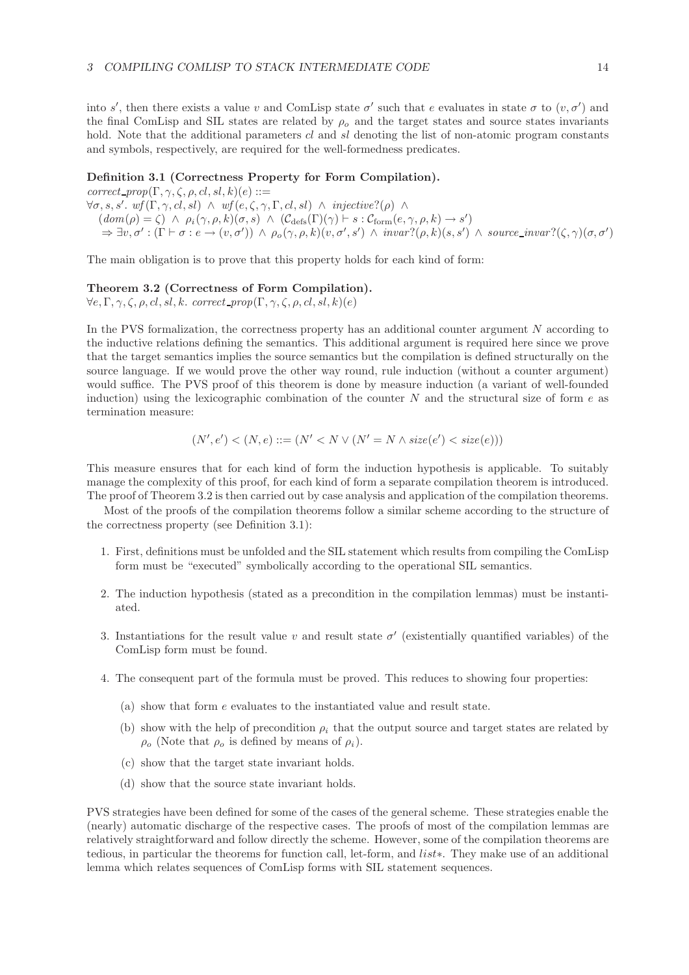into s', then there exists a value v and ComLisp state  $\sigma'$  such that e evaluates in state  $\sigma$  to  $(v, \sigma')$  and the final ComLisp and SIL states are related by  $\rho_0$  and the target states and source states invariants hold. Note that the additional parameters cl and sl denoting the list of non-atomic program constants and symbols, respectively, are required for the well-formedness predicates.

#### **Definition 3.1 (Correctness Property for Form Compilation).**

 $correct\_prop(\Gamma, \gamma, \zeta, \rho, cl, sl, k)(e) ::=$  $\forall \sigma, s, s'. \text{wf}(\Gamma, \gamma, cl, sl) \land \text{wf}(e, \zeta, \gamma, \Gamma, cl, sl) \land \text{injective?}(\rho) \land \rho$  $(dom(\rho) = \zeta) \wedge \rho_i(\gamma, \rho, k)(\sigma, s) \wedge (\mathcal{C}_{\text{defs}}(\Gamma)(\gamma) \vdash s : \mathcal{C}_{\text{form}}(e, \gamma, \rho, k) \rightarrow s')$  $\Rightarrow \exists v, \sigma' : (\Gamma \vdash \sigma : e \rightarrow (v, \sigma')) \land \rho_o(\gamma, \rho, k)(v, \sigma', s') \land invar?(\rho, k)(s, s') \land source\_invar?(\zeta, \gamma)(\sigma, \sigma')$ 

The main obligation is to prove that this property holds for each kind of form:

#### **Theorem 3.2 (Correctness of Form Compilation).**

 $\forall e, \Gamma, \gamma, \zeta, \rho, cl, sl, k.$  *correct\_prop* $(\Gamma, \gamma, \zeta, \rho, cl, sl, k)(e)$ 

In the PVS formalization, the correctness property has an additional counter argument N according to the inductive relations defining the semantics. This additional argument is required here since we prove that the target semantics implies the source semantics but the compilation is defined structurally on the source language. If we would prove the other way round, rule induction (without a counter argument) would suffice. The PVS proof of this theorem is done by measure induction (a variant of well-founded induction) using the lexicographic combination of the counter  $N$  and the structural size of form  $e$  as termination measure:

$$
(N', e') < (N, e) ::= (N' < N \lor (N' = N \land size(e') < size(e)))
$$

This measure ensures that for each kind of form the induction hypothesis is applicable. To suitably manage the complexity of this proof, for each kind of form a separate compilation theorem is introduced. The proof of Theorem 3.2 is then carried out by case analysis and application of the compilation theorems.

Most of the proofs of the compilation theorems follow a similar scheme according to the structure of the correctness property (see Definition 3.1):

- 1. First, definitions must be unfolded and the SIL statement which results from compiling the ComLisp form must be "executed" symbolically according to the operational SIL semantics.
- 2. The induction hypothesis (stated as a precondition in the compilation lemmas) must be instantiated.
- 3. Instantiations for the result value v and result state  $\sigma'$  (existentially quantified variables) of the ComLisp form must be found.
- 4. The consequent part of the formula must be proved. This reduces to showing four properties:
	- (a) show that form e evaluates to the instantiated value and result state.
	- (b) show with the help of precondition  $\rho_i$  that the output source and target states are related by  $\rho_o$  (Note that  $\rho_o$  is defined by means of  $\rho_i$ ).
	- (c) show that the target state invariant holds.
	- (d) show that the source state invariant holds.

PVS strategies have been defined for some of the cases of the general scheme. These strategies enable the (nearly) automatic discharge of the respective cases. The proofs of most of the compilation lemmas are relatively straightforward and follow directly the scheme. However, some of the compilation theorems are tedious, in particular the theorems for function call, let-form, and list∗. They make use of an additional lemma which relates sequences of ComLisp forms with SIL statement sequences.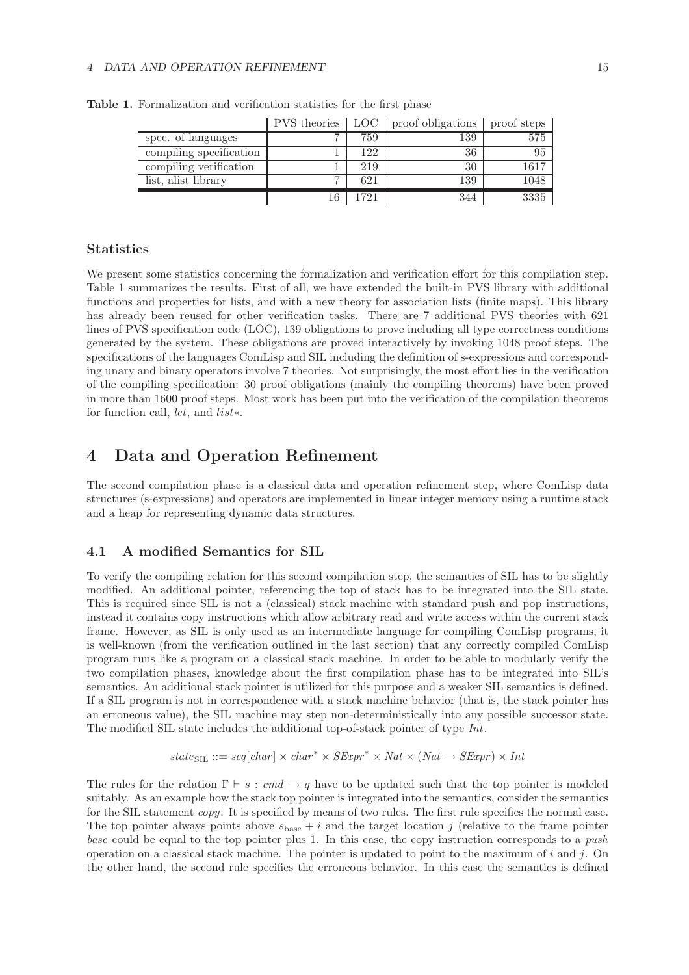#### *4 DATA AND OPERATION REFINEMENT* 15

|                         |    |      | PVS theories   LOC   proof obligations   proof steps |      |
|-------------------------|----|------|------------------------------------------------------|------|
| spec. of languages      | ⇁  | 759  | 139                                                  | 575  |
| compiling specification |    | 122  | 36                                                   | 95   |
| compiling verification  |    | 219  | 30                                                   | 1617 |
| list, alist library     | −  | 621  | 139                                                  | 1048 |
|                         | 16 | 1721 | 344                                                  | 3335 |

**Table 1.** Formalization and verification statistics for the first phase

## **Statistics**

We present some statistics concerning the formalization and verification effort for this compilation step. Table 1 summarizes the results. First of all, we have extended the built-in PVS library with additional functions and properties for lists, and with a new theory for association lists (finite maps). This library has already been reused for other verification tasks. There are 7 additional PVS theories with 621 lines of PVS specification code (LOC), 139 obligations to prove including all type correctness conditions generated by the system. These obligations are proved interactively by invoking 1048 proof steps. The specifications of the languages ComLisp and SIL including the definition of s-expressions and corresponding unary and binary operators involve 7 theories. Not surprisingly, the most effort lies in the verification of the compiling specification: 30 proof obligations (mainly the compiling theorems) have been proved in more than 1600 proof steps. Most work has been put into the verification of the compilation theorems for function call, *let*, and list∗.

## **4 Data and Operation Refinement**

The second compilation phase is a classical data and operation refinement step, where ComLisp data structures (s-expressions) and operators are implemented in linear integer memory using a runtime stack and a heap for representing dynamic data structures.

## **4.1 A modified Semantics for SIL**

To verify the compiling relation for this second compilation step, the semantics of SIL has to be slightly modified. An additional pointer, referencing the top of stack has to be integrated into the SIL state. This is required since SIL is not a (classical) stack machine with standard push and pop instructions, instead it contains copy instructions which allow arbitrary read and write access within the current stack frame. However, as SIL is only used as an intermediate language for compiling ComLisp programs, it is well-known (from the verification outlined in the last section) that any correctly compiled ComLisp program runs like a program on a classical stack machine. In order to be able to modularly verify the two compilation phases, knowledge about the first compilation phase has to be integrated into SIL's semantics. An additional stack pointer is utilized for this purpose and a weaker SIL semantics is defined. If a SIL program is not in correspondence with a stack machine behavior (that is, the stack pointer has an erroneous value), the SIL machine may step non-deterministically into any possible successor state. The modified SIL state includes the additional top-of-stack pointer of type *Int*.

$$
state_{\text{SIL}} ::= seq[char] \times char^* \times SExpr^* \times Nat \times (Nat \rightarrow SExpr) \times Int
$$

The rules for the relation  $\Gamma \vdash s : cmd \rightarrow q$  have to be updated such that the top pointer is modeled suitably. As an example how the stack top pointer is integrated into the semantics, consider the semantics for the SIL statement *copy*. It is specified by means of two rules. The first rule specifies the normal case. The top pointer always points above  $s_{base} + i$  and the target location j (relative to the frame pointer *base* could be equal to the top pointer plus 1. In this case, the copy instruction corresponds to a *push* operation on a classical stack machine. The pointer is updated to point to the maximum of  $i$  and  $j$ . On the other hand, the second rule specifies the erroneous behavior. In this case the semantics is defined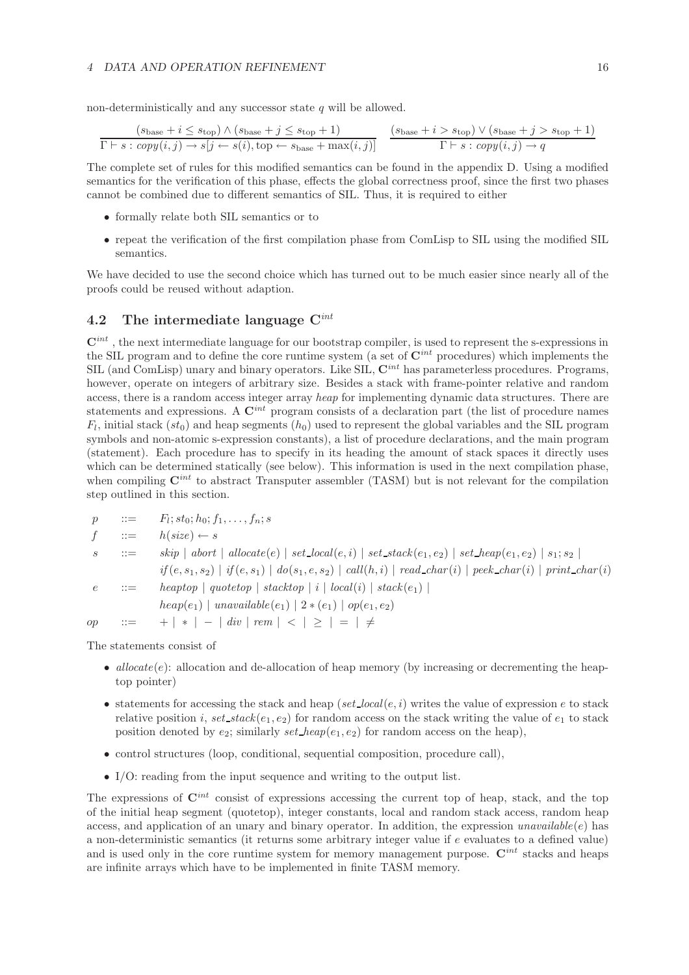non-deterministically and any successor state  $q$  will be allowed.

$$
\frac{(s_{\text{base}} + i \le s_{\text{top}}) \land (s_{\text{base}} + j \le s_{\text{top}} + 1)}{\Gamma \vdash s : copy(i, j) \rightarrow s[j \leftarrow s(i), \text{top} \leftarrow s_{\text{base}} + \max(i, j)]} \quad \frac{(s_{\text{base}} + i > s_{\text{top}}) \lor (s_{\text{base}} + j > s_{\text{top}} + 1)}{\Gamma \vdash s : copy(i, j) \rightarrow q}
$$

The complete set of rules for this modified semantics can be found in the appendix D. Using a modified semantics for the verification of this phase, effects the global correctness proof, since the first two phases cannot be combined due to different semantics of SIL. Thus, it is required to either

- formally relate both SIL semantics or to
- repeat the verification of the first compilation phase from ComLisp to SIL using the modified SIL semantics.

We have decided to use the second choice which has turned out to be much easier since nearly all of the proofs could be reused without adaption.

## **4.2 The intermediate language C***int*

**C***int* , the next intermediate language for our bootstrap compiler, is used to represent the s-expressions in the SIL program and to define the core runtime system (a set of **C***int* procedures) which implements the SIL (and ComLisp) unary and binary operators. Like SIL, **C***int* has parameterless procedures. Programs, however, operate on integers of arbitrary size. Besides a stack with frame-pointer relative and random access, there is a random access integer array *heap* for implementing dynamic data structures. There are statements and expressions. A **C***int* program consists of a declaration part (the list of procedure names  $F_l$ , initial stack  $(st_0)$  and heap segments  $(h_0)$  used to represent the global variables and the SIL program symbols and non-atomic s-expression constants), a list of procedure declarations, and the main program (statement). Each procedure has to specify in its heading the amount of stack spaces it directly uses which can be determined statically (see below). This information is used in the next compilation phase, when compiling  $\mathbf{C}^{int}$  to abstract Transputer assembler (TASM) but is not relevant for the compilation step outlined in this section.

$$
p ::= F_l; st_0; h_0; f_1, \ldots, f_n; s
$$
\n
$$
f ::= h(size) \leftarrow s
$$
\n
$$
s ::= skip \mid abort \mid allocate(e) \mid set\_local(e, i) \mid set\_stack(e_1, e_2) \mid set\_heap(e_1, e_2) \mid s_1; s_2 \mid
$$
\n
$$
if(e, s_1, s_2) \mid if(e, s_1) \mid do(s_1, e, s_2) \mid call(h, i) \mid read\_char(i) \mid peak\_char(i) \mid print\_char(i)
$$
\n
$$
e ::= heaptop \mid quotetop \mid stacktop \mid i \mid local(i) \mid stack(e_1) \mid
$$
\n
$$
heap(e_1) \mid unavailable(e_1) \mid 2 * (e_1) \mid op(e_1, e_2)
$$

op ::=  $+ \, | * | - | \, div | \, rem | < | \ge | = | \ne$ 

The statements consist of

- $alloc (e)$ : allocation and de-allocation of heap memory (by increasing or decrementing the heaptop pointer)
- statements for accessing the stack and heap ( $set\_local(e, i)$  writes the value of expression  $e$  to stack relative position i,  $set\_stack(e_1, e_2)$  for random access on the stack writing the value of  $e_1$  to stack position denoted by  $e_2$ ; similarly  $set\_heap(e_1, e_2)$  for random access on the heap),
- control structures (loop, conditional, sequential composition, procedure call),
- I/O: reading from the input sequence and writing to the output list.

The expressions of **C***int* consist of expressions accessing the current top of heap, stack, and the top of the initial heap segment (quotetop), integer constants, local and random stack access, random heap access, and application of an unary and binary operator. In addition, the expression *unavailable*( $e$ ) has a non-deterministic semantics (it returns some arbitrary integer value if  $e$  evaluates to a defined value) and is used only in the core runtime system for memory management purpose. **C***int* stacks and heaps are infinite arrays which have to be implemented in finite TASM memory.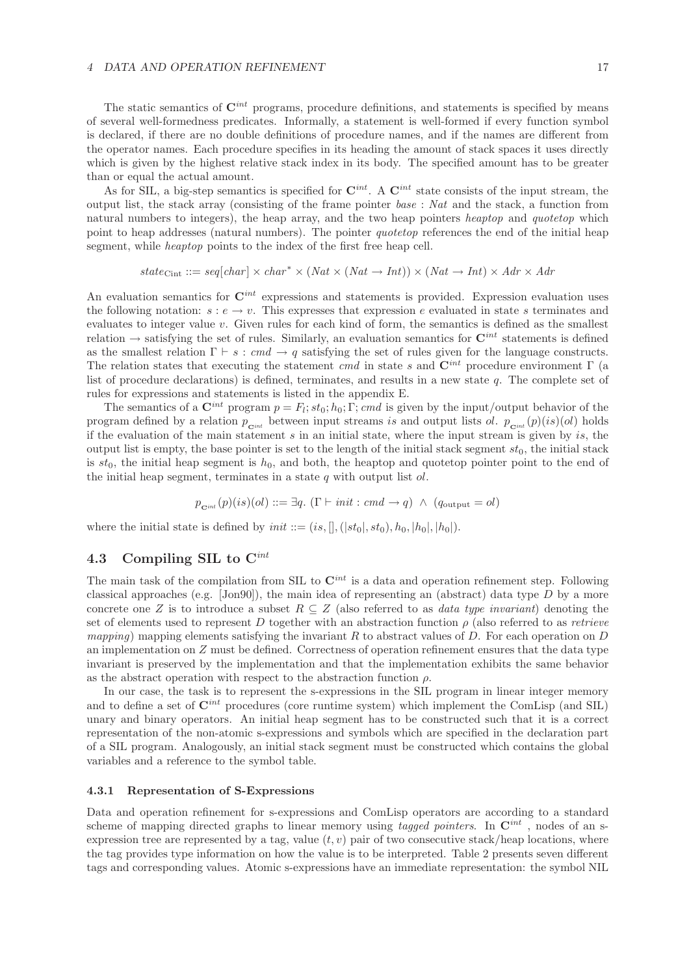The static semantics of **C***int* programs, procedure definitions, and statements is specified by means of several well-formedness predicates. Informally, a statement is well-formed if every function symbol is declared, if there are no double definitions of procedure names, and if the names are different from the operator names. Each procedure specifies in its heading the amount of stack spaces it uses directly which is given by the highest relative stack index in its body. The specified amount has to be greater than or equal the actual amount.

As for SIL, a big-step semantics is specified for  $\mathbf{C}^{int}$ . A  $\mathbf{C}^{int}$  state consists of the input stream, the output list, the stack array (consisting of the frame pointer *base* : *Nat* and the stack, a function from natural numbers to integers), the heap array, and the two heap pointers *heaptop* and *quotetop* which point to heap addresses (natural numbers). The pointer *quotetop* references the end of the initial heap segment, while *heaptop* points to the index of the first free heap cell.

$$
state_{\text{Cint}} ::= seq[char] \times char^* \times (Nat \times (Nat \rightarrow Int)) \times (Nat \rightarrow Int) \times Adr \times Adr
$$

An evaluation semantics for **C***int* expressions and statements is provided. Expression evaluation uses the following notation:  $s : e \to v$ . This expresses that expression e evaluated in state s terminates and evaluates to integer value v. Given rules for each kind of form, the semantics is defined as the smallest relation  $\rightarrow$  satisfying the set of rules. Similarly, an evaluation semantics for  $\mathbf{C}^{int}$  statements is defined as the smallest relation  $\Gamma \vdash s : cmd \rightarrow q$  satisfying the set of rules given for the language constructs. The relation states that executing the statement *cmd* in state s and **C***int* procedure environment Γ (a list of procedure declarations) is defined, terminates, and results in a new state q. The complete set of rules for expressions and statements is listed in the appendix E.

The semantics of a  $\mathbf{C}^{int}$  program  $p = F_l; st_0; h_0; \Gamma; cmd$  is given by the input/output behavior of the program defined by a relation  $p_{\text{C}^{int}}$  between input streams is and output lists ol.  $p_{\text{C}^{int}}(p)(is)(ol)$  holds if the evaluation of the main statement  $s$  in an initial state, where the input stream is given by is, the output list is empty, the base pointer is set to the length of the initial stack segment  $st_0$ , the initial stack is  $st_0$ , the initial heap segment is  $h_0$ , and both, the heaptop and quotetop pointer point to the end of the initial heap segment, terminates in a state  $q$  with output list  $ol$ .

 $p_{\text{crit}}(p)(is)(ol) ::= \exists q. (\Gamma \vdash init : cmd \rightarrow q) \land (q_{\text{output}} = ol)$ 

where the initial state is defined by  $init ::= (is, [], (|st_0|, st_0), h_0, |h_0|, |h_0|).$ 

## **4.3 Compiling SIL to C***int*

The main task of the compilation from SIL to **C***int* is a data and operation refinement step. Following classical approaches (e.g.  $[John90]$ ), the main idea of representing an (abstract) data type D by a more concrete one Z is to introduce a subset  $R \subseteq Z$  (also referred to as *data type invariant*) denoting the set of elements used to represent D together with an abstraction function ρ (also referred to as *retrieve mapping*) mapping elements satisfying the invariant R to abstract values of D. For each operation on D an implementation on Z must be defined. Correctness of operation refinement ensures that the data type invariant is preserved by the implementation and that the implementation exhibits the same behavior as the abstract operation with respect to the abstraction function  $\rho$ .

In our case, the task is to represent the s-expressions in the SIL program in linear integer memory and to define a set of **C***int* procedures (core runtime system) which implement the ComLisp (and SIL) unary and binary operators. An initial heap segment has to be constructed such that it is a correct representation of the non-atomic s-expressions and symbols which are specified in the declaration part of a SIL program. Analogously, an initial stack segment must be constructed which contains the global variables and a reference to the symbol table.

### **4.3.1 Representation of S-Expressions**

Data and operation refinement for s-expressions and ComLisp operators are according to a standard scheme of mapping directed graphs to linear memory using *tagged pointers*. In **C***int* , nodes of an sexpression tree are represented by a tag, value  $(t, v)$  pair of two consecutive stack/heap locations, where the tag provides type information on how the value is to be interpreted. Table 2 presents seven different tags and corresponding values. Atomic s-expressions have an immediate representation: the symbol NIL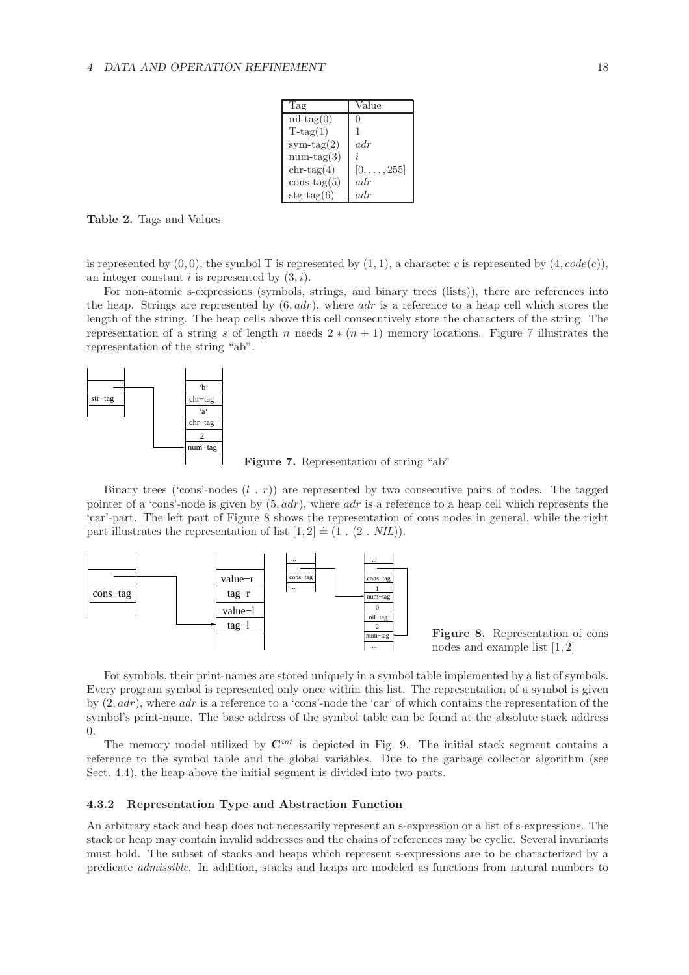| Tag            | Value              |
|----------------|--------------------|
| $nil-tag(0)$   | $\mathbf{0}$       |
| $T$ -tag $(1)$ | 1                  |
| $sym-tag(2)$   | adr                |
| $num-tag(3)$   | i                  |
| $chr-tag(4)$   | $[0, \ldots, 255]$ |
| const. (5)     | adr                |
| $stg-tag(6)$   | adr                |

**Table 2.** Tags and Values

is represented by  $(0, 0)$ , the symbol T is represented by  $(1, 1)$ , a character c is represented by  $(4, code(c))$ , an integer constant  $i$  is represented by  $(3, i)$ .

For non-atomic s-expressions (symbols, strings, and binary trees (lists)), there are references into the heap. Strings are represented by  $(6, adr)$ , where  $adr$  is a reference to a heap cell which stores the length of the string. The heap cells above this cell consecutively store the characters of the string. The representation of a string s of length n needs  $2*(n+1)$  memory locations. Figure 7 illustrates the representation of the string "ab".



**Figure 7.** Representation of string "ab"

Binary trees ('cons'-nodes  $(l, r)$ ) are represented by two consecutive pairs of nodes. The tagged pointer of a 'cons'-node is given by  $(5, adr)$ , where  $adr$  is a reference to a heap cell which represents the 'car'-part. The left part of Figure 8 shows the representation of cons nodes in general, while the right part illustrates the representation of list  $[1, 2] \doteq (1 \cdot (2 \cdot \textit{NIL}))$ .



For symbols, their print-names are stored uniquely in a symbol table implemented by a list of symbols. Every program symbol is represented only once within this list. The representation of a symbol is given by  $(2, adr)$ , where adr is a reference to a 'cons'-node the 'car' of which contains the representation of the symbol's print-name. The base address of the symbol table can be found at the absolute stack address  $\Omega$ 

The memory model utilized by **C***int* is depicted in Fig. 9. The initial stack segment contains a reference to the symbol table and the global variables. Due to the garbage collector algorithm (see Sect. 4.4), the heap above the initial segment is divided into two parts.

#### **4.3.2 Representation Type and Abstraction Function**

An arbitrary stack and heap does not necessarily represent an s-expression or a list of s-expressions. The stack or heap may contain invalid addresses and the chains of references may be cyclic. Several invariants must hold. The subset of stacks and heaps which represent s-expressions are to be characterized by a predicate *admissible*. In addition, stacks and heaps are modeled as functions from natural numbers to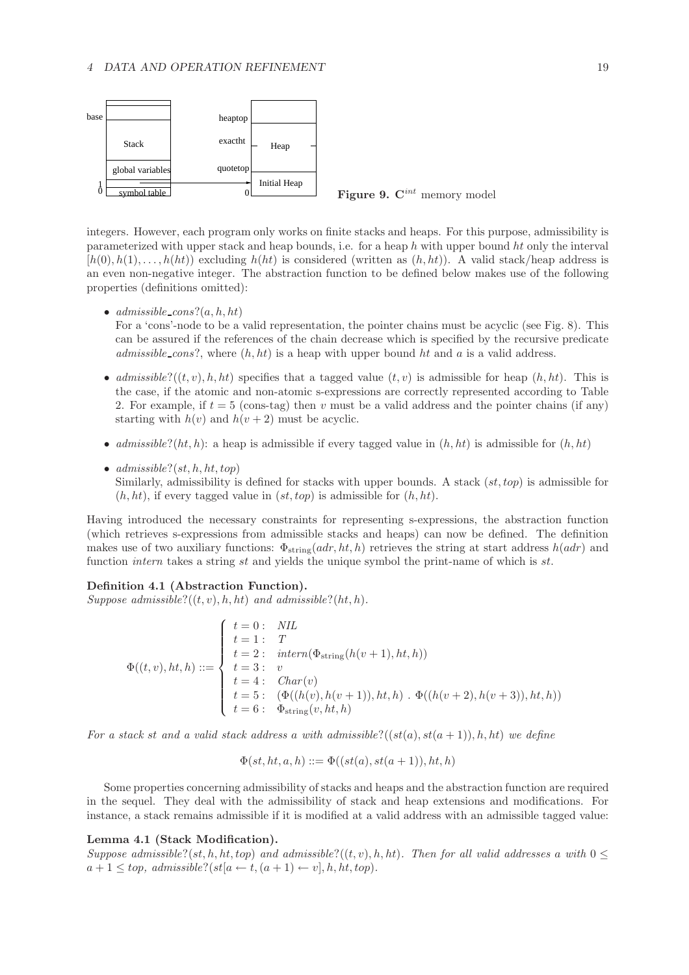

integers. However, each program only works on finite stacks and heaps. For this purpose, admissibility is parameterized with upper stack and heap bounds, i.e. for a heap h with upper bound ht only the interval  $[h(0), h(1), \ldots, h(ht)]$  excluding  $h(ht)$  is considered (written as  $(h, ht)$ ). A valid stack/heap address is an even non-negative integer. The abstraction function to be defined below makes use of the following properties (definitions omitted):

•  $admissible\_cons?(a, h, ht)$ 

For a 'cons'-node to be a valid representation, the pointer chains must be acyclic (see Fig. 8). This can be assured if the references of the chain decrease which is specified by the recursive predicate *admissible cons*?, where  $(h, ht)$  is a heap with upper bound ht and a is a valid address.

- *admissible*?( $(t, v)$ , h, ht) specifies that a tagged value  $(t, v)$  is admissible for heap  $(h, ht)$ . This is the case, if the atomic and non-atomic s-expressions are correctly represented according to Table 2. For example, if  $t = 5$  (cons-tag) then v must be a valid address and the pointer chains (if any) starting with  $h(v)$  and  $h(v + 2)$  must be acyclic.
- *admissible*?(*ht*, *h*): a heap is admissible if every tagged value in  $(h, ht)$  is admissible for  $(h, ht)$
- $admissible?(st, h, ht, top)$ Similarly, admissibility is defined for stacks with upper bounds. A stack  $(st, top)$  is admissible for  $(h, ht)$ , if every tagged value in  $(st, top)$  is admissible for  $(h, ht)$ .

Having introduced the necessary constraints for representing s-expressions, the abstraction function (which retrieves s-expressions from admissible stacks and heaps) can now be defined. The definition makes use of two auxiliary functions:  $\Phi_{\text{string}}(adr, ht, h)$  retrieves the string at start address  $h(adr)$  and function *intern* takes a string st and yields the unique symbol the print-name of which is st.

#### **Definition 4.1 (Abstraction Function).**

*Suppose admissible*? $((t, v), h, ht)$  *and admissible*? $(ht, h)$ *.* 

$$
\Phi((t, v), ht, h) ::= \left\{\begin{array}{ll} t = 0: & NIL \\ t = 1: & T \\ t = 2: & intern(\Phi_{\text{string}}(h(v + 1), ht, h)) \\ t = 3: & v \\ t = 4: & Char(v) \\ t = 5: & (\Phi((h(v), h(v + 1)), ht, h) \cdot \Phi((h(v + 2), h(v + 3)), ht, h)) \\ t = 6: & \Phi_{\text{string}}(v, ht, h) \end{array}\right.
$$

For a stack st and a valid stack address a with admissible? $((st(a), st(a + 1)), h, ht)$  we define

$$
\Phi(st, ht, a, h) ::= \Phi((st(a), st(a+1)), ht, h)
$$

Some properties concerning admissibility of stacks and heaps and the abstraction function are required in the sequel. They deal with the admissibility of stack and heap extensions and modifications. For instance, a stack remains admissible if it is modified at a valid address with an admissible tagged value:

### **Lemma 4.1 (Stack Modification).**

*Suppose admissible*?(st, h, ht, top) and admissible?((t, v), h, ht). Then for all valid addresses a with  $0 \leq$  $a+1 \leq top, admissible?(st[a \leftarrow t, (a+1) \leftarrow v], h, ht, top).$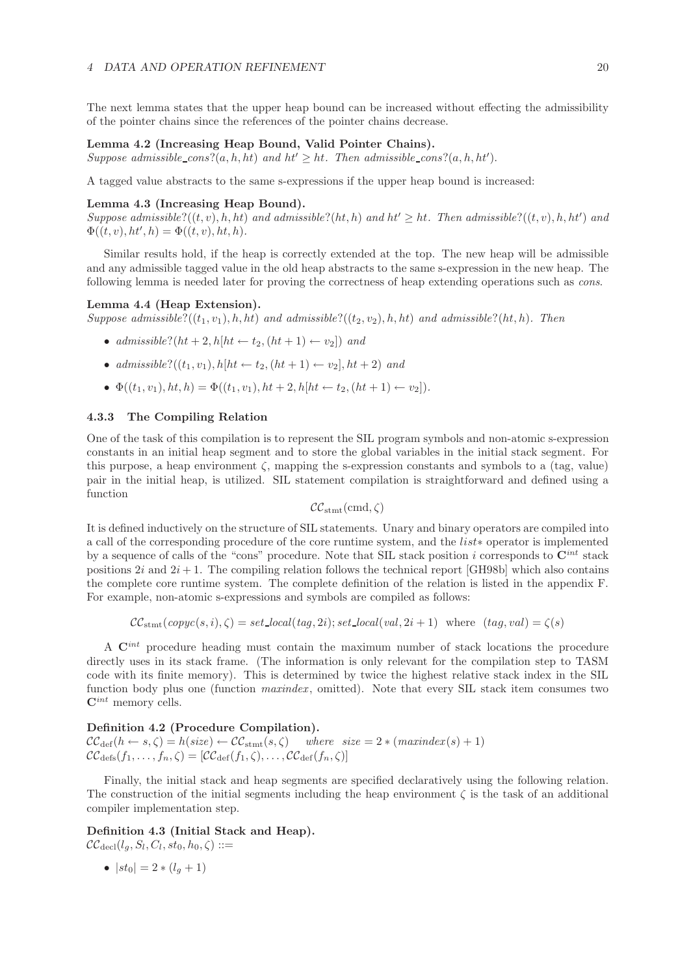The next lemma states that the upper heap bound can be increased without effecting the admissibility of the pointer chains since the references of the pointer chains decrease.

### **Lemma 4.2 (Increasing Heap Bound, Valid Pointer Chains).**

Suppose admissible\_cons?(a, h, ht) and  $ht' \geq ht$ . Then admissible\_cons?(a, h, ht').

A tagged value abstracts to the same s-expressions if the upper heap bound is increased:

#### **Lemma 4.3 (Increasing Heap Bound).**

 $Suppose \ admissible?((t, v), h, ht) \ and \ admissible? (ht, h) \ and \ ht' \geq ht. \ Then \ admissible? ((t, v), h, ht') \ and \ hat$  $\Phi((t, v), ht', h) = \Phi((t, v), ht, h).$ 

Similar results hold, if the heap is correctly extended at the top. The new heap will be admissible and any admissible tagged value in the old heap abstracts to the same s-expression in the new heap. The following lemma is needed later for proving the correctness of heap extending operations such as *cons*.

#### **Lemma 4.4 (Heap Extension).**

*Suppose admissible*? $((t_1, v_1), h, ht)$  *and admissible*? $((t_2, v_2), h, ht)$  *and admissible*? $(ht, h)$ *. Then* 

- *admissible*?( $ht + 2$ ,  $h[ht \leftarrow t_2, (ht + 1) \leftarrow v_2]$ ) *and*
- *admissible*?((t<sub>1</sub>, v<sub>1</sub>), h[ht ← t<sub>2</sub>, (ht + 1) ← v<sub>2</sub>], ht + 2) *and*
- $\Phi((t_1, v_1), ht, h) = \Phi((t_1, v_1), ht + 2, h[ht \leftarrow t_2, (ht + 1) \leftarrow v_2]).$

#### **4.3.3 The Compiling Relation**

One of the task of this compilation is to represent the SIL program symbols and non-atomic s-expression constants in an initial heap segment and to store the global variables in the initial stack segment. For this purpose, a heap environment  $\zeta$ , mapping the s-expression constants and symbols to a (tag, value) pair in the initial heap, is utilized. SIL statement compilation is straightforward and defined using a function

$$
\mathcal{CC}_{\mathrm{stmt}}(\mathrm{cmd}, \zeta)
$$

It is defined inductively on the structure of SIL statements. Unary and binary operators are compiled into a call of the corresponding procedure of the core runtime system, and the list∗ operator is implemented by a sequence of calls of the "cons" procedure. Note that SIL stack position i corresponds to **C***int* stack positions  $2i$  and  $2i + 1$ . The compiling relation follows the technical report [GH98b] which also contains the complete core runtime system. The complete definition of the relation is listed in the appendix F. For example, non-atomic s-expressions and symbols are compiled as follows:

$$
\mathcal{CC}_{\text{stmt}}(copyc(s, i), \zeta) = set\_local(tag, 2i); set\_local(val, 2i + 1) \text{ where } (tag, val) = \zeta(s)
$$

A **C***int* procedure heading must contain the maximum number of stack locations the procedure directly uses in its stack frame. (The information is only relevant for the compilation step to TASM code with its finite memory). This is determined by twice the highest relative stack index in the SIL function body plus one (function *maxindex*, omitted). Note that every SIL stack item consumes two **C***int* memory cells.

### **Definition 4.2 (Procedure Compilation).**

 $\mathcal{CC}_{\text{def}}(h \leftarrow s, \zeta) = h(size) \leftarrow \mathcal{CC}_{\text{stmt}}(s, \zeta)$  where  $size = 2 * (maxindex(s) + 1)$  $\mathcal{CC}_{\text{def}}(f_1,\ldots,f_n,\zeta)=[\mathcal{CC}_{\text{def}}(f_1,\zeta),\ldots,\mathcal{CC}_{\text{def}}(f_n,\zeta)]$ 

Finally, the initial stack and heap segments are specified declaratively using the following relation. The construction of the initial segments including the heap environment  $\zeta$  is the task of an additional compiler implementation step.

## **Definition 4.3 (Initial Stack and Heap).**

 $\mathcal{CC}_{\text{decl}}(l_a, S_l, C_l, st_0, h_0, \zeta) ::=$ 

•  $|st_0| = 2 * (l_a + 1)$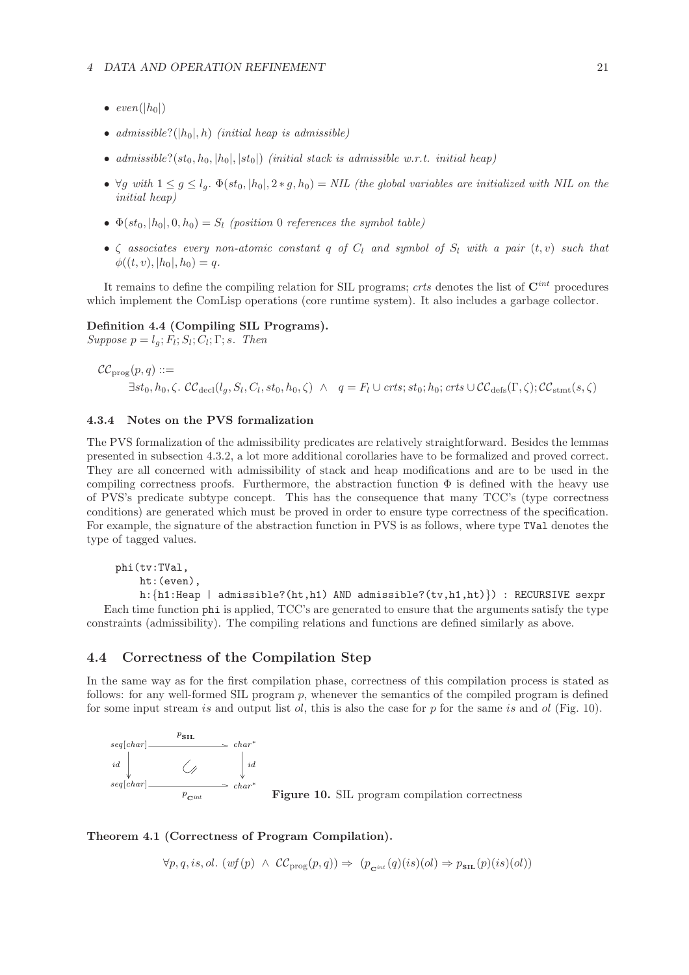- $\bullet$  *even*(|h<sub>0</sub>|)
- *admissible*? $(|h_0|, h)$  *(initial heap is admissible)*
- *admissible*?( $st_0$ ,  $h_0$ ,  $|h_0|$ ,  $|st_0|$ ) *(initial stack is admissible w.r.t. initial heap)*
- $\forall g \text{ with } 1 \leq g \leq l_g$ .  $\Phi(st_0, |h_0|, 2 * g, h_0) = NIL$  (the global variables are initialized with NIL on the *initial heap)*
- $\Phi(st_0, |h_0|, 0, h_0) = S_l$  *(position* 0 *references the symbol table)*
- $\zeta$  *associates every non-atomic constant* q of  $C_l$  *and symbol of*  $S_l$  *with a pair*  $(t, v)$  *such that*  $\phi((t, v), |h_0|, h_0) = q.$

It remains to define the compiling relation for SIL programs; *crts* denotes the list of **C***int* procedures which implement the ComLisp operations (core runtime system). It also includes a garbage collector.

## **Definition 4.4 (Compiling SIL Programs).**

 $Suppose$   $p = l_q; F_l; S_l; C_l; \Gamma; s$ *. Then* 

```
\mathcal{CC}_{\text{prog}}(p,q) ::=\exists st_0, h_0, \zeta. \mathcal{CC}_{\text{decl}}(l_a, S_l, C_l, st_0, h_0, \zeta) \land q = F_l \cup crts; st_0; h_0; crts \cup \mathcal{CC}_{\text{defs}}(\Gamma, \zeta); \mathcal{CC}_{\text{start}}(s, \zeta)
```
### **4.3.4 Notes on the PVS formalization**

The PVS formalization of the admissibility predicates are relatively straightforward. Besides the lemmas presented in subsection 4.3.2, a lot more additional corollaries have to be formalized and proved correct. They are all concerned with admissibility of stack and heap modifications and are to be used in the compiling correctness proofs. Furthermore, the abstraction function  $\Phi$  is defined with the heavy use of PVS's predicate subtype concept. This has the consequence that many TCC's (type correctness conditions) are generated which must be proved in order to ensure type correctness of the specification. For example, the signature of the abstraction function in PVS is as follows, where type TVal denotes the type of tagged values.

phi(tv:TVal,

```
ht:(even),
```
h:{h1:Heap | admissible?(ht,h1) AND admissible?(tv,h1,ht)}) : RECURSIVE sexpr Each time function phi is applied, TCC's are generated to ensure that the arguments satisfy the type constraints (admissibility). The compiling relations and functions are defined similarly as above.

## **4.4 Correctness of the Compilation Step**

In the same way as for the first compilation phase, correctness of this compilation process is stated as follows: for any well-formed SIL program p, whenever the semantics of the compiled program is defined for some input stream is and output list ol, this is also the case for p for the same is and ol (Fig. 10).



```
Theorem 4.1 (Correctness of Program Compilation).
```
 $\forall p, q, is, ol.$   $(wf(p) \land CC_{\text{prog}}(p,q)) \Rightarrow (p_{\text{crit}}(q)(is)(ol) \Rightarrow p_{\text{SIL}}(p)(is)(ol))$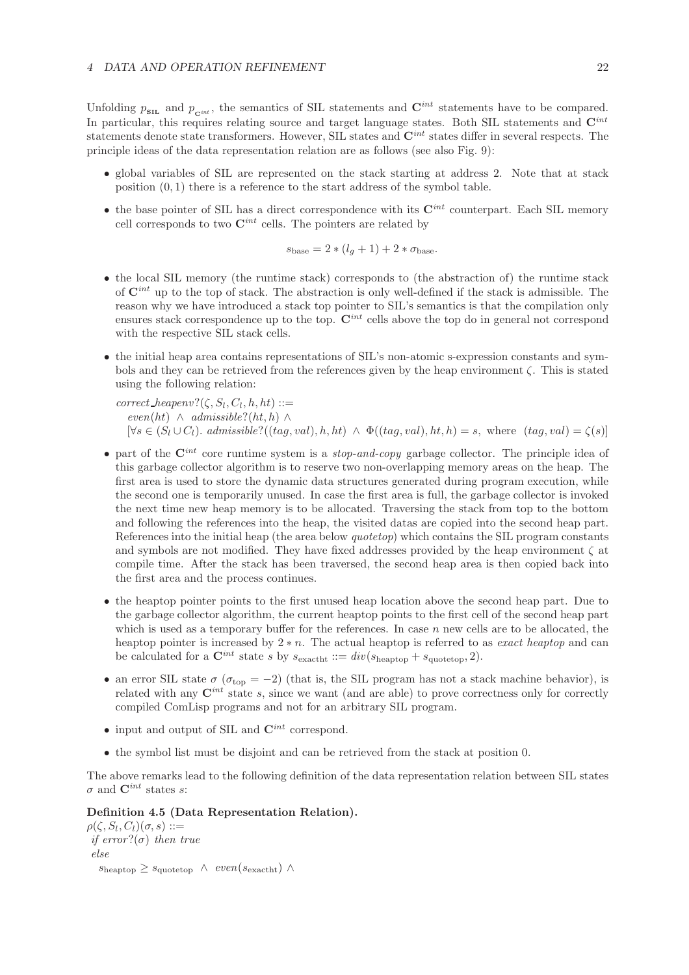Unfolding  $p_{\text{SL}}$  and  $p_{\text{C}^{int}}$ , the semantics of SIL statements and  $\mathbf{C}^{int}$  statements have to be compared. In particular, this requires relating source and target language states. Both SIL statements and  $\mathbf{C}^{int}$ statements denote state transformers. However, SIL states and **C***int* states differ in several respects. The principle ideas of the data representation relation are as follows (see also Fig. 9):

- global variables of SIL are represented on the stack starting at address 2. Note that at stack position  $(0, 1)$  there is a reference to the start address of the symbol table.
- the base pointer of SIL has a direct correspondence with its **C***int* counterpart. Each SIL memory cell corresponds to two **C***int* cells. The pointers are related by

$$
s_{\text{base}} = 2 * (l_g + 1) + 2 * \sigma_{\text{base}}.
$$

- the local SIL memory (the runtime stack) corresponds to (the abstraction of) the runtime stack of **C***int* up to the top of stack. The abstraction is only well-defined if the stack is admissible. The reason why we have introduced a stack top pointer to SIL's semantics is that the compilation only ensures stack correspondence up to the top.  $\mathbf{C}^{int}$  cells above the top do in general not correspond with the respective SIL stack cells.
- the initial heap area contains representations of SIL's non-atomic s-expression constants and symbols and they can be retrieved from the references given by the heap environment  $\zeta$ . This is stated using the following relation:
	- $correct\_heapenv?(\zeta, S_l, C_l, h, ht) ::=$  $even(ht) \wedge admissible?(ht, h) \wedge$  $[\forall s \in (S_l \cup C_l)]$ . *admissible*? $((taq, val), h, ht) \wedge \Phi((taq, val), ht, h) = s$ , where  $(taq, val) = \zeta(s)]$
- part of the **C***int* core runtime system is a *stop-and-copy* garbage collector. The principle idea of this garbage collector algorithm is to reserve two non-overlapping memory areas on the heap. The first area is used to store the dynamic data structures generated during program execution, while the second one is temporarily unused. In case the first area is full, the garbage collector is invoked the next time new heap memory is to be allocated. Traversing the stack from top to the bottom and following the references into the heap, the visited datas are copied into the second heap part. References into the initial heap (the area below *quotetop*) which contains the SIL program constants and symbols are not modified. They have fixed addresses provided by the heap environment  $\zeta$  at compile time. After the stack has been traversed, the second heap area is then copied back into the first area and the process continues.
- the heaptop pointer points to the first unused heap location above the second heap part. Due to the garbage collector algorithm, the current heaptop points to the first cell of the second heap part which is used as a temporary buffer for the references. In case  $n$  new cells are to be allocated, the heaptop pointer is increased by 2 ∗ n. The actual heaptop is referred to as *exact heaptop* and can be calculated for a  $\mathbf{C}^{int}$  state s by  $s_{\text{exact}} ::= div(s_{\text{heaptop}} + s_{\text{quotetop}}, 2)$ .
- an error SIL state  $\sigma$  ( $\sigma_{\text{top}} = -2$ ) (that is, the SIL program has not a stack machine behavior), is related with any  $\mathbf{C}^{int}$  state s, since we want (and are able) to prove correctness only for correctly compiled ComLisp programs and not for an arbitrary SIL program.
- input and output of SIL and **C***int* correspond.
- the symbol list must be disjoint and can be retrieved from the stack at position 0.

The above remarks lead to the following definition of the data representation relation between SIL states  $\sigma$  and  $\mathbf{C}^{int}$  states s:

## **Definition 4.5 (Data Representation Relation).**

```
\rho(\zeta, S_l, C_l)(\sigma, s) ::=if error?(σ) then true
 else
    s_{\text{heaptop}} \geq s_{\text{quotetop}} \ \wedge \ \text{even}(s_{\text{exactht}}) \ \wedge
```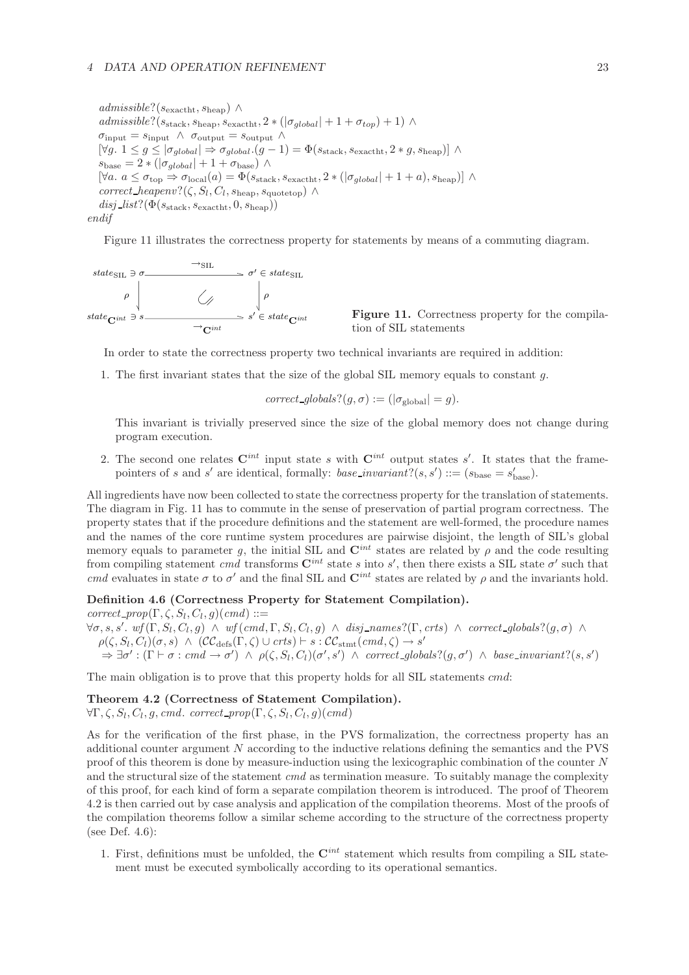*admissible*?(sexactht, sheap) ∧  $admissible?$  $(s<sub>stack</sub>, s<sub>heap</sub>, s<sub>exact</sub>)$ ,  $2 * (|\sigma_{global}| + 1 + \sigma_{top}) + 1)$  ∧  $\sigma_{\text{input}} = s_{\text{input}} \wedge \sigma_{\text{output}} = s_{\text{output}} \wedge$  $[\forall g. \ 1 \le g \le |\sigma_{global}| \Rightarrow \sigma_{global}.(g-1) = \Phi(s_{stack}, s_{\text{exactht}}, 2 * g, s_{\text{heap}})]$  $s_{\text{base}} = 2 * (|\sigma_{global}| + 1 + \sigma_{\text{base}})$  ∧  $[\forall a. a \leq \sigma_{\text{top}} \Rightarrow \sigma_{\text{local}}(a) = \Phi(s_{\text{stack}}, s_{\text{exactht}}, 2 * (|\sigma_{global}| + 1 + a), s_{\text{heap}})]$  $correct\_heapenv?(\zeta, S_l, C_l, s_{heap}, s_{quotetop}) \wedge$  $disj\_list?(\Phi(s_{stack}, s_{\text{exactht}}, 0, s_{\text{heap}}))$ *endif*

Figure 11 illustrates the correctness property for statements by means of a commuting diagram.

state<sub>SIL</sub> 
$$
\Rightarrow \sigma
$$
  $\rightarrow$  SIL  $\Rightarrow \sigma' \in state_{SIL}$   
\n $\rho$   
\nstate<sub>Cint</sub>  $\Rightarrow$   $\rightarrow$  Cint  
\n $\rightarrow$  Cint

**Figure 11.** Correctness property for the compilation of SIL statements

In order to state the correctness property two technical invariants are required in addition:

1. The first invariant states that the size of the global SIL memory equals to constant g.

$$
correct\_globals?(g, \sigma) := (|\sigma_{\text{global}}| = g).
$$

This invariant is trivially preserved since the size of the global memory does not change during program execution.

2. The second one relates  $\mathbf{C}^{int}$  input state s with  $\mathbf{C}^{int}$  output states s'. It states that the framepointers of s and s' are identical, formally: *base\_invariant*?(s, s') ::= ( $s_{base} = s'_{base}$ ).

All ingredients have now been collected to state the correctness property for the translation of statements. The diagram in Fig. 11 has to commute in the sense of preservation of partial program correctness. The property states that if the procedure definitions and the statement are well-formed, the procedure names and the names of the core runtime system procedures are pairwise disjoint, the length of SIL's global memory equals to parameter g, the initial SIL and  $\mathbf{C}^{int}$  states are related by  $\rho$  and the code resulting from compiling statement *cmd* transforms  $\mathbf{C}^{int}$  state s into s', then there exists a SIL state  $\sigma'$  such that *cmd* evaluates in state  $\sigma$  to  $\sigma'$  and the final SIL and  $\mathbf{C}^{int}$  states are related by  $\rho$  and the invariants hold.

#### **Definition 4.6 (Correctness Property for Statement Compilation).**

 $correct\_prop(\Gamma, \zeta, S_l, C_l, g)(cmd) ::=$ 

 $\forall \sigma, s, s'. \text{ wf } (\Gamma, S_l, C_l, g) \land \text{ wf } (cmd, \Gamma, S_l, C_l, g) \land disj\_names?(\Gamma, crts) \land correct\_globals?(g, \sigma) \land (CG \cap C) \land (CG \cap C) \land (CG \cap C) \land (CG \cap C) \land (CG \cap C) \land (CG \cap C) \land (CG \cap C) \land (CG \cap C) \land (CG \cap C) \land (CG \cap C) \land (CG \cap C) \land (CG \cap C) \land (CG \cap C) \land (CG \cap C) \land (CG \cap C) \land (CG \cap C) \land (CG \cap C) \land (CG \cap C) \land$  $\rho(\zeta, S_l, C_l)(\sigma, s) \wedge (C\mathcal{C}_{\text{defs}}(\Gamma, \zeta) \cup crts) \vdash s : C\mathcal{C}_{\text{stmt}}(cmd, \zeta) \rightarrow s'$  $\Rightarrow \exists \sigma': (\Gamma \vdash \sigma : cmd \rightarrow \sigma') \land \rho(\zeta, S_l, C_l)(\sigma', s') \land correct\_globals? (g, \sigma') \land base\_invariant? (s, s')$ 

The main obligation is to prove that this property holds for all SIL statements  $cmd$ :

#### **Theorem 4.2 (Correctness of Statement Compilation).**

 $\forall \Gamma, \zeta, S_l, C_l, g, cmd.$  *correct\_prop* $(\Gamma, \zeta, S_l, C_l, g)(cmd)$ 

As for the verification of the first phase, in the PVS formalization, the correctness property has an additional counter argument N according to the inductive relations defining the semantics and the PVS proof of this theorem is done by measure-induction using the lexicographic combination of the counter N and the structural size of the statement *cmd* as termination measure. To suitably manage the complexity of this proof, for each kind of form a separate compilation theorem is introduced. The proof of Theorem 4.2 is then carried out by case analysis and application of the compilation theorems. Most of the proofs of the compilation theorems follow a similar scheme according to the structure of the correctness property (see Def. 4.6):

1. First, definitions must be unfolded, the **C***int* statement which results from compiling a SIL statement must be executed symbolically according to its operational semantics.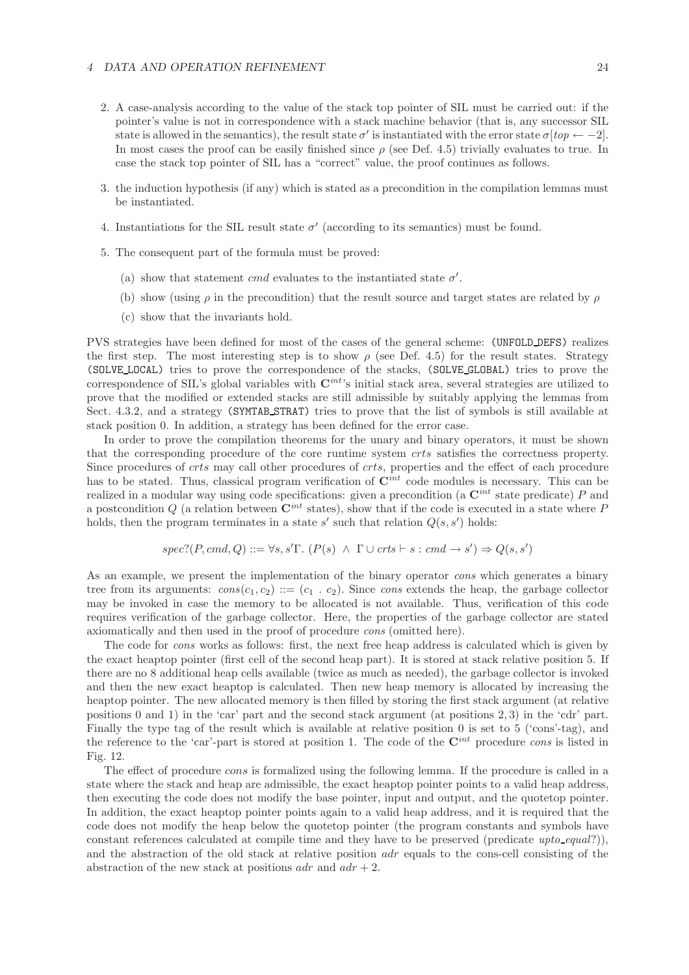#### *4 DATA AND OPERATION REFINEMENT* 24

- 2. A case-analysis according to the value of the stack top pointer of SIL must be carried out: if the pointer's value is not in correspondence with a stack machine behavior (that is, any successor SIL state is allowed in the semantics), the result state  $\sigma'$  is instantiated with the error state  $\sigma[top \leftarrow -2]$ . In most cases the proof can be easily finished since  $\rho$  (see Def. 4.5) trivially evaluates to true. In case the stack top pointer of SIL has a "correct" value, the proof continues as follows.
- 3. the induction hypothesis (if any) which is stated as a precondition in the compilation lemmas must be instantiated.
- 4. Instantiations for the SIL result state  $\sigma'$  (according to its semantics) must be found.
- 5. The consequent part of the formula must be proved:
	- (a) show that statement cmd evaluates to the instantiated state  $\sigma'$ .
	- (b) show (using  $\rho$  in the precondition) that the result source and target states are related by  $\rho$
	- (c) show that the invariants hold.

PVS strategies have been defined for most of the cases of the general scheme: (UNFOLD DEFS) realizes the first step. The most interesting step is to show  $\rho$  (see Def. 4.5) for the result states. Strategy (SOLVE LOCAL) tries to prove the correspondence of the stacks, (SOLVE GLOBAL) tries to prove the correspondence of SIL's global variables with **C***int*'s initial stack area, several strategies are utilized to prove that the modified or extended stacks are still admissible by suitably applying the lemmas from Sect. 4.3.2, and a strategy (SYMTAB STRAT) tries to prove that the list of symbols is still available at stack position 0. In addition, a strategy has been defined for the error case.

In order to prove the compilation theorems for the unary and binary operators, it must be shown that the corresponding procedure of the core runtime system crts satisfies the correctness property. Since procedures of crts may call other procedures of crts, properties and the effect of each procedure has to be stated. Thus, classical program verification of **C***int* code modules is necessary. This can be realized in a modular way using code specifications: given a precondition (a **C***int* state predicate) P and a postcondition  $Q$  (a relation between  $\mathbf{C}^{int}$  states), show that if the code is executed in a state where  $P$ holds, then the program terminates in a state s' such that relation  $Q(s, s')$  holds:

$$
spec?(P, cmd, Q) ::= \forall s, s' \Gamma. (P(s) \land \Gamma \cup crts \vdash s : cmd \rightarrow s') \Rightarrow Q(s, s')
$$

As an example, we present the implementation of the binary operator *cons* which generates a binary tree from its arguments:  $cons(c_1, c_2) ::= (c_1, c_2)$ . Since *cons* extends the heap, the garbage collector may be invoked in case the memory to be allocated is not available. Thus, verification of this code requires verification of the garbage collector. Here, the properties of the garbage collector are stated axiomatically and then used in the proof of procedure *cons* (omitted here).

The code for *cons* works as follows: first, the next free heap address is calculated which is given by the exact heaptop pointer (first cell of the second heap part). It is stored at stack relative position 5. If there are no 8 additional heap cells available (twice as much as needed), the garbage collector is invoked and then the new exact heaptop is calculated. Then new heap memory is allocated by increasing the heaptop pointer. The new allocated memory is then filled by storing the first stack argument (at relative positions 0 and 1) in the 'car' part and the second stack argument (at positions 2, 3) in the 'cdr' part. Finally the type tag of the result which is available at relative position 0 is set to 5 ('cons'-tag), and the reference to the 'car'-part is stored at position 1. The code of the **C***int* procedure *cons* is listed in Fig. 12.

The effect of procedure cons is formalized using the following lemma. If the procedure is called in a state where the stack and heap are admissible, the exact heaptop pointer points to a valid heap address, then executing the code does not modify the base pointer, input and output, and the quotetop pointer. In addition, the exact heaptop pointer points again to a valid heap address, and it is required that the code does not modify the heap below the quotetop pointer (the program constants and symbols have constant references calculated at compile time and they have to be preserved (predicate *upto equal*?)), and the abstraction of the old stack at relative position adr equals to the cons-cell consisting of the abstraction of the new stack at positions  $adr$  and  $adr + 2$ .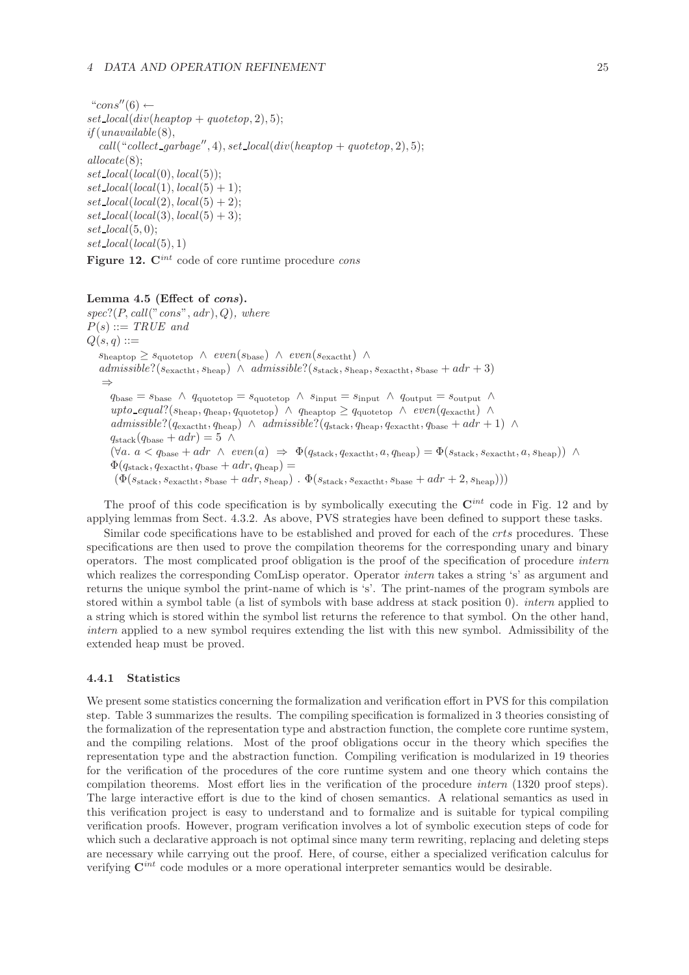"cons" $(6) \leftarrow$  $set\_local(div(headrop + quoteop, 2), 5);$ *if* (*unavailable*(8),  $call("collect_garbage", 4), set\_local(div(headpop + quotepop, 2), 5);$ *allocate*(8); *set local*(*local*(0), *local*(5));  $set\_local(local(1), local(5) + 1);$  $set\_local(local(2), local(5) + 2);$  $set\_local(local(3), local(5) + 3);$ *set local*(5, 0);  $set\_local(local(5), 1)$ **Figure 12. C***int* code of core runtime procedure *cons*

### **Lemma 4.5 (Effect of** *cons***).**

*spec*?(P, *call*("*cons*", *adr* ), Q)*, where*  $P(s) ::= TRUE$  and  $Q(s,q) ::=$  $s_{\text{heaptop}} \geq s_{\text{quotetop}} \land \text{even}(s_{\text{base}}) \land \text{even}(s_{\text{exactht}}) \land$  $admissible?(s_{\text{exactht}}, s_{\text{heap}}) \land admissible?(s_{\text{stack}}, s_{\text{heap}}, s_{\text{exactht}}, s_{\text{base}} + adr + 3)$ ⇒  $q_{base} = s_{base} \wedge q_{quotetop} = s_{quotetop} \wedge s_{input} = s_{input} \wedge q_{output} = s_{output} \wedge$  $upto\_equal$ ?( $s_{\text{heap}}, q_{\text{heap}}, q_{\text{quotetop}})$  ∧  $q_{\text{heaptop}} \geq q_{\text{quotetop}}$  ∧  $even(q_{\text{exactht}})$  ∧  $admissible?$  $(q<sub>exactht</sub>, q<sub>heap</sub>) \wedge admissible?$  $(q<sub>stack</sub>, q<sub>heap</sub>, q<sub>exactht</sub>, q<sub>base</sub> + adr + 1) \wedge d*missible*$  $q_{\text{stack}}(q_{\text{base}} + adr) = 5 \land$  $(\forall a. \ a < q_{\text{base}} + adr \ \wedge \ \text{even}(a) \ \Rightarrow \ \Phi(q_{\text{stack}}, q_{\text{exact}}), a, q_{\text{heap}}) = \Phi(s_{\text{stack}}, s_{\text{exact}}), a, s_{\text{heap}}) \ \wedge$  $\Phi(q_{\text{stack}}, q_{\text{exactht}}, q_{\text{base}} + adr, q_{\text{heap}}) =$  $(\Phi(s_{\text{stack}}, s_{\text{exact}}), \ldots, s_{\text{base}} + \ldots, s_{\text{mean}})$ .  $\Phi(s_{\text{stack}}, s_{\text{exact}}), s_{\text{base}} + \ldots, s_{\text{heap}}))$ 

The proof of this code specification is by symbolically executing the **C***int* code in Fig. 12 and by applying lemmas from Sect. 4.3.2. As above, PVS strategies have been defined to support these tasks.

Similar code specifications have to be established and proved for each of the *crts* procedures. These specifications are then used to prove the compilation theorems for the corresponding unary and binary operators. The most complicated proof obligation is the proof of the specification of procedure *intern* which realizes the corresponding ComLisp operator. Operator *intern* takes a string 's' as argument and returns the unique symbol the print-name of which is 's'. The print-names of the program symbols are stored within a symbol table (a list of symbols with base address at stack position 0). *intern* applied to a string which is stored within the symbol list returns the reference to that symbol. On the other hand, *intern* applied to a new symbol requires extending the list with this new symbol. Admissibility of the extended heap must be proved.

#### **4.4.1 Statistics**

We present some statistics concerning the formalization and verification effort in PVS for this compilation step. Table 3 summarizes the results. The compiling specification is formalized in 3 theories consisting of the formalization of the representation type and abstraction function, the complete core runtime system, and the compiling relations. Most of the proof obligations occur in the theory which specifies the representation type and the abstraction function. Compiling verification is modularized in 19 theories for the verification of the procedures of the core runtime system and one theory which contains the compilation theorems. Most effort lies in the verification of the procedure *intern* (1320 proof steps). The large interactive effort is due to the kind of chosen semantics. A relational semantics as used in this verification project is easy to understand and to formalize and is suitable for typical compiling verification proofs. However, program verification involves a lot of symbolic execution steps of code for which such a declarative approach is not optimal since many term rewriting, replacing and deleting steps are necessary while carrying out the proof. Here, of course, either a specialized verification calculus for verifying **C***int* code modules or a more operational interpreter semantics would be desirable.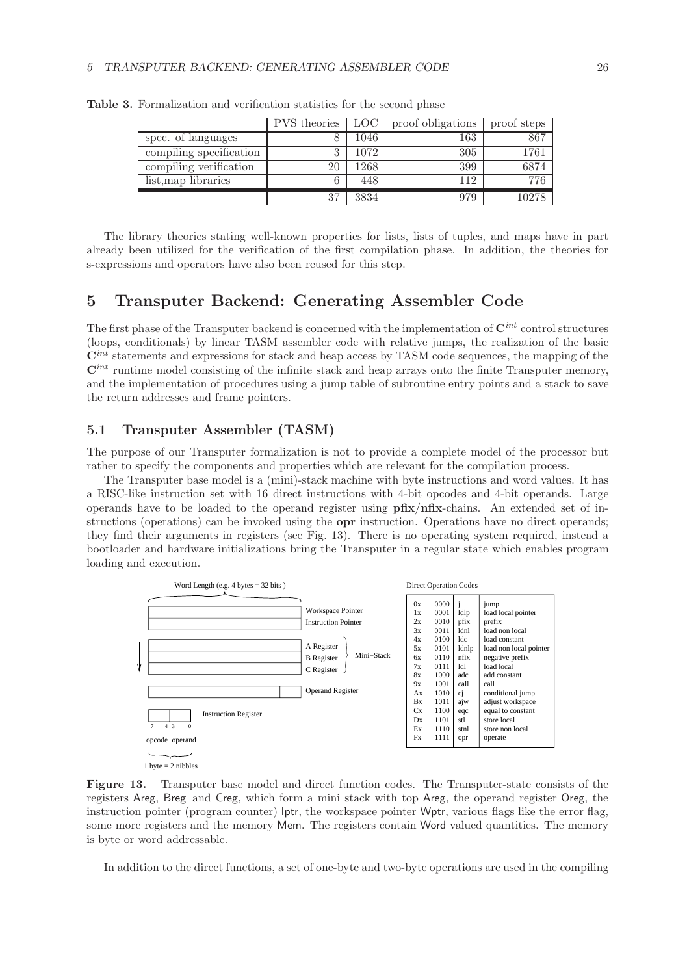|                         |    |      | PVS theories   LOC   proof obligations | proof steps |
|-------------------------|----|------|----------------------------------------|-------------|
| spec. of languages      |    | 1046 | 163                                    | 867         |
| compiling specification | ົ  | 1072 | 305                                    | 1761        |
| compiling verification  | 20 | 1268 | 399                                    | 6874        |
| list, map libraries     | 6  | 448  | 112                                    | 776         |
|                         | 37 | 3834 | 979                                    | 10278       |

**Table 3.** Formalization and verification statistics for the second phase

The library theories stating well-known properties for lists, lists of tuples, and maps have in part already been utilized for the verification of the first compilation phase. In addition, the theories for s-expressions and operators have also been reused for this step.

## **5 Transputer Backend: Generating Assembler Code**

The first phase of the Transputer backend is concerned with the implementation of **C***int* control structures (loops, conditionals) by linear TASM assembler code with relative jumps, the realization of the basic  $\mathbf{C}^{int}$  statements and expressions for stack and heap access by TASM code sequences, the mapping of the **C***int* runtime model consisting of the infinite stack and heap arrays onto the finite Transputer memory, and the implementation of procedures using a jump table of subroutine entry points and a stack to save the return addresses and frame pointers.

## **5.1 Transputer Assembler (TASM)**

The purpose of our Transputer formalization is not to provide a complete model of the processor but rather to specify the components and properties which are relevant for the compilation process.

The Transputer base model is a (mini)-stack machine with byte instructions and word values. It has a RISC-like instruction set with 16 direct instructions with 4-bit opcodes and 4-bit operands. Large operands have to be loaded to the operand register using **pfix**/**nfix**-chains. An extended set of instructions (operations) can be invoked using the **opr** instruction. Operations have no direct operands; they find their arguments in registers (see Fig. 13). There is no operating system required, instead a bootloader and hardware initializations bring the Transputer in a regular state which enables program loading and execution.



**Figure 13.** Transputer base model and direct function codes. The Transputer-state consists of the registers Areg, Breg and Creg, which form a mini stack with top Areg, the operand register Oreg, the instruction pointer (program counter) Iptr, the workspace pointer Wptr, various flags like the error flag, some more registers and the memory Mem. The registers contain Word valued quantities. The memory is byte or word addressable.

In addition to the direct functions, a set of one-byte and two-byte operations are used in the compiling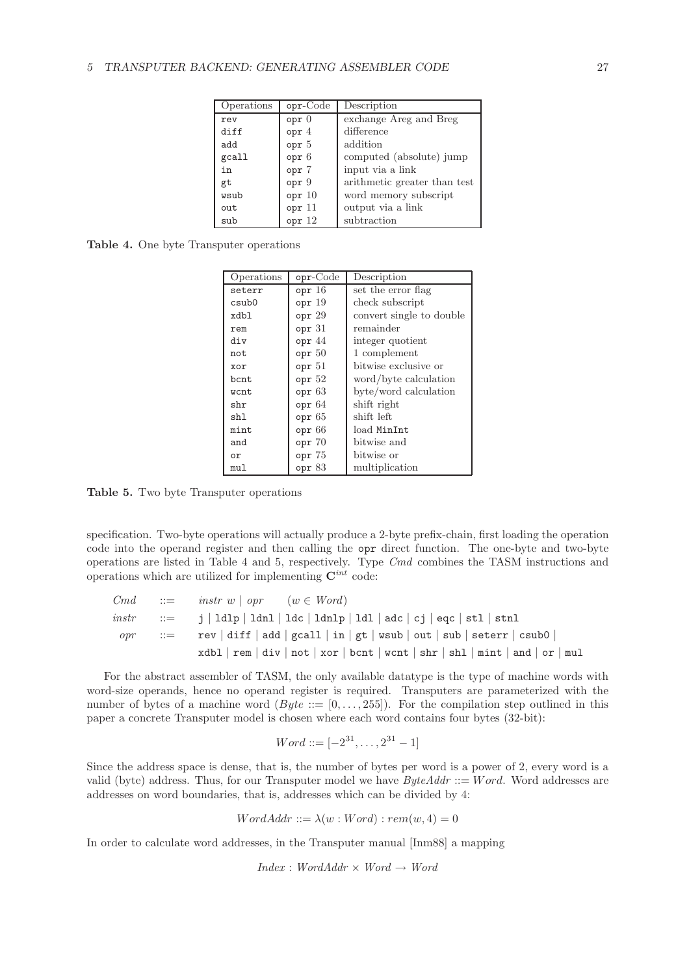| Operations | opr-Code        | Description                  |
|------------|-----------------|------------------------------|
| rev        | opp 0           | exchange Areg and Breg       |
| diff       | opr 4           | difference                   |
| add        | opr 5           | addition                     |
| gcall      | opt 6           | computed (absolute) jump     |
| in         | opr 7           | input via a link             |
| gt         | opr 9           | arithmetic greater than test |
| wsub       | opr 10          | word memory subscript        |
| out        | opr 11          | output via a link            |
| sub        | $_{\rm opr}$ 12 | subtraction                  |

**Table 4.** One byte Transputer operations

| Operations | $opr-Code$        | Description              |
|------------|-------------------|--------------------------|
| seterr     | opr 16            | set the error flag       |
| csub0      | $_{\rm opr}$ 19   | check subscript          |
| xdbl       | $_{\rm opr}$ $29$ | convert single to double |
| rem        | $_{\rm opr}$ 31   | remainder                |
| div        | opr 44            | integer quotient         |
| not        | $_{\rm opr}$ $50$ | 1 complement             |
| xor        | $_{\rm opr}$ 51   | bitwise exclusive or     |
| bcnt       | $_{\rm opr}$ $52$ | word/byte calculation    |
| wcnt       | $_{\rm opr}$ 63   | byte/word calculation    |
| shr        | opp 64            | shift right              |
| shl        | $_{\rm opr}$ 65   | shift left               |
| mint       | opp 66            | load MinInt              |
| and        | opr <sub>70</sub> | bitwise and              |
| or         | opr 75            | bitwise or               |
| mul        | $_{\rm$ opr $83$  | multiplication           |

**Table 5.** Two byte Transputer operations

specification. Two-byte operations will actually produce a 2-byte prefix-chain, first loading the operation code into the operand register and then calling the opr direct function. The one-byte and two-byte operations are listed in Table 4 and 5, respectively. Type *Cmd* combines the TASM instructions and operations which are utilized for implementing **C***int* code:

| Cmd        | $\therefore =$ instr w   opr (w $\in$ Word)                                    |
|------------|--------------------------------------------------------------------------------|
|            | $instr$ ::= i   ldlp   ldnl   ldc   ldnlp   ldl   adc   cj   eqc   stl   stnl  |
| $\it{opr}$ | $ ::=$ rev   diff   add   gcall   in   gt   wsub   out   sub   seterr   csub0  |
|            | $xdbl$ rem   div   not   xor   bcnt   wcnt   shr   shl   mint   and   or   mul |

For the abstract assembler of TASM, the only available datatype is the type of machine words with word-size operands, hence no operand register is required. Transputers are parameterized with the number of bytes of a machine word  $(Byte ::= [0, \ldots, 255])$ . For the compilation step outlined in this paper a concrete Transputer model is chosen where each word contains four bytes (32-bit):

$$
Word ::= [-2^{31}, \dots, 2^{31} - 1]
$$

Since the address space is dense, that is, the number of bytes per word is a power of 2, every word is a valid (byte) address. Thus, for our Transputer model we have *ByteAddr* ::= Word. Word addresses are addresses on word boundaries, that is, addresses which can be divided by 4:

$$
WordAddr ::= \lambda(w:Word) : rem(w, 4) = 0
$$

In order to calculate word addresses, in the Transputer manual [Inm88] a mapping

*Index* : *WordAddr* × *Word* → *Word*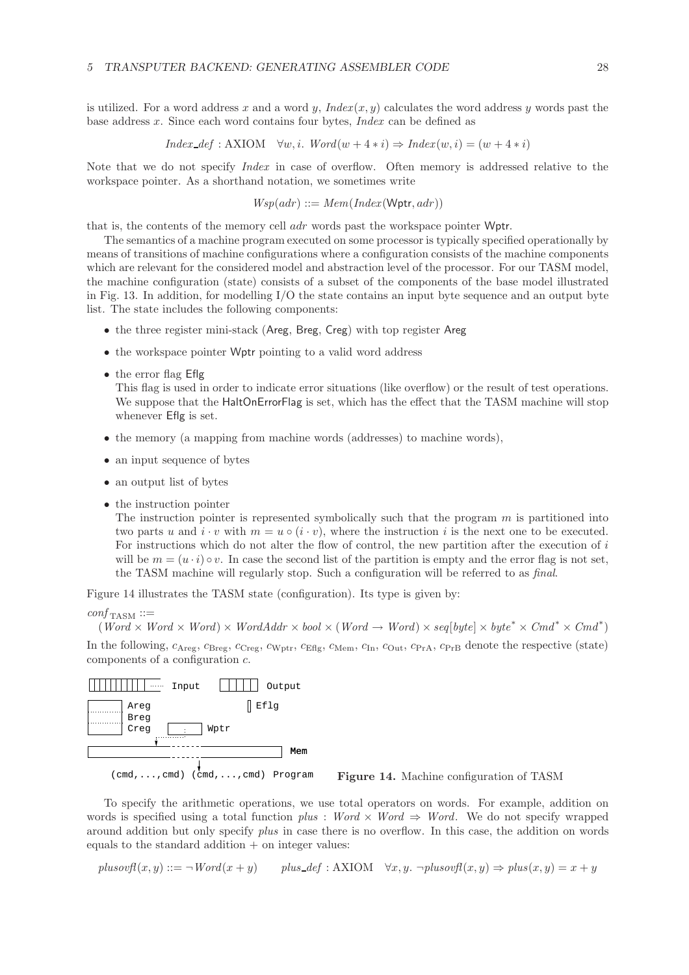is utilized. For a word address x and a word y,  $Index(x, y)$  calculates the word address y words past the base address x. Since each word contains four bytes, *Index* can be defined as

$$
Index\_def:AXIOM \quad \forall w, i. \quad Word(w + 4 * i) \Rightarrow Index(w, i) = (w + 4 * i)
$$

Note that we do not specify *Index* in case of overflow. Often memory is addressed relative to the workspace pointer. As a shorthand notation, we sometimes write

$$
Wsp(adr) ::= Mem(Index(\mathsf{Wptr},adr))
$$

that is, the contents of the memory cell adr words past the workspace pointer Wptr.

The semantics of a machine program executed on some processor is typically specified operationally by means of transitions of machine configurations where a configuration consists of the machine components which are relevant for the considered model and abstraction level of the processor. For our TASM model, the machine configuration (state) consists of a subset of the components of the base model illustrated in Fig. 13. In addition, for modelling I/O the state contains an input byte sequence and an output byte list. The state includes the following components:

- the three register mini-stack (Areg, Breg, Creg) with top register Areg
- the workspace pointer Wptr pointing to a valid word address
- the error flag Eflg

This flag is used in order to indicate error situations (like overflow) or the result of test operations. We suppose that the HaltOnErrorFlag is set, which has the effect that the TASM machine will stop whenever Eflg is set.

- the memory (a mapping from machine words (addresses) to machine words),
- an input sequence of bytes
- an output list of bytes
- the instruction pointer

The instruction pointer is represented symbolically such that the program  $m$  is partitioned into two parts u and  $i \cdot v$  with  $m = u \circ (i \cdot v)$ , where the instruction i is the next one to be executed. For instructions which do not alter the flow of control, the new partition after the execution of i will be  $m = (u \cdot i) \circ v$ . In case the second list of the partition is empty and the error flag is not set, the TASM machine will regularly stop. Such a configuration will be referred to as *final*.

Figure 14 illustrates the TASM state (configuration). Its type is given by:

```
\textit{conf}_{\text{TASM}} ::=
```
 $(Word \times Word \times Word) \times Wordadv \times bool \times (Word \rightarrow Word) \times seq[byte] \times byte^* \times Cmd^* \times Cmd^*$ 

In the following,  $c_{\text{Areg}}, c_{\text{Breg}}, c_{\text{Creg}}, c_{\text{Wptr}}, c_{\text{Eflg}}, c_{\text{Mem}}, c_{\text{In}}, c_{\text{Out}}, c_{\text{PrA}}, c_{\text{PrB}}$  denote the respective (state) components of a configuration c.



**Figure 14.** Machine configuration of TASM

To specify the arithmetic operations, we use total operators on words. For example, addition on words is specified using a total function  $plus$  : *Word*  $\times$  *Word*  $\Rightarrow$  *Word*. We do not specify wrapped around addition but only specify *plus* in case there is no overflow. In this case, the addition on words equals to the standard addition  $+$  on integer values:

 $plus\text{ovf}(x, y) ::= \neg \text{Word}(x + y)$  *plus*  $\text{def}: AXIOM \quad \forall x, y. \neg \text{plus}\text{ovf}(x, y) \Rightarrow \text{plus}(x, y) = x + y$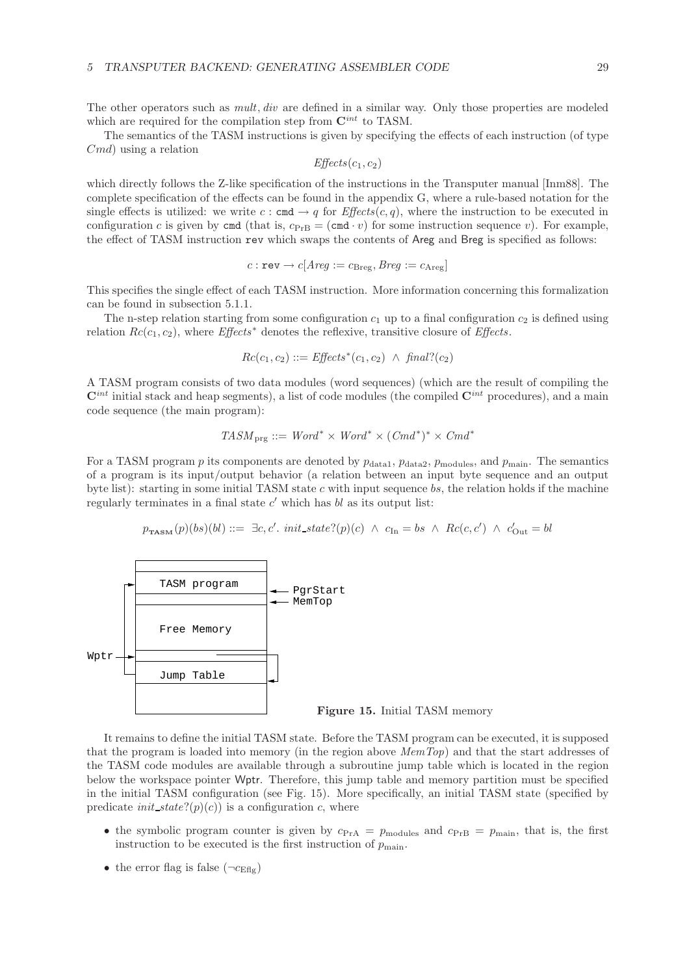The other operators such as *mult*, *div* are defined in a similar way. Only those properties are modeled which are required for the compilation step from  $\mathbf{C}^{int}$  to TASM.

The semantics of the TASM instructions is given by specifying the effects of each instruction (of type  $Cmd$ ) using a relation

$$
\textit{Effects}(c_1, c_2)
$$

which directly follows the Z-like specification of the instructions in the Transputer manual [Inm88]. The complete specification of the effects can be found in the appendix G, where a rule-based notation for the single effects is utilized: we write  $c : \text{cmd} \rightarrow q$  for  $\text{Effects}(c, q)$ , where the instruction to be executed in configuration c is given by cmd (that is,  $c_{\text{PrB}} = (\text{cmd} \cdot v)$  for some instruction sequence v). For example, the effect of TASM instruction rev which swaps the contents of Areg and Breg is specified as follows:

$$
c: \texttt{rev} \rightarrow c[Arg := c_{\text{Breg}}, Breg := c_{\text{Areg}}]
$$

This specifies the single effect of each TASM instruction. More information concerning this formalization can be found in subsection 5.1.1.

The n-step relation starting from some configuration  $c_1$  up to a final configuration  $c_2$  is defined using relation Rc(c1, c2), where *Effects*<sup>∗</sup> denotes the reflexive, transitive closure of *Effects*.

$$
Rc(c_1, c_2) ::= \textit{Effects}^*(c_1, c_2) \ \wedge \ \textit{final?}(c_2)
$$

A TASM program consists of two data modules (word sequences) (which are the result of compiling the  $\mathbf{C}^{int}$  initial stack and heap segments), a list of code modules (the compiled  $\mathbf{C}^{int}$  procedures), and a main code sequence (the main program):

$$
TASM_{\text{prg}} ::= Word^* \times Word^* \times (Cmd^*)^* \times Cmd^*
$$

For a TASM program p its components are denoted by  $p_{data1}$ ,  $p_{data2}$ ,  $p_{modules}$ , and  $p_{main}$ . The semantics of a program is its input/output behavior (a relation between an input byte sequence and an output byte list): starting in some initial TASM state c with input sequence bs, the relation holds if the machine regularly terminates in a final state  $c'$  which has bl as its output list:

 $p_{\texttt{TASM}}(p)(bs)(bl) ::= \exists c, c'.\ init\_state? (p)(c) \land c_{\text{In}} = bs \land \textit{Rc}(c, c') \land c'_{\text{Out}} = bl$ 



It remains to define the initial TASM state. Before the TASM program can be executed, it is supposed that the program is loaded into memory (in the region above *MemTop*) and that the start addresses of the TASM code modules are available through a subroutine jump table which is located in the region below the workspace pointer Wptr. Therefore, this jump table and memory partition must be specified in the initial TASM configuration (see Fig. 15). More specifically, an initial TASM state (specified by predicate *init\_state*?( $p$ )( $c$ )) is a configuration c, where

- the symbolic program counter is given by  $c_{PrA} = p_{\text{modules}}$  and  $c_{PrB} = p_{\text{main}}$ , that is, the first instruction to be executed is the first instruction of  $p_{\text{main}}$ .
- the error flag is false  $(\neg c_{\text{Eflg}})$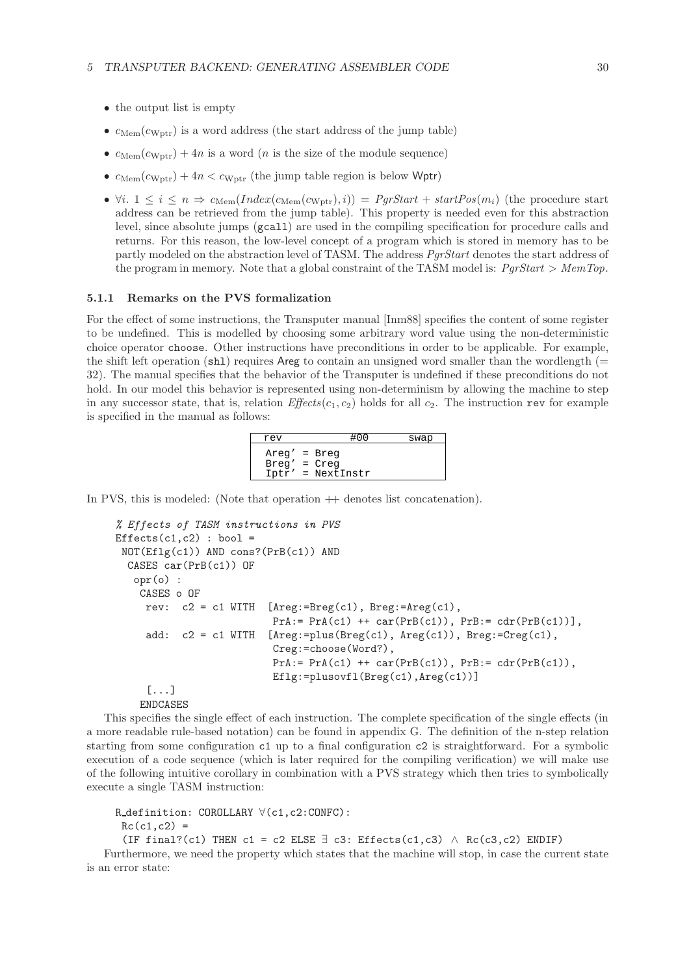- the output list is empty
- $c_{\text{Mem}}(c_{\text{Wptr}})$  is a word address (the start address of the jump table)
- $c_{\text{Mem}}(c_{\text{Wptr}})+4n$  is a word (*n* is the size of the module sequence)
- $c_{\text{Mem}}(c_{\text{Wptr}})+4n < c_{\text{Wptr}}$  (the jump table region is below Wptr)
- $\forall i. 1 \leq i \leq n \Rightarrow c_{\text{Mem}}(Index(c_{\text{Wern}}(c_{\text{Wptr}}), i)) = PgrStart + startPos(m_i)$  (the procedure start address can be retrieved from the jump table). This property is needed even for this abstraction level, since absolute jumps (gcall) are used in the compiling specification for procedure calls and returns. For this reason, the low-level concept of a program which is stored in memory has to be partly modeled on the abstraction level of TASM. The address *PgrStart* denotes the start address of the program in memory. Note that a global constraint of the TASM model is: *PgrStart* > *MemTop*.

### **5.1.1 Remarks on the PVS formalization**

For the effect of some instructions, the Transputer manual [Inm88] specifies the content of some register to be undefined. This is modelled by choosing some arbitrary word value using the non-deterministic choice operator choose. Other instructions have preconditions in order to be applicable. For example, the shift left operation (sh<sub>1</sub>) requires Areg to contain an unsigned word smaller than the wordlength ( $=$ 32). The manual specifies that the behavior of the Transputer is undefined if these preconditions do not hold. In our model this behavior is represented using non-determinism by allowing the machine to step in any successor state, that is, relation *Effects*( $c_1$ ,  $c_2$ ) holds for all  $c_2$ . The instruction rev for example is specified in the manual as follows:

| rev                              | #00                 | swap |
|----------------------------------|---------------------|------|
| $Area' = Breq$<br>$Breq' = Creq$ | $Iptr' = NextInstr$ |      |

In PVS, this is modeled: (Note that operation  $+$  denotes list concatenation).

```
% Effects of TASM instructions in PVS
Effects(c1, c2) : bool =
 NOT(Eflg(c1)) AND cons?(PrB(c1)) AND
 CASES car(PrB(c1)) OF
   opr(o) :
    CASES o OF
     rev: c2 = c1 WITH [Areg:=Breg(c1), Breg:=Areg(c1),
                         PrA := PrA(c1) ++ car(PrB(c1)), PrB := cdr(PrB(c1))],add: c2 = c1 WITH [Areg:=plus(Breg(c1), Areg(c1)), Breg:=Creg(c1),
                          Creg:=choose(Word?),
                          PrA := PrA(c1) ++ car(PrB(c1)), PrB := cdr(PrB(c1)),Eflg:=plusovfl(Breg(c1),Areg(c1))]
     [...]
    ENDCASES
```
This specifies the single effect of each instruction. The complete specification of the single effects (in a more readable rule-based notation) can be found in appendix G. The definition of the n-step relation starting from some configuration c1 up to a final configuration c2 is straightforward. For a symbolic execution of a code sequence (which is later required for the compiling verification) we will make use of the following intuitive corollary in combination with a PVS strategy which then tries to symbolically execute a single TASM instruction:

```
R definition: COROLLARY ∀(c1,c2:CONFC):
```

```
Rc(c1, c2) =
```

```
(IF final?(c1) THEN c1 = c2 ELSE \exists c3: Effects(c1,c3) \land Rc(c3,c2) ENDIF)
```
Furthermore, we need the property which states that the machine will stop, in case the current state is an error state: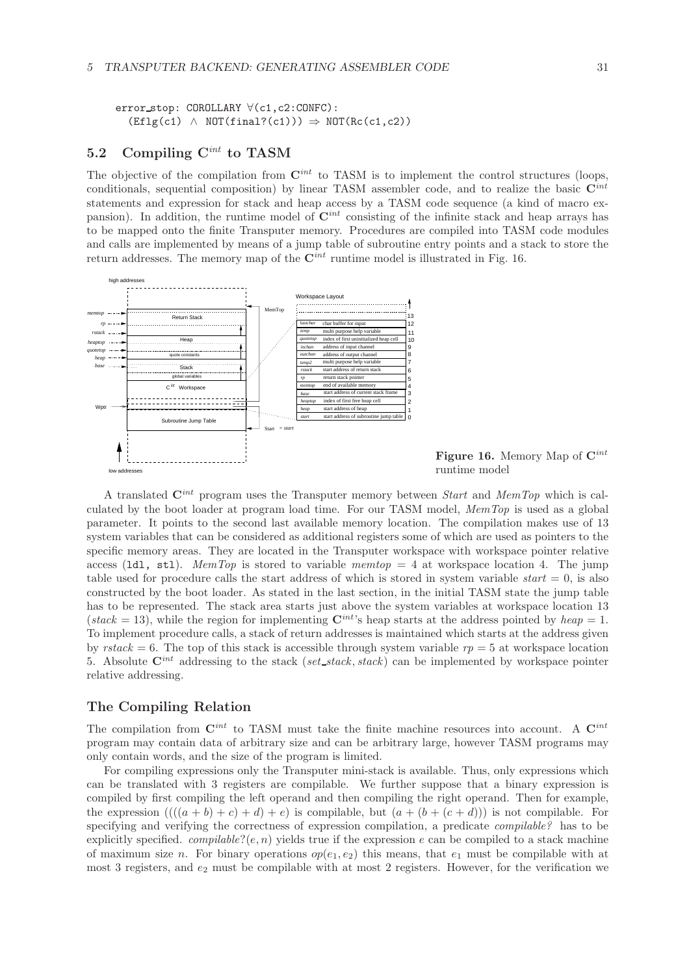error\_stop: COROLLARY ∀(c1,c2:CONFC):  $(Eflg(c1) \wedge NOT(final?(c1))) \Rightarrow NOT(Rc(c1, c2))$ 

## **5.2 Compiling C***int* **to TASM**

The objective of the compilation from **C***int* to TASM is to implement the control structures (loops, conditionals, sequential composition) by linear TASM assembler code, and to realize the basic **C***int* statements and expression for stack and heap access by a TASM code sequence (a kind of macro expansion). In addition, the runtime model of **C***int* consisting of the infinite stack and heap arrays has to be mapped onto the finite Transputer memory. Procedures are compiled into TASM code modules and calls are implemented by means of a jump table of subroutine entry points and a stack to store the return addresses. The memory map of the  $\mathbf{C}^{int}$  runtime model is illustrated in Fig. 16.



**Figure 16.** Memory Map of **C***int* runtime model

A translated **C***int* program uses the Transputer memory between *Start* and *MemTop* which is calculated by the boot loader at program load time. For our TASM model, *MemTop* is used as a global parameter. It points to the second last available memory location. The compilation makes use of 13 system variables that can be considered as additional registers some of which are used as pointers to the specific memory areas. They are located in the Transputer workspace with workspace pointer relative access (ldl, stl). *MemTop* is stored to variable *memtop* = 4 at workspace location 4. The jump table used for procedure calls the start address of which is stored in system variable *start* = 0, is also constructed by the boot loader. As stated in the last section, in the initial TASM state the jump table has to be represented. The stack area starts just above the system variables at workspace location 13 (*stack* = 13), while the region for implementing  $\mathbf{C}^{int}$ 's heap starts at the address pointed by *heap* = 1. To implement procedure calls, a stack of return addresses is maintained which starts at the address given by *rstack* = 6. The top of this stack is accessible through system variable  $rp = 5$  at workspace location 5. Absolute **C***int* addressing to the stack (*set stack*, *stack*) can be implemented by workspace pointer relative addressing.

## **The Compiling Relation**

The compilation from  $\mathbf{C}^{int}$  to TASM must take the finite machine resources into account. A  $\mathbf{C}^{int}$ program may contain data of arbitrary size and can be arbitrary large, however TASM programs may only contain words, and the size of the program is limited.

For compiling expressions only the Transputer mini-stack is available. Thus, only expressions which can be translated with 3 registers are compilable. We further suppose that a binary expression is compiled by first compiling the left operand and then compiling the right operand. Then for example, the expression  $(((a + b) + c) + d) + e)$  is compilable, but  $(a + (b + (c + d)))$  is not compilable. For specifying and verifying the correctness of expression compilation, a predicate *compilable?* has to be explicitly specified. *compilable*?( $e, n$ ) yields true if the expression  $e$  can be compiled to a stack machine of maximum size n. For binary operations  $op(e_1, e_2)$  this means, that  $e_1$  must be compilable with at most 3 registers, and  $e_2$  must be compilable with at most 2 registers. However, for the verification we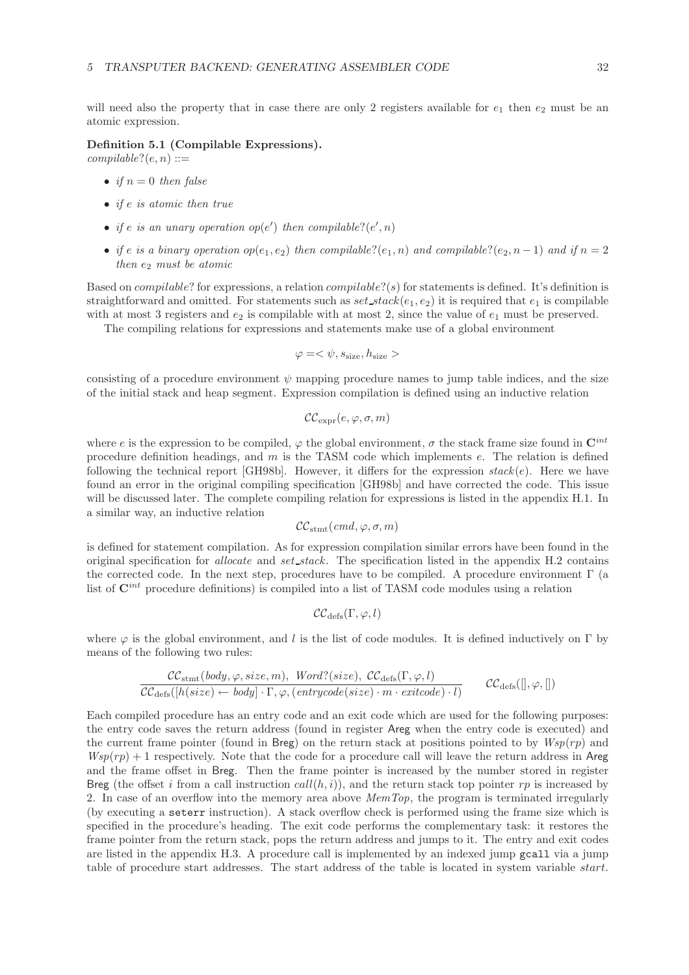will need also the property that in case there are only 2 registers available for  $e_1$  then  $e_2$  must be an atomic expression.

#### **Definition 5.1 (Compilable Expressions).**

 $complable?$  $(e, n) ::=$ 

- *if*  $n = 0$  *then false*
- *if* e *is atomic then true*
- *if*  $e$  *is an unary operation op*( $e'$ ) *then compilable*?( $e', n$ )
- *if* e *is a binary operation*  $op(e_1, e_2)$  *then compilable*? $(e_1, n)$  *and compilable*? $(e_2, n-1)$  *and if*  $n = 2$ *then*  $e_2$  *must be atomic*

Based on *compilable*? for expressions, a relation *compilable*?(s) for statements is defined. It's definition is straightforward and omitted. For statements such as  $set\_stack(e_1, e_2)$  it is required that  $e_1$  is compilable with at most 3 registers and  $e_2$  is compilable with at most 2, since the value of  $e_1$  must be preserved.

The compiling relations for expressions and statements make use of a global environment

$$
\varphi = \langle \psi, s_{\text{size}}, h_{\text{size}} \rangle
$$

consisting of a procedure environment  $\psi$  mapping procedure names to jump table indices, and the size of the initial stack and heap segment. Expression compilation is defined using an inductive relation

$$
\mathcal{CC}_{\text{expr}}(e, \varphi, \sigma, m)
$$

where e is the expression to be compiled,  $\varphi$  the global environment,  $\sigma$  the stack frame size found in  $\mathbf{C}^{int}$ procedure definition headings, and m is the TASM code which implements e. The relation is defined following the technical report [GH98b]. However, it differs for the expression *stack*(e). Here we have found an error in the original compiling specification [GH98b] and have corrected the code. This issue will be discussed later. The complete compiling relation for expressions is listed in the appendix H.1. In a similar way, an inductive relation

$$
\mathcal{CC}_{\text{stmt}}(\textit{cmd}, \varphi, \sigma, m)
$$

is defined for statement compilation. As for expression compilation similar errors have been found in the original specification for *allocate* and *set stack*. The specification listed in the appendix H.2 contains the corrected code. In the next step, procedures have to be compiled. A procedure environment  $\Gamma$  (a list of **C***int* procedure definitions) is compiled into a list of TASM code modules using a relation

$$
\mathcal{CC}_{\mathrm{defs}}(\Gamma,\varphi,l)
$$

where  $\varphi$  is the global environment, and l is the list of code modules. It is defined inductively on Γ by means of the following two rules:

$$
\frac{\mathcal{CC}_{\text{stmt}}(\text{body}, \varphi, \text{size}, m), \text{Word}?(\text{size}), \text{CC}_{\text{defs}}(\Gamma, \varphi, l)}{\mathcal{CC}_{\text{defs}}([h(\text{size}) \leftarrow \text{body}] \cdot \Gamma, \varphi, (\text{entrycode}(\text{size}) \cdot m \cdot \text{exitcode}) \cdot l)} \quad \mathcal{CC}_{\text{defs}}([l, \varphi, [])
$$

Each compiled procedure has an entry code and an exit code which are used for the following purposes: the entry code saves the return address (found in register Areg when the entry code is executed) and the current frame pointer (found in Breg) on the return stack at positions pointed to by  $Wsp(rp)$  and  $Wsp(rp) + 1$  respectively. Note that the code for a procedure call will leave the return address in Areg and the frame offset in Breg. Then the frame pointer is increased by the number stored in register Breg (the offset i from a call instruction  $call(h, i)$ ), and the return stack top pointer rp is increased by 2. In case of an overflow into the memory area above *MemTop*, the program is terminated irregularly (by executing a seterr instruction). A stack overflow check is performed using the frame size which is specified in the procedure's heading. The exit code performs the complementary task: it restores the frame pointer from the return stack, pops the return address and jumps to it. The entry and exit codes are listed in the appendix H.3. A procedure call is implemented by an indexed jump gcall via a jump table of procedure start addresses. The start address of the table is located in system variable start.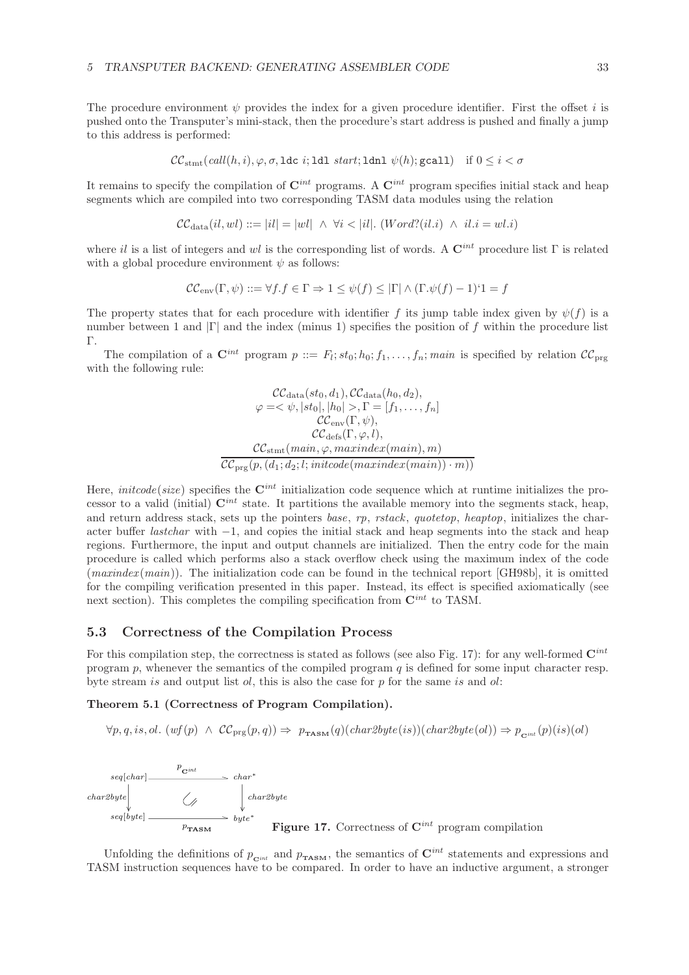The procedure environment  $\psi$  provides the index for a given procedure identifier. First the offset i is pushed onto the Transputer's mini-stack, then the procedure's start address is pushed and finally a jump to this address is performed:

$$
\mathcal{CC}_{\text{stmt}}(\textit{call}(h, i), \varphi, \sigma, \texttt{ldc} \text{ } i; \texttt{Idl} \text{ } \textit{start}; \texttt{ldnl} \text{ } \psi(h); \texttt{gcall}) \quad \text{if } 0 \leq i < \sigma
$$

It remains to specify the compilation of  $\mathbf{C}^{int}$  programs. A  $\mathbf{C}^{int}$  program specifies initial stack and heap segments which are compiled into two corresponding TASM data modules using the relation

$$
\mathcal{CC}_{\text{data}}(il,wl) ::= |il| = |wl| \ \land \ \forall i < |il|. \ (Word?(il.i) \ \land \ il.i =wl.i)
$$

where il is a list of integers and wl is the corresponding list of words. A **C***int* procedure list Γ is related with a global procedure environment  $\psi$  as follows:

$$
\mathcal{CC}_{env}(\Gamma,\psi) ::= \forall f.f \in \Gamma \Rightarrow 1 \leq \psi(f) \leq |\Gamma| \wedge (\Gamma.\psi(f) - 1)^{\prime} = f
$$

The property states that for each procedure with identifier f its jump table index given by  $\psi(f)$  is a number between 1 and  $|\Gamma|$  and the index (minus 1) specifies the position of f within the procedure list Γ.

The compilation of a  $\mathbf{C}^{int}$  program  $p ::= F_l; st_0; h_0; f_1, \ldots, f_n; main$  is specified by relation  $\mathcal{CC}_{\text{prg}}$ with the following rule:

$$
\mathcal{C}\mathcal{C}_{data}(st_0, d_1), \mathcal{C}\mathcal{C}_{data}(h_0, d_2),
$$
  
\n
$$
\varphi = \langle \psi, |st_0|, |h_0| > , \Gamma = [f_1, \dots, f_n]
$$
  
\n
$$
\mathcal{C}\mathcal{C}_{env}(\Gamma, \psi),
$$
  
\n
$$
\mathcal{C}\mathcal{C}_{\text{defs}}(\Gamma, \varphi, l),
$$
  
\n
$$
\mathcal{C}\mathcal{C}_{\text{stmt}}(\text{main}, \varphi, \text{maxindex}(\text{main}), m)
$$
  
\n
$$
\overline{\mathcal{C}\mathcal{C}_{\text{prg}}(p, (d_1; d_2; l; \text{initcode}(\text{mean}) \cdot m))}
$$

Here, *initcode*(*size*) specifies the **C***int* initialization code sequence which at runtime initializes the processor to a valid (initial)  $\mathbf{C}^{int}$  state. It partitions the available memory into the segments stack, heap, and return address stack, sets up the pointers *base*, *rp*, *rstack*, *quotetop*, *heaptop*, initializes the character buffer *lastchar* with −1, and copies the initial stack and heap segments into the stack and heap regions. Furthermore, the input and output channels are initialized. Then the entry code for the main procedure is called which performs also a stack overflow check using the maximum index of the code (*maxindex* (*main*)). The initialization code can be found in the technical report [GH98b], it is omitted for the compiling verification presented in this paper. Instead, its effect is specified axiomatically (see next section). This completes the compiling specification from  $\mathbf{C}^{int}$  to TASM.

### **5.3 Correctness of the Compilation Process**

For this compilation step, the correctness is stated as follows (see also Fig. 17): for any well-formed **C***int* program  $p$ , whenever the semantics of the compiled program  $q$  is defined for some input character resp. byte stream is and output list  $ol$ , this is also the case for p for the same is and  $ol$ :

#### **Theorem 5.1 (Correctness of Program Compilation).**

 $\forall p, q, is, ol.$   $(wf(p) \land CC_{\text{prg}}(p,q)) \Rightarrow p_{\text{rAsM}}(q)(char2byte(is))(char2byte(cl)) \Rightarrow p_{\text{cint}}(p)(is(cl))$ 



Unfolding the definitions of  $p_{\text{C}^{int}}$  and  $p_{\text{TASM}}$ , the semantics of  $\mathbf{C}^{int}$  statements and expressions and TASM instruction sequences have to be compared. In order to have an inductive argument, a stronger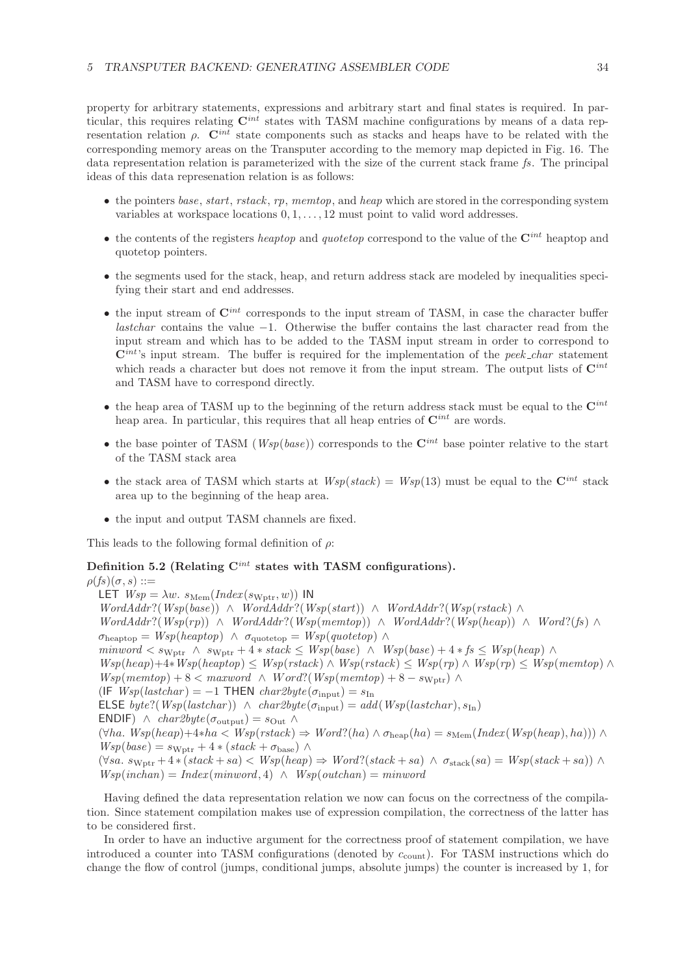property for arbitrary statements, expressions and arbitrary start and final states is required. In particular, this requires relating **C***int* states with TASM machine configurations by means of a data representation relation ρ. **C***int* state components such as stacks and heaps have to be related with the corresponding memory areas on the Transputer according to the memory map depicted in Fig. 16. The data representation relation is parameterized with the size of the current stack frame *fs*. The principal ideas of this data represenation relation is as follows:

- the pointers *base*, *start*, *rstack*, *rp*, *memtop*, and *heap* which are stored in the corresponding system variables at workspace locations 0, 1,..., 12 must point to valid word addresses.
- the contents of the registers *heaptop* and *quotetop* correspond to the value of the **C***int* heaptop and quotetop pointers.
- the segments used for the stack, heap, and return address stack are modeled by inequalities specifying their start and end addresses.
- the input stream of **C***int* corresponds to the input stream of TASM, in case the character buffer *lastchar* contains the value −1. Otherwise the buffer contains the last character read from the input stream and which has to be added to the TASM input stream in order to correspond to **C***int*'s input stream. The buffer is required for the implementation of the *peek char* statement which reads a character but does not remove it from the input stream. The output lists of  $\mathbf{C}^{int}$ and TASM have to correspond directly.
- the heap area of TASM up to the beginning of the return address stack must be equal to the **C***int* heap area. In particular, this requires that all heap entries of  $\mathbf{C}^{int}$  are words.
- the base pointer of TASM ( $Wsp(base)$ ) corresponds to the  $\mathbf{C}^{int}$  base pointer relative to the start of the TASM stack area
- the stack area of TASM which starts at  $Wsp(state) = Wsp(13)$  must be equal to the  $\mathbf{C}^{int}$  stack area up to the beginning of the heap area.
- the input and output TASM channels are fixed.

This leads to the following formal definition of  $\rho$ :

## **Definition 5.2 (Relating C***int* **states with TASM configurations).**

 $\rho(fs)(\sigma,s) ::=$ LET  $Wsp = \lambda w$ .  $s_{\text{Mem}}(Index(s_{\text{Wptr}}, w))$  IN *WordAddr*?(*Wsp*(*base*)) ∧ *WordAddr*?(*Wsp*(*start*)) ∧ *WordAddr*?(*Wsp*(*rstack* ) ∧ *WordAddr*?(*Wsp*(rp)) ∧ *WordAddr*?(*Wsp*(*memtop*)) ∧ *WordAddr*?(*Wsp*(heap)) ∧ *Word*?(*fs*) ∧  $\sigma_{heaptop} = Wsp(headtop) \land \sigma_{quotetop} = Wsp(quotetop) \land$ *minword*  $\lt$  s<sub>Wptr</sub> ∧ s<sub>Wptr</sub> + 4 \* *stack*  $\leq$  *Wsp*(*base*) ∧ *Wsp*(*base*) + 4 \* *fs*  $\leq$  *Wsp*(*heap*) ∧ *Wsp*(heap)+4∗*Wsp*(*heaptop*) ≤ *Wsp*(*rstack*) ∧ *Wsp*(*rstack*) ≤ *Wsp*(*rp*) ∧ *Wsp*(*rp*) ≤ *Wsp*(*memtop*) ∧  $Wsp(membp) + 8 < maximumd \wedge Word?$ (*Wsp*( $member$ ) + 8 − s<sub>Wptr</sub>) ∧  $(IF Wsp(lastchar) = -1$  THEN  $char2byte(\sigma_{input}) = s_{In}$ ELSE *byte*?(*Wsp*(*lastchar*))  $\land$  *char2byte*( $\sigma_{input}$ ) = *add*(*Wsp*(*lastchar*),  $s_{In}$ ) ENDIF)  $\land$  *char2byte*( $\sigma_{\text{output}}$ ) =  $s_{\text{Out}}$   $\land$  $(\forall ha. Wsp(head) + 4*ha < Wsp(rstack) \Rightarrow Word?(ha) \wedge \sigma_{heap}(ha) = s_{Mem}(Index(Wsp(head), ha))) \wedge$  $Wsp(base) = s_{Wptr} + 4 * (stack + \sigma_{base}) \wedge$  $(\forall s a. s_{Wptr} + 4 * (stack + sa) < Wsp(head) \Rightarrow Word?(stack + sa) \land \sigma_{stack}(sa) = Wsp(state + sa)) \land$  $Wsp(inchan) = Index(minword, 4) \wedge Wsp(outchan) = minword$ 

Having defined the data representation relation we now can focus on the correctness of the compilation. Since statement compilation makes use of expression compilation, the correctness of the latter has to be considered first.

In order to have an inductive argument for the correctness proof of statement compilation, we have introduced a counter into TASM configurations (denoted by  $c_{\text{count}}$ ). For TASM instructions which do change the flow of control (jumps, conditional jumps, absolute jumps) the counter is increased by 1, for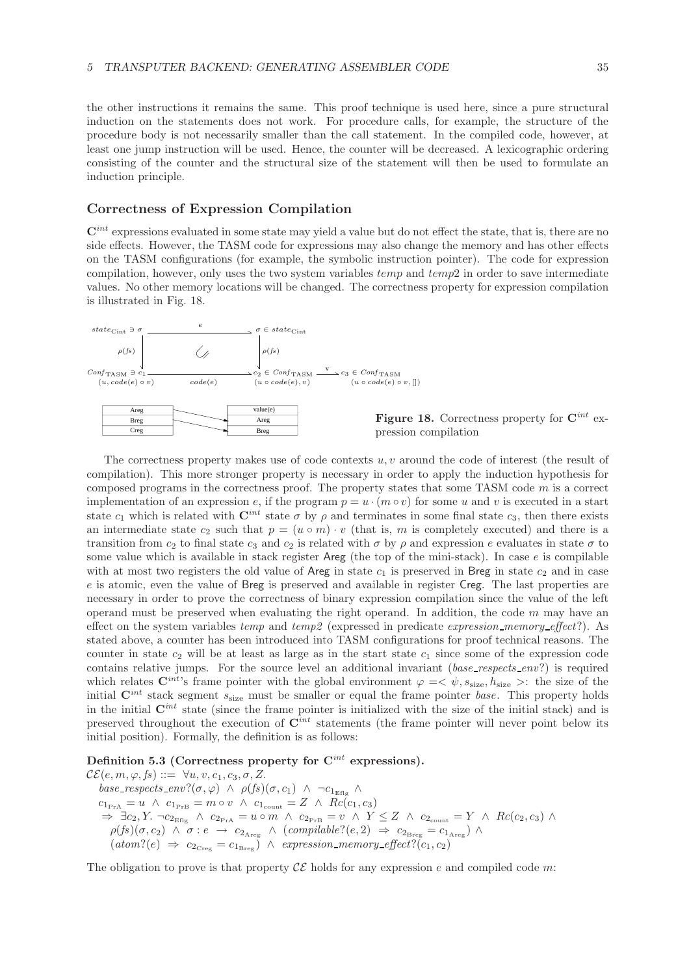the other instructions it remains the same. This proof technique is used here, since a pure structural induction on the statements does not work. For procedure calls, for example, the structure of the procedure body is not necessarily smaller than the call statement. In the compiled code, however, at least one jump instruction will be used. Hence, the counter will be decreased. A lexicographic ordering consisting of the counter and the structural size of the statement will then be used to formulate an induction principle.

## **Correctness of Expression Compilation**

 $\mathbf{C}^{int}$  expressions evaluated in some state may yield a value but do not effect the state, that is, there are no side effects. However, the TASM code for expressions may also change the memory and has other effects on the TASM configurations (for example, the symbolic instruction pointer). The code for expression compilation, however, only uses the two system variables  $temp$  and  $temp2$  in order to save intermediate values. No other memory locations will be changed. The correctness property for expression compilation is illustrated in Fig. 18.





The correctness property makes use of code contexts u, v around the code of interest (the result of compilation). This more stronger property is necessary in order to apply the induction hypothesis for composed programs in the correctness proof. The property states that some TASM code  $m$  is a correct implementation of an expression e, if the program  $p = u \cdot (m \circ v)$  for some u and v is executed in a start state  $c_1$  which is related with  $\mathbf{C}^{int}$  state  $\sigma$  by  $\rho$  and terminates in some final state  $c_3$ , then there exists an intermediate state  $c_2$  such that  $p = (u \circ m) \cdot v$  (that is, m is completely executed) and there is a transition from  $c_2$  to final state  $c_3$  and  $c_2$  is related with  $\sigma$  by  $\rho$  and expression e evaluates in state  $\sigma$  to some value which is available in stack register Areg (the top of the mini-stack). In case e is compilable with at most two registers the old value of Areg in state  $c_1$  is preserved in Breg in state  $c_2$  and in case e is atomic, even the value of Breg is preserved and available in register Creg. The last properties are necessary in order to prove the correctness of binary expression compilation since the value of the left operand must be preserved when evaluating the right operand. In addition, the code  $m$  may have an effect on the system variables *temp* and *temp2* (expressed in predicate *expression memory effect*?). As stated above, a counter has been introduced into TASM configurations for proof technical reasons. The counter in state  $c_2$  will be at least as large as in the start state  $c_1$  since some of the expression code contains relative jumps. For the source level an additional invariant (*base respects env*?) is required which relates  $\mathbf{C}^{int}$ 's frame pointer with the global environment  $\varphi = \langle \psi, s_{\text{size}}, h_{\text{size}} \rangle$ : the size of the initial  $\mathbf{C}^{int}$  stack segment  $s_{size}$  must be smaller or equal the frame pointer *base*. This property holds in the initial **C***int* state (since the frame pointer is initialized with the size of the initial stack) and is preserved throughout the execution of **C***int* statements (the frame pointer will never point below its initial position). Formally, the definition is as follows:

**Definition 5.3 (Correctness property for C***int* **expressions).**

 $\mathcal{CE}(e, m, \varphi, fs) ::= \forall u, v, c_1, c_3, \sigma, Z.$  $base\_respects\_env?(\sigma, \varphi) \land \rho(fs)(\sigma, c_1) \land \neg c_{1_{\text{Eff}}}\land$  $c_{1_{\text{PrA}}} = u \ \wedge \ c_{1_{\text{PrB}}} = m \circ v \ \wedge \ c_{1_{\text{count}}} = Z \ \wedge \ RC(c_1, c_3)$  $\Rightarrow \exists c_2, Y \neg c_{2_{\text{Eff}}}\land c_{2_{\text{PrA}}} = u \circ m \land c_{2_{\text{PrB}}} = v \land Y \leq Z \land c_{2_{\text{count}}} = Y \land Rc(c_2, c_3) \land$  $\rho(f\!s)(\sigma, c_2) \;\wedge\; \sigma : e \;\rightarrow\; c_{2_{\text{Areg}}} \;\wedge\; (complable? (e, 2) \;\Rightarrow\; c_{2_{\text{Breg}}} = c_{1_{\text{Areg}}}) \;\wedge\;$  $(atom?(e) \Rightarrow c_{2Creg} = c_{1Breg}) \land expression\_memory\_effect?(c_1, c_2)$ 

The obligation to prove is that property  $\mathcal{CE}$  holds for any expression e and compiled code m: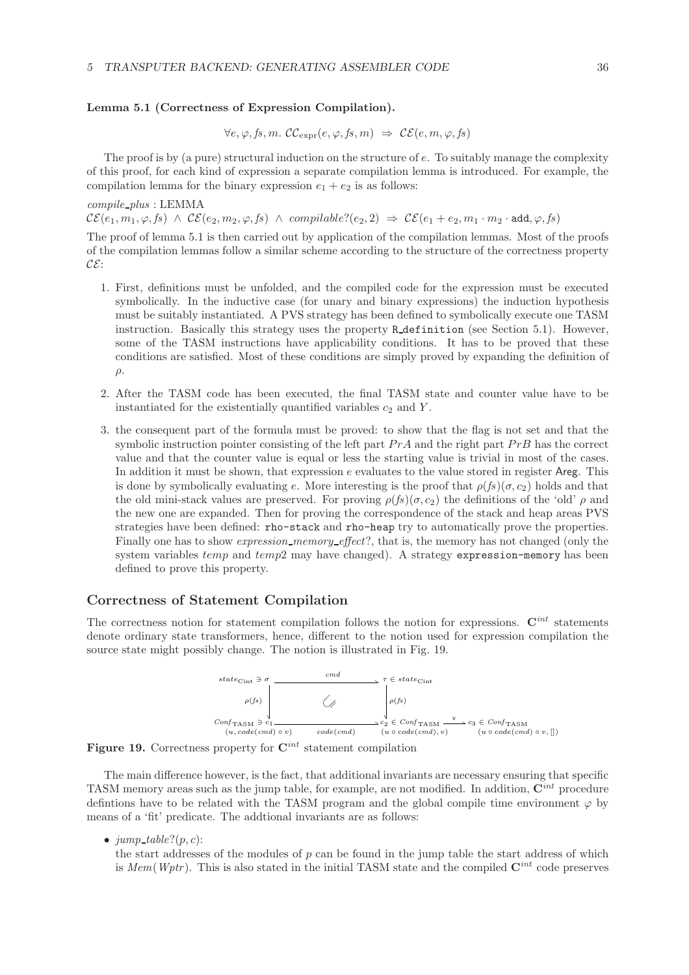### **Lemma 5.1 (Correctness of Expression Compilation).**

$$
\forall e, \varphi, fs, m. \ \mathcal{CC}_{\text{expr}}(e, \varphi, fs, m) \ \Rightarrow \ \mathcal{CE}(e, m, \varphi, fs)
$$

The proof is by (a pure) structural induction on the structure of  $e$ . To suitably manage the complexity of this proof, for each kind of expression a separate compilation lemma is introduced. For example, the compilation lemma for the binary expression  $e_1 + e_2$  is as follows:

### *compile plus* : LEMMA

 $\mathcal{CE}(e_1, m_1, \varphi, fs) \land \mathcal{CE}(e_2, m_2, \varphi, fs) \land \text{compilable?}(e_2, 2) \Rightarrow \mathcal{CE}(e_1 + e_2, m_1 \cdot m_2 \cdot \text{add}, \varphi, fs)$ 

The proof of lemma 5.1 is then carried out by application of the compilation lemmas. Most of the proofs of the compilation lemmas follow a similar scheme according to the structure of the correctness property  $\mathcal{CE}$ :

- 1. First, definitions must be unfolded, and the compiled code for the expression must be executed symbolically. In the inductive case (for unary and binary expressions) the induction hypothesis must be suitably instantiated. A PVS strategy has been defined to symbolically execute one TASM instruction. Basically this strategy uses the property R definition (see Section 5.1). However, some of the TASM instructions have applicability conditions. It has to be proved that these conditions are satisfied. Most of these conditions are simply proved by expanding the definition of  $\rho$ .
- 2. After the TASM code has been executed, the final TASM state and counter value have to be instantiated for the existentially quantified variables  $c_2$  and Y.
- 3. the consequent part of the formula must be proved: to show that the flag is not set and that the symbolic instruction pointer consisting of the left part  $PrA$  and the right part  $PrB$  has the correct value and that the counter value is equal or less the starting value is trivial in most of the cases. In addition it must be shown, that expression  $e$  evaluates to the value stored in register Areg. This is done by symbolically evaluating e. More interesting is the proof that  $\rho(f_s)(\sigma, c_2)$  holds and that the old mini-stack values are preserved. For proving  $\rho(f_s)(\sigma, c_2)$  the definitions of the 'old'  $\rho$  and the new one are expanded. Then for proving the correspondence of the stack and heap areas PVS strategies have been defined: rho-stack and rho-heap try to automatically prove the properties. Finally one has to show *expression memory effect*?, that is, the memory has not changed (only the system variables  $temp$  and  $temp2$  may have changed). A strategy expression-memory has been defined to prove this property.

## **Correctness of Statement Compilation**

The correctness notion for statement compilation follows the notion for expressions. **C***int* statements denote ordinary state transformers, hence, different to the notion used for expression compilation the source state might possibly change. The notion is illustrated in Fig. 19.





The main difference however, is the fact, that additional invariants are necessary ensuring that specific TASM memory areas such as the jump table, for example, are not modified. In addition, **C***int* procedure definitions have to be related with the TASM program and the global compile time environment  $\varphi$  by means of a 'fit' predicate. The addtional invariants are as follows:

•  $jump\_table?(p, c)$ :

the start addresses of the modules of  $p$  can be found in the jump table the start address of which is *Mem*(*Wptr* ). This is also stated in the initial TASM state and the compiled **C***int* code preserves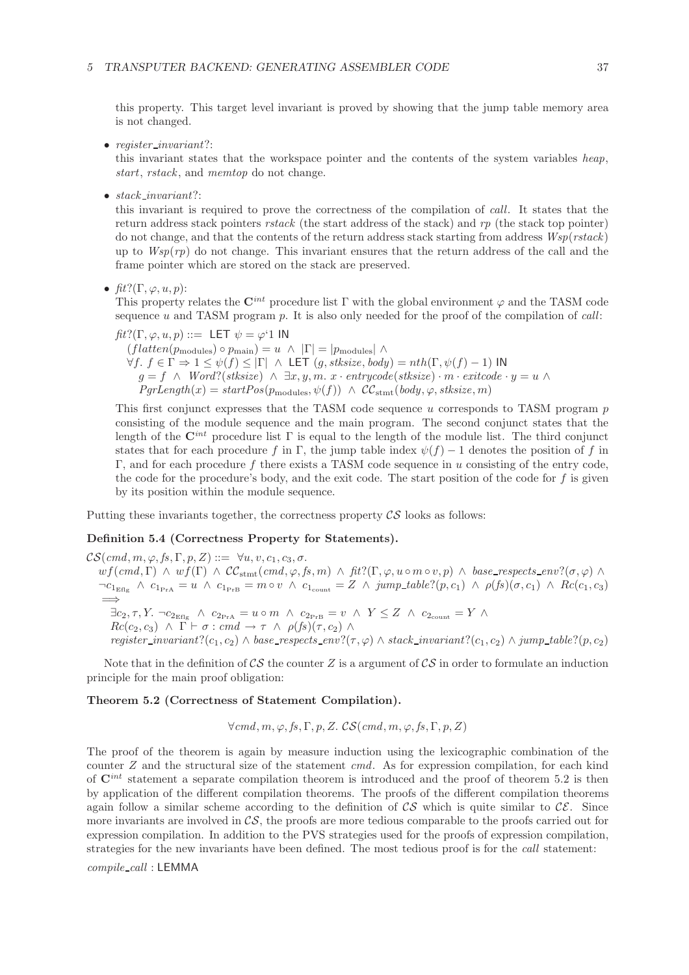this property. This target level invariant is proved by showing that the jump table memory area is not changed.

• *register invariant*?:

this invariant states that the workspace pointer and the contents of the system variables *heap*, *start*, *rstack* , and *memtop* do not change.

• *stack invariant*?:

this invariant is required to prove the correctness of the compilation of *call*. It states that the return address stack pointers *rstack* (the start address of the stack) and *rp* (the stack top pointer) do not change, and that the contents of the return address stack starting from address *Wsp*(*rstack*) up to *Wsp*(*rp*) do not change. This invariant ensures that the return address of the call and the frame pointer which are stored on the stack are preserved.

•  $\operatorname{fit}$ ?( $\Gamma, \varphi, u, p$ ):

This property relates the  $\mathbf{C}^{int}$  procedure list Γ with the global environment  $\varphi$  and the TASM code sequence u and TASM program p. It is also only needed for the proof of the compilation of *call*:

*fit*?(Γ,  $\varphi$ ,  $u$ ,  $p$ ) ::= LET  $\psi = \varphi$ <sup>1</sup> IN  $(flatenten(p_{\text{modules}}) \circ p_{\text{main}}) = u \land |\Gamma| = |p_{\text{modules}}| \land$  $\forall f, f \in \Gamma \Rightarrow 1 \leq \psi(f) \leq |\Gamma| \land \text{LET } (g, \text{stksize}, \text{body}) = nth(\Gamma, \psi(f) - 1) \text{ IN }$ g = f ∧ *Word*?(*stksize*) ∧ ∃x, y, m. x · *entrycode*(*stksize*) · m · *exitcode* · y = u ∧  $PgrLength(x) = startPos(p_{modules}, \psi(f)) \wedge CC_{stmt}(body, \varphi, stksize, m)$ 

This first conjunct expresses that the TASM code sequence  $u$  corresponds to TASM program  $p$ consisting of the module sequence and the main program. The second conjunct states that the length of the  $\mathbf{C}^{int}$  procedure list  $\Gamma$  is equal to the length of the module list. The third conjunct states that for each procedure f in Γ, the jump table index  $\psi(f) - 1$  denotes the position of f in  $Γ$ , and for each procedure f there exists a TASM code sequence in u consisting of the entry code, the code for the procedure's body, and the exit code. The start position of the code for  $f$  is given by its position within the module sequence.

Putting these invariants together, the correctness property  $\mathcal{CS}$  looks as follows:

#### **Definition 5.4 (Correctness Property for Statements).**

 $\mathcal{CS}(cmd, m, \varphi, fs, \Gamma, p, Z) ::= \forall u, v, c_1, c_3, \sigma.$  $wf(cmd, \Gamma) \wedge wf(\Gamma) \wedge CC_{stmt}(cmd, \varphi, fs, m) \wedge fit?(\Gamma, \varphi, u \circ m \circ v, p) \wedge base\_respects\_env?(\sigma, \varphi) \wedge$  $\neg c_{1_{\text{Eflg}}} \land c_{1_{\text{PrA}}} = u \land c_{1_{\text{PrB}}} = m \circ v \land c_{1_{\text{count}}} = Z \land jump\_table? (p, c_1) \land \rho(fs)(\sigma, c_1) \land \text{Rc}(c_1, c_3)$ =⇒  $\exists c_2, \tau, Y. \ \neg c_{2_{\text{Eflg}}} \ \land \ c_{2_{\text{PrA}}} = u \circ m \ \land \ c_{2_{\text{PrB}}} = v \ \land \ Y \leq Z \ \land \ c_{2_{\text{count}}} = Y \ \land \$  $Rc(c_2, c_3) \land \Gamma \vdash \sigma : cmd \rightarrow \tau \land \rho(fs)(\tau, c_2) \land$ *register\_invariant*?(c<sub>1</sub>, c<sub>2</sub>) ∧ *base\_respects\_env*?( $\tau$ , $\varphi$ ) ∧ *stack\_invariant*?(c<sub>1</sub>, c<sub>2</sub>) ∧ *jump\_table*?( $p$ , c<sub>2</sub>)

Note that in the definition of  $\mathcal{CS}$  the counter Z is a argument of  $\mathcal{CS}$  in order to formulate an induction principle for the main proof obligation:

#### **Theorem 5.2 (Correctness of Statement Compilation).**

 $\forall$ *cmd*, *m*,  $\varphi$ , *fs*,  $\Gamma$ , *p*, *Z*. *CS*(*cmd*, *m*,  $\varphi$ , *fs*,  $\Gamma$ , *p*, *Z*)

The proof of the theorem is again by measure induction using the lexicographic combination of the counter Z and the structural size of the statement *cmd*. As for expression compilation, for each kind of **C***int* statement a separate compilation theorem is introduced and the proof of theorem 5.2 is then by application of the different compilation theorems. The proofs of the different compilation theorems again follow a similar scheme according to the definition of  $\mathcal{CS}$  which is quite similar to  $\mathcal{CE}$ . Since more invariants are involved in  $\mathcal{CS}$ , the proofs are more tedious comparable to the proofs carried out for expression compilation. In addition to the PVS strategies used for the proofs of expression compilation, strategies for the new invariants have been defined. The most tedious proof is for the *call* statement:

*compile call* : LEMMA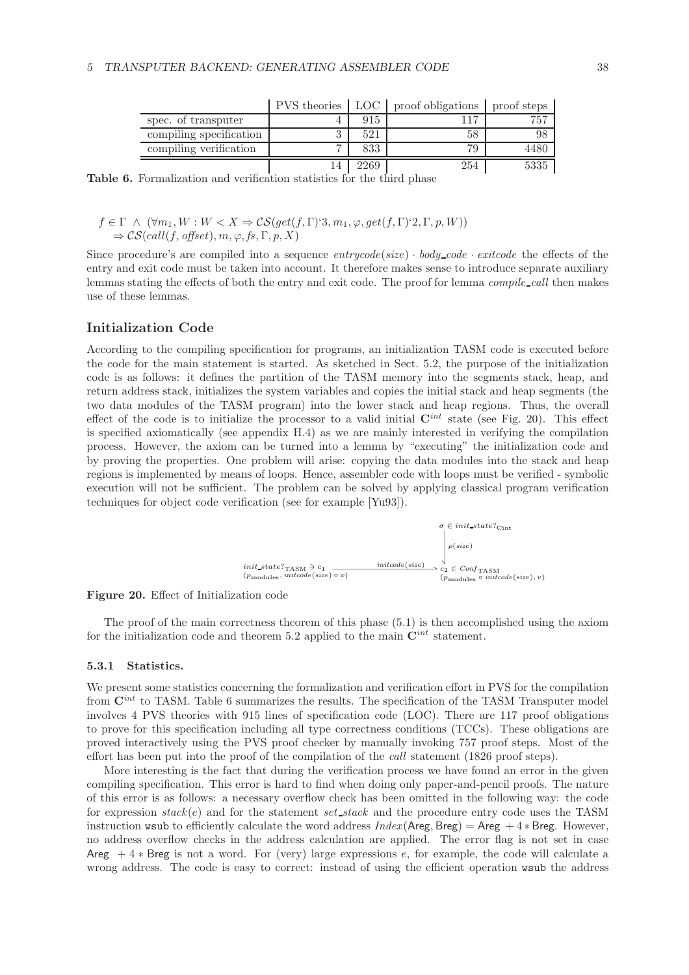|                         |      | PVS theories   LOC   proof obligations   proof steps |      |
|-------------------------|------|------------------------------------------------------|------|
| spec. of transputer     | 915  | 17                                                   | 757  |
| compiling specification | 521  | 58                                                   |      |
| compiling verification  | 833  |                                                      | 4480 |
|                         | 2269 | 254                                                  | 5335 |

**Table 6.** Formalization and verification statistics for the third phase

## $f \in \Gamma \land (\forall m_1, W : W < X \Rightarrow \mathcal{CS}(get(f, \Gamma)^2, m_1, \varphi, get(f, \Gamma)^2, \Gamma, p, W))$  $\Rightarrow$   $\mathcal{CS}(call(f, offset), m, \varphi, fs, \Gamma, p, X)$

Since procedure's are compiled into a sequence  $entrycode(size) \cdot body\_code \cdot exitcode$  the effects of the entry and exit code must be taken into account. It therefore makes sense to introduce separate auxiliary lemmas stating the effects of both the entry and exit code. The proof for lemma *compile call* then makes use of these lemmas.

### **Initialization Code**

According to the compiling specification for programs, an initialization TASM code is executed before the code for the main statement is started. As sketched in Sect. 5.2, the purpose of the initialization code is as follows: it defines the partition of the TASM memory into the segments stack, heap, and return address stack, initializes the system variables and copies the initial stack and heap segments (the two data modules of the TASM program) into the lower stack and heap regions. Thus, the overall effect of the code is to initialize the processor to a valid initial  $\mathbf{C}^{int}$  state (see Fig. 20). This effect is specified axiomatically (see appendix H.4) as we are mainly interested in verifying the compilation process. However, the axiom can be turned into a lemma by "executing" the initialization code and by proving the properties. One problem will arise: copying the data modules into the stack and heap regions is implemented by means of loops. Hence, assembler code with loops must be verified - symbolic execution will not be sufficient. The problem can be solved by applying classical program verification techniques for object code verification (see for example [Yu93]).





The proof of the main correctness theorem of this phase (5.1) is then accomplished using the axiom for the initialization code and theorem 5.2 applied to the main  $\mathbf{C}^{int}$  statement.

#### **5.3.1 Statistics.**

We present some statistics concerning the formalization and verification effort in PVS for the compilation from  $\mathbf{C}^{int}$  to TASM. Table 6 summarizes the results. The specification of the TASM Transputer model involves 4 PVS theories with 915 lines of specification code (LOC). There are 117 proof obligations to prove for this specification including all type correctness conditions (TCCs). These obligations are proved interactively using the PVS proof checker by manually invoking 757 proof steps. Most of the effort has been put into the proof of the compilation of the *call* statement (1826 proof steps).

More interesting is the fact that during the verification process we have found an error in the given compiling specification. This error is hard to find when doing only paper-and-pencil proofs. The nature of this error is as follows: a necessary overflow check has been omitted in the following way: the code for expression *stack*(e) and for the statement *set stack* and the procedure entry code uses the TASM instruction wsub to efficiently calculate the word address  $Index(Areg, Breg) = Areg + 4 * Breg$ . However, no address overflow checks in the address calculation are applied. The error flag is not set in case Areg  $+4*$  Breg is not a word. For (very) large expressions e, for example, the code will calculate a wrong address. The code is easy to correct: instead of using the efficient operation wsub the address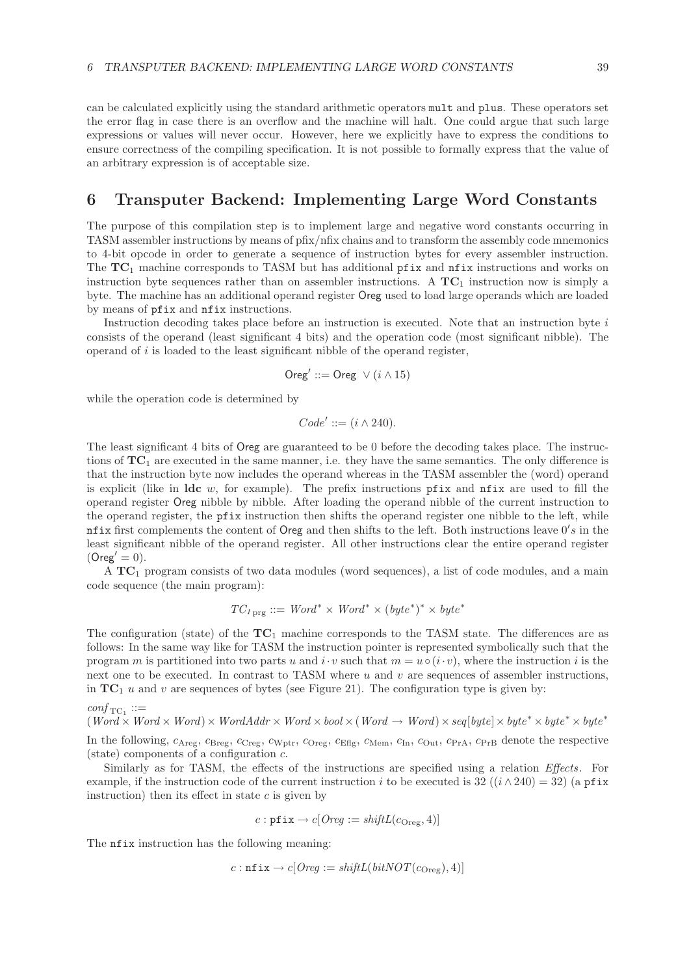can be calculated explicitly using the standard arithmetic operators mult and plus. These operators set the error flag in case there is an overflow and the machine will halt. One could argue that such large expressions or values will never occur. However, here we explicitly have to express the conditions to ensure correctness of the compiling specification. It is not possible to formally express that the value of an arbitrary expression is of acceptable size.

## **6 Transputer Backend: Implementing Large Word Constants**

The purpose of this compilation step is to implement large and negative word constants occurring in TASM assembler instructions by means of pfix/nfix chains and to transform the assembly code mnemonics to 4-bit opcode in order to generate a sequence of instruction bytes for every assembler instruction. The **TC**<sup>1</sup> machine corresponds to TASM but has additional pfix and nfix instructions and works on instruction byte sequences rather than on assembler instructions. A  $TC_1$  instruction now is simply a byte. The machine has an additional operand register Oreg used to load large operands which are loaded by means of pfix and nfix instructions.

Instruction decoding takes place before an instruction is executed. Note that an instruction byte  $i$ consists of the operand (least significant 4 bits) and the operation code (most significant nibble). The operand of i is loaded to the least significant nibble of the operand register,

$$
Oreg' ::= Oreg \ \lor (i \land 15)
$$

while the operation code is determined by

 $Code' ::= (i \wedge 240).$ 

The least significant 4 bits of Oreg are guaranteed to be 0 before the decoding takes place. The instructions of  $TC_1$  are executed in the same manner, i.e. they have the same semantics. The only difference is that the instruction byte now includes the operand whereas in the TASM assembler the (word) operand is explicit (like in **ldc** w, for example). The prefix instructions pfix and nfix are used to fill the operand register Oreg nibble by nibble. After loading the operand nibble of the current instruction to the operand register, the pfix instruction then shifts the operand register one nibble to the left, while nfix first complements the content of Oreg and then shifts to the left. Both instructions leave  $0's$  in the least significant nibble of the operand register. All other instructions clear the entire operand register  $(Oreg' = 0).$ 

A **TC**<sup>1</sup> program consists of two data modules (word sequences), a list of code modules, and a main code sequence (the main program):

$$
TC_{1\text{ prg}} ::= Word^* \times Word^* \times (byte^*)^* \times byte^*
$$

The configuration (state) of the **TC**<sup>1</sup> machine corresponds to the TASM state. The differences are as follows: In the same way like for TASM the instruction pointer is represented symbolically such that the program m is partitioned into two parts u and  $i \cdot v$  such that  $m = u \circ (i \cdot v)$ , where the instruction i is the next one to be executed. In contrast to TASM where  $u$  and  $v$  are sequences of assembler instructions, in  $TC_1$  u and v are sequences of bytes (see Figure 21). The configuration type is given by:

$$
\mathit{conf}_{\mathit{TC}_1} ::=
$$

 $(Word \times Word \times Word) \times WordAdv \times Word \times bool \times (Word \rightarrow Word) \times seq[byte] \times byte^* \times byte^* \times byte^*$ 

In the following,  $c_{\text{Areg}}$ ,  $c_{\text{Breg}}$ ,  $c_{\text{Creg}}$ ,  $c_{\text{Wptr}}$ ,  $c_{\text{Oreg}}$ ,  $c_{\text{Eflg}}$ ,  $c_{\text{Mem}}$ ,  $c_{\text{In}}$ ,  $c_{\text{Out}}$ ,  $c_{\text{PrA}}$ ,  $c_{\text{PrB}}$  denote the respective (state) components of a configuration  $c$ .

Similarly as for TASM, the effects of the instructions are specified using a relation *Effects*. For example, if the instruction code of the current instruction i to be executed is 32  $((i \wedge 240) = 32)$  (a pfix instruction) then its effect in state  $c$  is given by

$$
c: \texttt{pfix} \rightarrow c[Oreg := \textit{shiftL}(c_{\text{Oreg}}, 4)]
$$

The **nfix** instruction has the following meaning:

$$
c: \texttt{nfix} \rightarrow c[Oreg := \textit{shiftL}(\textit{bitNOT}(c_{Oreg}), 4)]
$$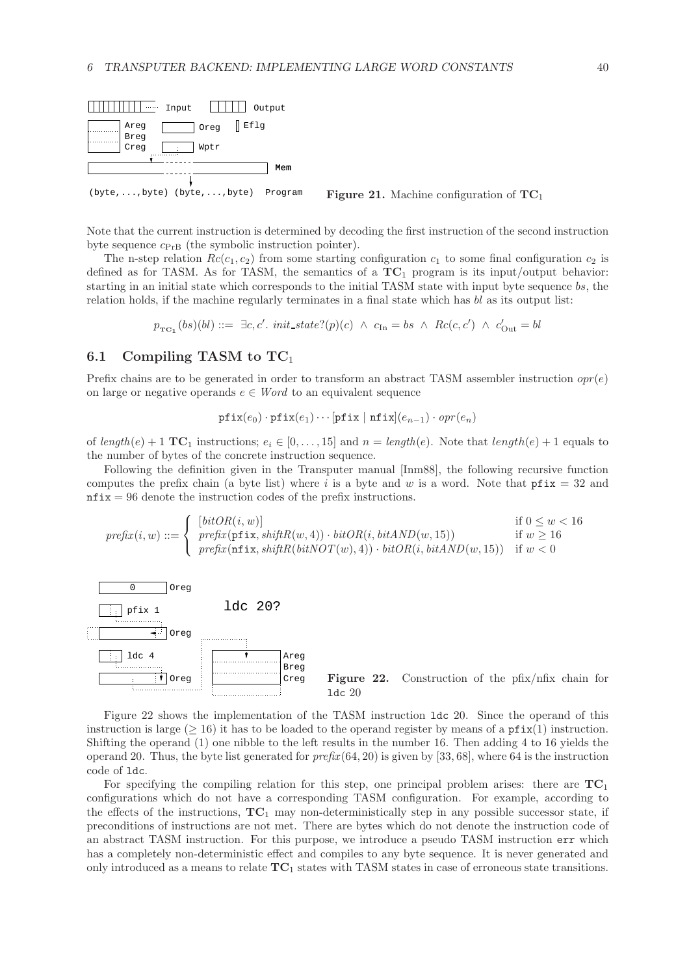

Note that the current instruction is determined by decoding the first instruction of the second instruction byte sequence  $c_{PrB}$  (the symbolic instruction pointer).

The n-step relation  $Rc(c_1, c_2)$  from some starting configuration  $c_1$  to some final configuration  $c_2$  is defined as for TASM. As for TASM, the semantics of a **TC**<sup>1</sup> program is its input/output behavior: starting in an initial state which corresponds to the initial TASM state with input byte sequence bs, the relation holds, if the machine regularly terminates in a final state which has bl as its output list:

$$
p_{\mathbf{TC}_1}(bs)(bl) ::= \exists c, c'.\ \mathit{init\_state?}(p)(c) \ \land \ c_{\mathit{In}} = bs \ \land \ \mathit{Rc}(c, c') \ \land \ c'_{\mathit{Out}} = bl
$$

### **6.1 Compiling TASM to TC**<sup>1</sup>

Prefix chains are to be generated in order to transform an abstract TASM assembler instruction  $opr(e)$ on large or negative operands  $e \in Word$  to an equivalent sequence

$$
\texttt{pfix}(e_0) \cdot \texttt{pfix}(e_1) \cdots [\texttt{pfix} \mid \texttt{nfix}(e_{n-1}) \cdot \texttt{opr}(e_n)]
$$

of  $length(e) + 1$  **TC**<sub>1</sub> instructions;  $e_i \in [0, \ldots, 15]$  and  $n = length(e)$ . Note that  $length(e) + 1$  equals to the number of bytes of the concrete instruction sequence.

Following the definition given in the Transputer manual [Inm88], the following recursive function computes the prefix chain (a byte list) where i is a byte and w is a word. Note that  $pfix = 32$  and  $\texttt{nfix} = 96$  denote the instruction codes of the prefix instructions.

$$
\text{prefix}(i, w) ::= \begin{cases} \begin{array}{ll} [bitOR(i, w)] & \text{if } 0 \le w < 16 \\ \text{prefix}(\texttt{pfix}, \textit{shiftR}(w, 4)) \cdot \textit{bitOR}(i, \textit{bitAND}(w, 15)) & \text{if } w \ge 16 \\ \text{prefix}(\texttt{nfix}, \textit{shiftR}(bitNOT(w), 4)) \cdot \textit{bitOR}(i, \textit{bitAND}(w, 15)) & \text{if } w < 0 \end{array} \end{cases}
$$



Figure 22 shows the implementation of the TASM instruction ldc 20. Since the operand of this instruction is large ( $\geq 16$ ) it has to be loaded to the operand register by means of a pfix(1) instruction. Shifting the operand (1) one nibble to the left results in the number 16. Then adding 4 to 16 yields the operand 20. Thus, the byte list generated for *prefix*(64, 20) is given by [33, 68], where 64 is the instruction code of ldc.

For specifying the compiling relation for this step, one principal problem arises: there are  $TC_1$ configurations which do not have a corresponding TASM configuration. For example, according to the effects of the instructions,  $TC_1$  may non-deterministically step in any possible successor state, if preconditions of instructions are not met. There are bytes which do not denote the instruction code of an abstract TASM instruction. For this purpose, we introduce a pseudo TASM instruction err which has a completely non-deterministic effect and compiles to any byte sequence. It is never generated and only introduced as a means to relate **TC**<sup>1</sup> states with TASM states in case of erroneous state transitions.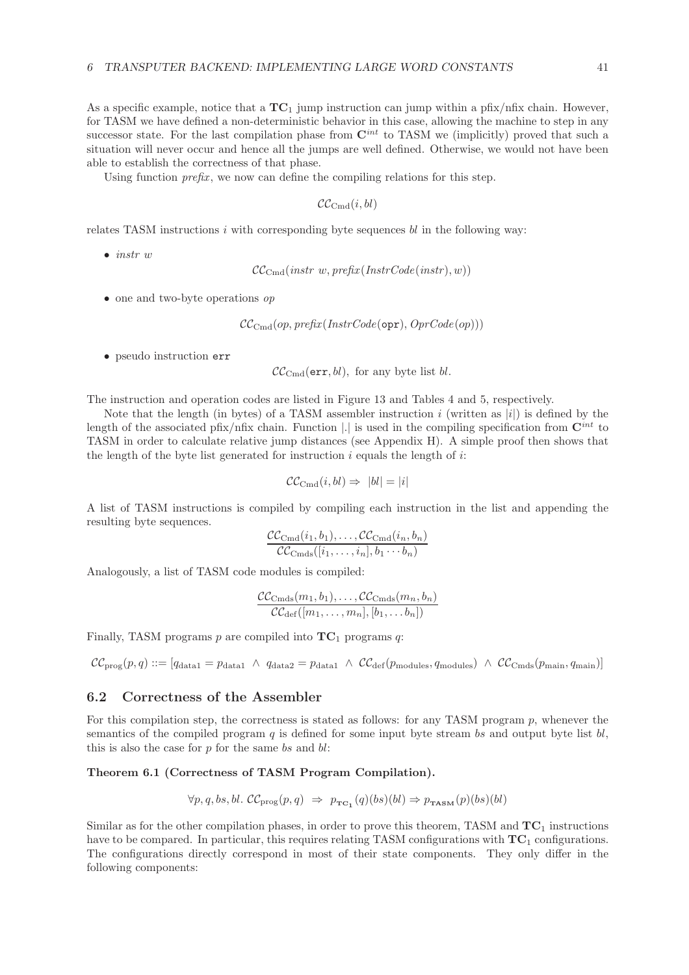As a specific example, notice that a **TC**<sup>1</sup> jump instruction can jump within a pfix/nfix chain. However, for TASM we have defined a non-deterministic behavior in this case, allowing the machine to step in any successor state. For the last compilation phase from  $\mathbb{C}^{int}$  to TASM we (implicitly) proved that such a situation will never occur and hence all the jumps are well defined. Otherwise, we would not have been able to establish the correctness of that phase.

Using function *prefix*, we now can define the compiling relations for this step.

 $\mathcal{CC}_{\text{Cmd}}(i, bl)$ 

relates TASM instructions  $i$  with corresponding byte sequences  $bl$  in the following way:

• *instr* w

 $CC_{Cmd}(instr w, prefix(InstrCode(instr), w))$ 

• one and two-byte operations *op*

CCCmd(op, *prefix*(*InstrCode*(opr), *OprCode*(op)))

• pseudo instruction err

 $\mathcal{CC}_{\text{Cmd}}(\texttt{err}, bl)$ , for any byte list bl.

The instruction and operation codes are listed in Figure 13 and Tables 4 and 5, respectively.

Note that the length (in bytes) of a TASM assembler instruction i (written as  $|i\rangle$ ) is defined by the length of the associated pfix/nfix chain. Function |.| is used in the compiling specification from  $\mathbf{C}^{int}$  to TASM in order to calculate relative jump distances (see Appendix H). A simple proof then shows that the length of the byte list generated for instruction  $i$  equals the length of  $i$ :

$$
\mathcal{CC}_{\text{Cmd}}(i, bl) \Rightarrow |bl| = |i|
$$

A list of TASM instructions is compiled by compiling each instruction in the list and appending the resulting byte sequences.

$$
\frac{\mathcal{CC}_{\text{Cmd}}(i_1, b_1), \dots, \mathcal{CC}_{\text{Cmd}}(i_n, b_n)}{\mathcal{CC}_{\text{Cmds}}([i_1, \dots, i_n], b_1 \cdots b_n)}
$$

Analogously, a list of TASM code modules is compiled:

$$
\frac{\mathcal{CC}_{\text{Cmds}}(m_1, b_1), \dots, \mathcal{CC}_{\text{Cmds}}(m_n, b_n)}{\mathcal{CC}_{\text{def}}([m_1, \dots, m_n], [b_1, \dots b_n])}
$$

Finally, TASM programs  $p$  are compiled into  $TC_1$  programs  $q$ .

 $CC_{\text{prog}}(p, q) ::= [q_{\text{data1}} = p_{\text{data1}} \wedge q_{\text{data2}} = p_{\text{data1}} \wedge CC_{\text{def}}(p_{\text{modules}}, q_{\text{modules}}) \wedge CC_{\text{Cmds}}(p_{\text{main}}, q_{\text{main}})]$ 

## **6.2 Correctness of the Assembler**

For this compilation step, the correctness is stated as follows: for any TASM program  $p$ , whenever the semantics of the compiled program  $q$  is defined for some input byte stream bs and output byte list  $bl$ , this is also the case for  $p$  for the same bs and  $bl$ :

#### **Theorem 6.1 (Correctness of TASM Program Compilation).**

$$
\forall p, q, bs, bl. \ \mathcal{CC}_{\text{prog}}(p, q) \ \Rightarrow \ p_{\text{TC}_1}(q)(bs)(bl) \Rightarrow p_{\text{TASM}}(p)(bs)(bl)
$$

Similar as for the other compilation phases, in order to prove this theorem, TASM and **TC**<sup>1</sup> instructions have to be compared. In particular, this requires relating TASM configurations with **TC**<sup>1</sup> configurations. The configurations directly correspond in most of their state components. They only differ in the following components: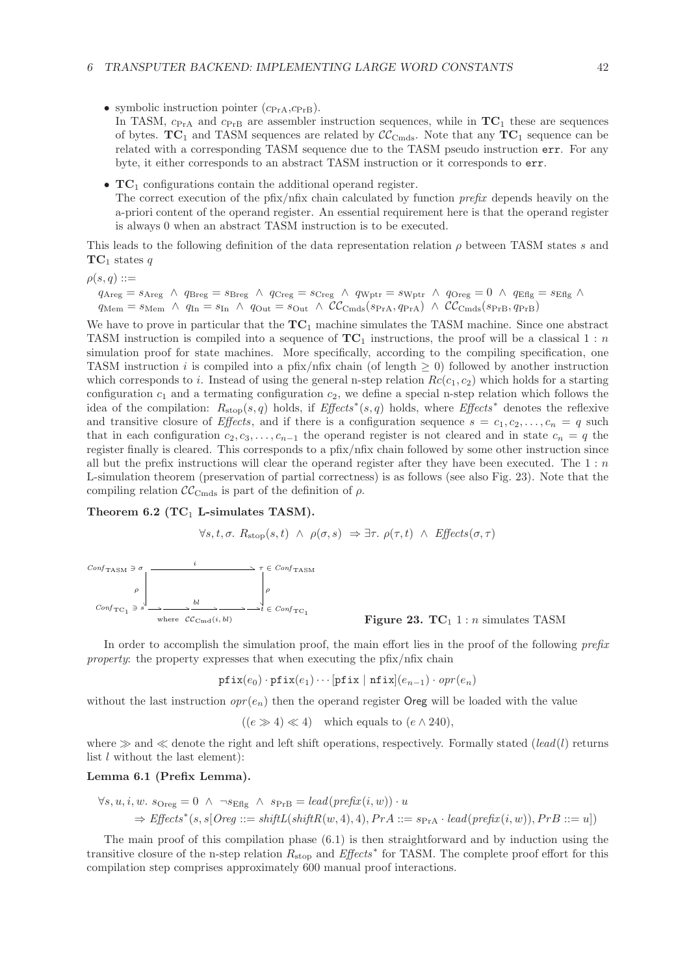- symbolic instruction pointer  $(c_{PrA}, c_{PrB})$ . In TASM,  $c_{\text{PrA}}$  and  $c_{\text{PrB}}$  are assembler instruction sequences, while in  $TC_1$  these are sequences
	- of bytes.  $TC_1$  and TASM sequences are related by  $\mathcal{CC}_{Cmg}$ . Note that any  $TC_1$  sequence can be related with a corresponding TASM sequence due to the TASM pseudo instruction err. For any byte, it either corresponds to an abstract TASM instruction or it corresponds to err.
- **TC**<sup>1</sup> configurations contain the additional operand register. The correct execution of the pfix/nfix chain calculated by function *prefix* depends heavily on the a-priori content of the operand register. An essential requirement here is that the operand register is always 0 when an abstract TASM instruction is to be executed.

This leads to the following definition of the data representation relation  $\rho$  between TASM states s and  $TC_1$  states q

 $\rho(s,q) ::=$ 

 $q_{\textrm{Areg}} = s_{\textrm{Areg}} \ \wedge \ q_{\textrm{Breg}} = s_{\textrm{Breg}} \ \wedge \ q_{\textrm{Creg}} = s_{\textrm{Creg}} \ \wedge \ q_{\textrm{Wptr}} = s_{\textrm{Wptr}} \ \wedge \ q_{\textrm{Oreg}} = 0 \ \wedge \ q_{\textrm{Eflg}} = s_{\textrm{Eflg}} \ \wedge \ q_{\textrm{Sreg}} = s_{\textrm{Hgr}} \ \wedge \ q_{\textrm{Sreg}} = s_{\textrm{Hgr}} \ \wedge \ q_{\textrm{Sreg}} = s_{\textrm{$  $q_{\text{Mem}} = s_{\text{Mem}} \land q_{\text{In}} = s_{\text{In}} \land q_{\text{Out}} = s_{\text{Out}} \land \mathcal{CC}_{\text{Cmds}}(s_{\text{PrA}}, q_{\text{PrA}}) \land \mathcal{CC}_{\text{Cmds}}(s_{\text{PrB}}, q_{\text{PrB}})$ 

We have to prove in particular that the  $TC_1$  machine simulates the TASM machine. Since one abstract TASM instruction is compiled into a sequence of  $TC_1$  instructions, the proof will be a classical 1 : n simulation proof for state machines. More specifically, according to the compiling specification, one TASM instruction i is compiled into a pfix/nfix chain (of length  $\geq 0$ ) followed by another instruction which corresponds to i. Instead of using the general n-step relation  $Rc(c_1, c_2)$  which holds for a starting configuration  $c_1$  and a termating configuration  $c_2$ , we define a special n-step relation which follows the idea of the compilation: Rstop(s, q) holds, if *Effects*<sup>∗</sup> (s, q) holds, where *Effects*<sup>∗</sup> denotes the reflexive and transitive closure of *Effects*, and if there is a configuration sequence  $s = c_1, c_2, \ldots, c_n = q$  such that in each configuration  $c_2, c_3, \ldots, c_{n-1}$  the operand register is not cleared and in state  $c_n = q$  the register finally is cleared. This corresponds to a pfix/nfix chain followed by some other instruction since all but the prefix instructions will clear the operand register after they have been executed. The  $1:n$ L-simulation theorem (preservation of partial correctness) is as follows (see also Fig. 23). Note that the compiling relation  $\mathcal{CC}_{\text{Cmds}}$  is part of the definition of  $\rho$ .

## **Theorem 6.2 (TC**<sup>1</sup> **L-simulates TASM).**

$$
\forall s, t, \sigma. \ R_{\text{stop}}(s, t) \ \land \ \rho(\sigma, s) \ \Rightarrow \exists \tau. \ \rho(\tau, t) \ \land \ \text{Effects}(\sigma, \tau)
$$



**Figure 23. TC**<sub>1</sub> 1 : *n* simulates TASM

In order to accomplish the simulation proof, the main effort lies in the proof of the following *prefix property*: the property expresses that when executing the pfix/nfix chain

 $\texttt{pfix}(e_0) \cdot \texttt{pfix}(e_1) \cdots [\texttt{pfix} \mid \texttt{nfix}|(e_{n-1}) \cdot \texttt{opr}(e_n)]$ 

without the last instruction  $opr(e_n)$  then the operand register **Oreg** will be loaded with the value

 $((e \gg 4) \ll 4)$  which equals to  $(e \land 240)$ ,

where  $\gg$  and  $\ll$  denote the right and left shift operations, respectively. Formally stated (*lead*(*l*) returns list l without the last element):

### **Lemma 6.1 (Prefix Lemma).**

$$
\forall s, u, i, w. \text{ } s_{\text{Oreg}} = 0 \ \land \ \neg s_{\text{Eflg}} \ \land \ \text{ } s_{\text{PrB}} = \text{lead}(\text{prefix}(i, w)) \cdot u
$$
\n
$$
\Rightarrow \text{Effects}^*(s, s[\text{Oreg} ::= \text{shiftL}(\text{shiftR}(w, 4), 4), \text{PrA} ::= s_{\text{PrA}} \cdot \text{lead}(\text{prefix}(i, w)), \text{PrB} ::= u])
$$

The main proof of this compilation phase (6.1) is then straightforward and by induction using the transitive closure of the n-step relation Rstop and *Effects*<sup>∗</sup> for TASM. The complete proof effort for this compilation step comprises approximately 600 manual proof interactions.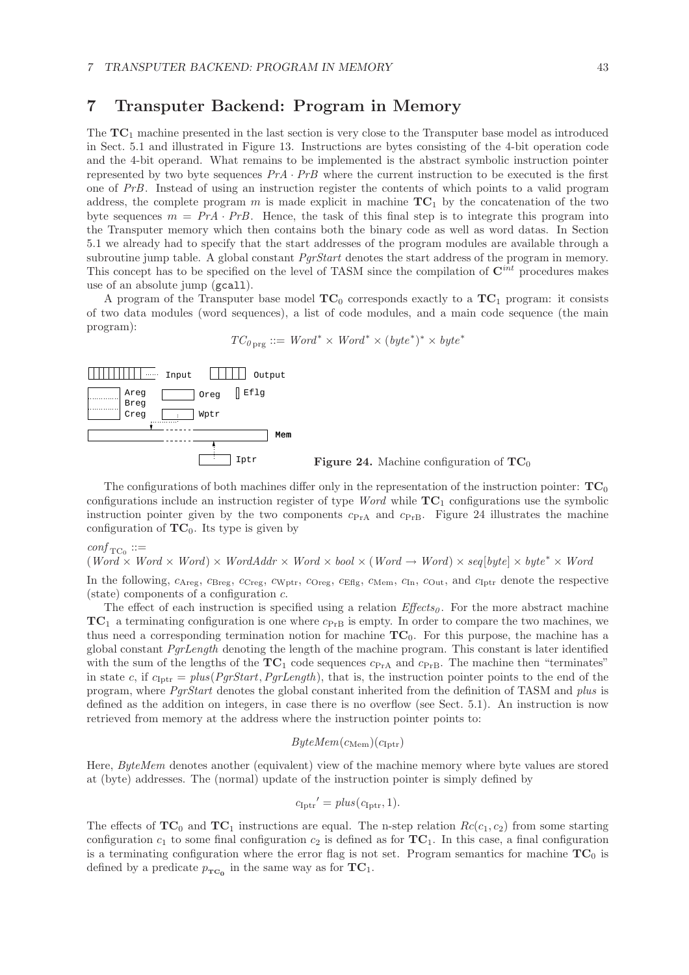## **7 Transputer Backend: Program in Memory**

The **TC**<sup>1</sup> machine presented in the last section is very close to the Transputer base model as introduced in Sect. 5.1 and illustrated in Figure 13. Instructions are bytes consisting of the 4-bit operation code and the 4-bit operand. What remains to be implemented is the abstract symbolic instruction pointer represented by two byte sequences  $PrA \cdot PrB$  where the current instruction to be executed is the first one of *PrB*. Instead of using an instruction register the contents of which points to a valid program address, the complete program m is made explicit in machine  $TC_1$  by the concatenation of the two byte sequences  $m = PrA \cdot PrB$ . Hence, the task of this final step is to integrate this program into the Transputer memory which then contains both the binary code as well as word datas. In Section 5.1 we already had to specify that the start addresses of the program modules are available through a subroutine jump table. A global constant *PgrStart* denotes the start address of the program in memory. This concept has to be specified on the level of TASM since the compilation of **C***int* procedures makes use of an absolute jump (gcall).

A program of the Transputer base model  $TC_0$  corresponds exactly to a  $TC_1$  program: it consists of two data modules (word sequences), a list of code modules, and a main code sequence (the main program):

 $TC_{0 \text{ prg}} ::= Word^* \times Word^* \times (byte^*)^* \times byte^*$ 



Iptr **Figure 24.** Machine configuration of **TC**<sup>0</sup>

The configurations of both machines differ only in the representation of the instruction pointer:  $TC_0$ configurations include an instruction register of type *Word* while **TC**<sup>1</sup> configurations use the symbolic instruction pointer given by the two components  $c_{\text{PrA}}$  and  $c_{\text{PrB}}$ . Figure 24 illustrates the machine configuration of  $TC_0$ . Its type is given by

 $\text{conf}_{\text{TC}_0} ::=$ 

 $(Word \times Word) \times Word \times Worddx \times Word \times bool \times (Word \rightarrow Word) \times seq[byte] \times byte* \times Word$ In the following,  $c_{\text{Areg}}$ ,  $c_{\text{Breg}}$ ,  $c_{\text{Creg}}$ ,  $c_{\text{Wptr}}$ ,  $c_{\text{Oreg}}$ ,  $c_{\text{Eflg}}$ ,  $c_{\text{Mem}}$ ,  $c_{\text{In}}$ ,  $c_{\text{Out}}$ , and  $c_{\text{Iptr}}$  denote the respective

 $(\text{state})$  components of a configuration  $c$ .

The effect of each instruction is specified using a relation  $E\mathit{ffects}_0$ . For the more abstract machine  $TC_1$  a terminating configuration is one where  $c_{P<sub>FB</sub>}$  is empty. In order to compare the two machines, we thus need a corresponding termination notion for machine **TC**0. For this purpose, the machine has a global constant *PgrLength* denoting the length of the machine program. This constant is later identified with the sum of the lengths of the  $TC_1$  code sequences  $c_{PrA}$  and  $c_{PrB}$ . The machine then "terminates" in state c, if  $c_{\text{Iptr}} = plus(PgrStart, PgrLength)$ , that is, the instruction pointer points to the end of the program, where *PgrStart* denotes the global constant inherited from the definition of TASM and *plus* is defined as the addition on integers, in case there is no overflow (see Sect. 5.1). An instruction is now retrieved from memory at the address where the instruction pointer points to:

### $ByteMem(c_{\text{Mem}})(c_{\text{Iptr}})$

Here, *ByteMem* denotes another (equivalent) view of the machine memory where byte values are stored at (byte) addresses. The (normal) update of the instruction pointer is simply defined by

$$
c_{\text{Iptr}}' = \text{plus}(c_{\text{Iptr}}, 1).
$$

The effects of  $TC_0$  and  $TC_1$  instructions are equal. The n-step relation  $Rc(c_1, c_2)$  from some starting configuration  $c_1$  to some final configuration  $c_2$  is defined as for  $TC_1$ . In this case, a final configuration is a terminating configuration where the error flag is not set. Program semantics for machine  $TC_0$  is defined by a predicate  $p_{TC_0}$  in the same way as for  $TC_1$ .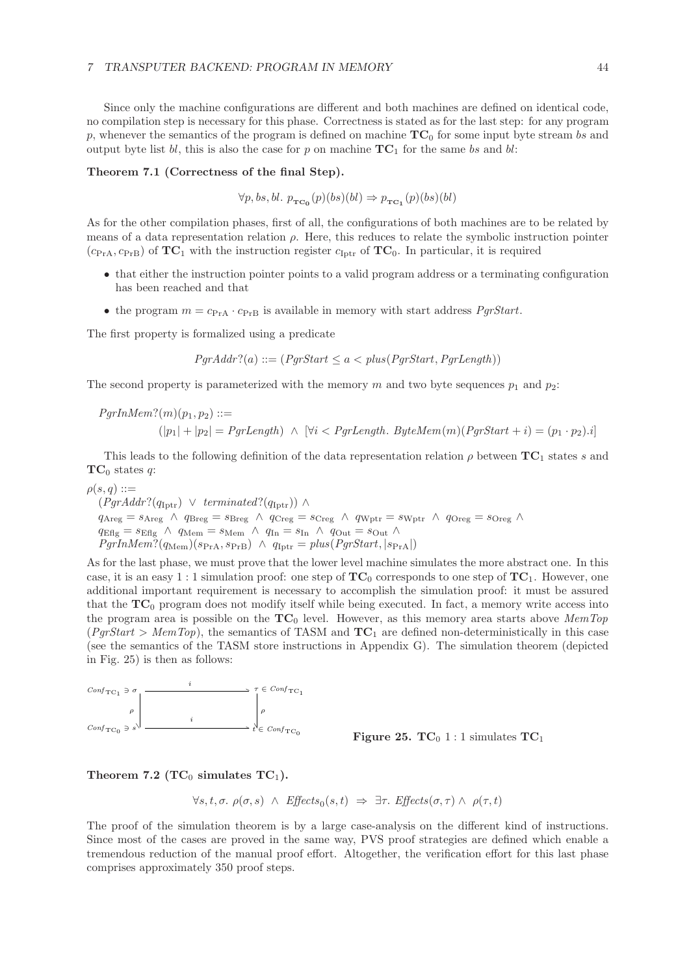Since only the machine configurations are different and both machines are defined on identical code, no compilation step is necessary for this phase. Correctness is stated as for the last step: for any program p, whenever the semantics of the program is defined on machine  $TC_0$  for some input byte stream bs and output byte list bl, this is also the case for p on machine  $TC_1$  for the same bs and bl:

#### **Theorem 7.1 (Correctness of the final Step).**

 $\forall p, bs, bl. p_{TC_0}(p)(bs)(bl) \Rightarrow p_{TC_1}(p)(bs)(bl)$ 

As for the other compilation phases, first of all, the configurations of both machines are to be related by means of a data representation relation  $\rho$ . Here, this reduces to relate the symbolic instruction pointer  $(c_{\text{PrA}}, c_{\text{PrB}})$  of  $\text{TC}_1$  with the instruction register  $c_{\text{Iptr}}$  of  $\text{TC}_0$ . In particular, it is required

- that either the instruction pointer points to a valid program address or a terminating configuration has been reached and that
- the program  $m = c_{PrA} \cdot c_{PrB}$  is available in memory with start address *PqrStart*.

The first property is formalized using a predicate

$$
PgrAddr?(a) ::= (PgrStart \leq a < plus(PgrStart, PgrLength))
$$

The second property is parameterized with the memory m and two byte sequences  $p_1$  and  $p_2$ :

 $ParInMem?$ (m)(p<sub>1</sub>, p<sub>2</sub>) ::=  $(|p_1| + |p_2| = PqrLength)$  ∧  $\forall i < PqrLength$ . *ByteMem* $(m)(PqrStart + i) = (p_1 \cdot p_2) \cdot i$ 

This leads to the following definition of the data representation relation  $\rho$  between  $TC_1$  states s and  $TC_0$  states q:

$$
\rho(s,q) ::=
$$

 $(PqrAddr?({q}_{\text{Int}}) \lor terminaled?({q}_{\text{Int}})) \land$  $q_{\text{Areg}} = s_{\text{Areg}} \; \wedge \; q_{\text{Breg}} = s_{\text{Breg}} \; \wedge \; q_{\text{Creg}} = s_{\text{Creg}} \; \wedge \; q_{\text{Wptr}} = s_{\text{Wptr}} \; \wedge \; q_{\text{Oreg}} = s_{\text{Oreg}} \; \wedge \; q_{\text{Sreg}}$  $q_{\text{Eflg}} = s_{\text{Eflg}} \ \wedge \ q_{\text{Mem}} = s_{\text{Mem}} \ \wedge \ q_{\text{In}} = s_{\text{In}} \ \wedge \ q_{\text{Out}} = s_{\text{Out}} \ \wedge$  $PgrInMem? (q_{Mem})(s_{PrA}, s_{PrB}) \land q_{Iptr} = plus(PgrStart, |s_{PrA}|)$ 

As for the last phase, we must prove that the lower level machine simulates the more abstract one. In this case, it is an easy 1 : 1 simulation proof: one step of  $TC_0$  corresponds to one step of  $TC_1$ . However, one additional important requirement is necessary to accomplish the simulation proof: it must be assured that the  $TC_0$  program does not modify itself while being executed. In fact, a memory write access into the program area is possible on the **TC**<sup>0</sup> level. However, as this memory area starts above *MemTop*  $(\text{PgrStart} > \text{MemTop})$ , the semantics of TASM and  $TC_1$  are defined non-deterministically in this case (see the semantics of the TASM store instructions in Appendix G). The simulation theorem (depicted in Fig. 25) is then as follows:





Theorem 7.2 (TC<sub>0</sub> simulates  $TC_1$ ).

$$
\forall s, t, \sigma. \ \rho(\sigma, s) \ \land \ \textit{Effects}_0(s, t) \ \Rightarrow \ \exists \tau. \ \textit{Effects}(\sigma, \tau) \land \ \rho(\tau, t)
$$

The proof of the simulation theorem is by a large case-analysis on the different kind of instructions. Since most of the cases are proved in the same way, PVS proof strategies are defined which enable a tremendous reduction of the manual proof effort. Altogether, the verification effort for this last phase comprises approximately 350 proof steps.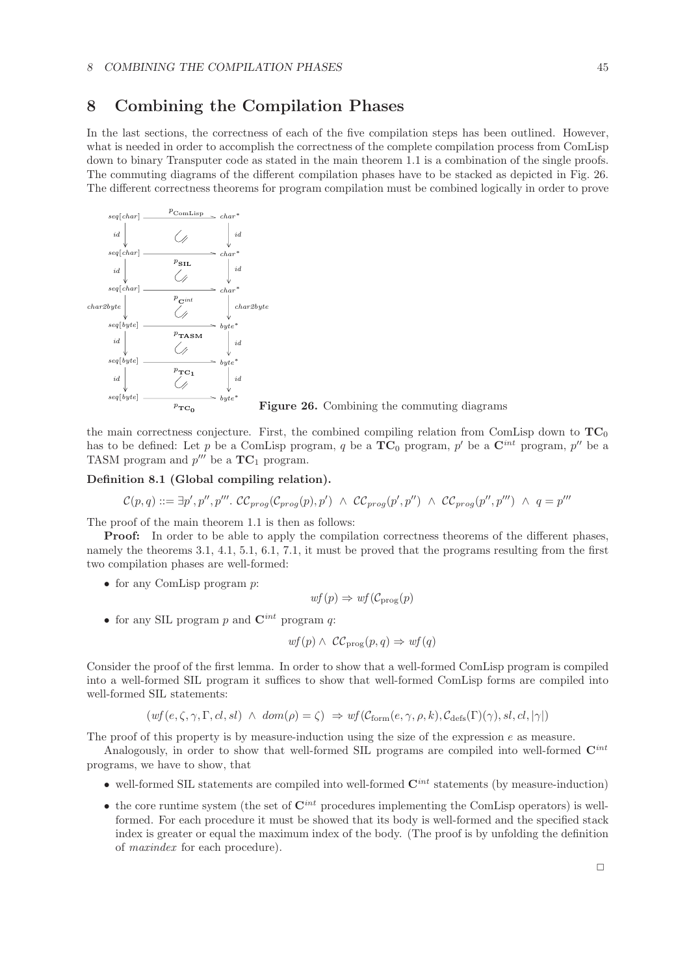## **8 Combining the Compilation Phases**

In the last sections, the correctness of each of the five compilation steps has been outlined. However, what is needed in order to accomplish the correctness of the complete compilation process from ComLisp down to binary Transputer code as stated in the main theorem 1.1 is a combination of the single proofs. The commuting diagrams of the different compilation phases have to be stacked as depicted in Fig. 26. The different correctness theorems for program compilation must be combined logically in order to prove



**Figure 26.** Combining the commuting diagrams

the main correctness conjecture. First, the combined compiling relation from ComLisp down to  $TC_0$ has to be defined: Let p be a ComLisp program, q be a  $TC_0$  program, p' be a  $C^{int}$  program, p'' be a TASM program and  $p^{\prime\prime\prime}$  be a  $TC_1$  program.

#### **Definition 8.1 (Global compiling relation).**

$$
C(p,q) ::= \exists p', p'', p'''. CC_{prog}(C_{prog}(p), p') \land CC_{prog}(p', p'') \land CC_{prog}(p'', p''') \land q = p'''
$$

The proof of the main theorem 1.1 is then as follows:

**Proof:** In order to be able to apply the compilation correctness theorems of the different phases, namely the theorems 3.1, 4.1, 5.1, 6.1, 7.1, it must be proved that the programs resulting from the first two compilation phases are well-formed:

• for any ComLisp program  $p$ :

$$
wf(p) \Rightarrow wf(\mathcal{C}_{\text{prog}}(p))
$$

• for any SIL program p and  $\mathbf{C}^{int}$  program q:

$$
wf(p) \wedge \mathcal{CC}_{\text{prog}}(p,q) \Rightarrow wf(q)
$$

Consider the proof of the first lemma. In order to show that a well-formed ComLisp program is compiled into a well-formed SIL program it suffices to show that well-formed ComLisp forms are compiled into well-formed SIL statements:

$$
(wf(e, \zeta, \gamma, \Gamma, cl, sl) \ \wedge \ dom(\rho) = \zeta) \ \Rightarrow \ wf(\mathcal{C}_{form}(e, \gamma, \rho, k), \mathcal{C}_{\text{defs}}(\Gamma)(\gamma), sl, cl, |\gamma|)
$$

The proof of this property is by measure-induction using the size of the expression  $e$  as measure.

Analogously, in order to show that well-formed SIL programs are compiled into well-formed **C***int* programs, we have to show, that

- well-formed SIL statements are compiled into well-formed **C***int* statements (by measure-induction)
- the core runtime system (the set of  $\mathbf{C}^{int}$  procedures implementing the ComLisp operators) is wellformed. For each procedure it must be showed that its body is well-formed and the specified stack index is greater or equal the maximum index of the body. (The proof is by unfolding the definition of *maxindex* for each procedure).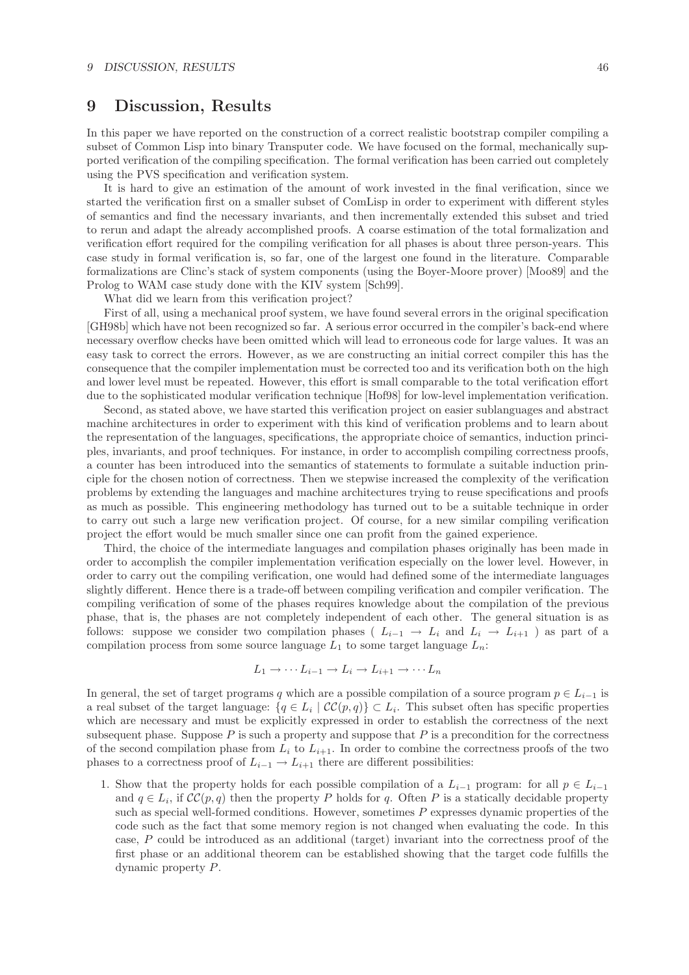## **9 Discussion, Results**

In this paper we have reported on the construction of a correct realistic bootstrap compiler compiling a subset of Common Lisp into binary Transputer code. We have focused on the formal, mechanically supported verification of the compiling specification. The formal verification has been carried out completely using the PVS specification and verification system.

It is hard to give an estimation of the amount of work invested in the final verification, since we started the verification first on a smaller subset of ComLisp in order to experiment with different styles of semantics and find the necessary invariants, and then incrementally extended this subset and tried to rerun and adapt the already accomplished proofs. A coarse estimation of the total formalization and verification effort required for the compiling verification for all phases is about three person-years. This case study in formal verification is, so far, one of the largest one found in the literature. Comparable formalizations are Clinc's stack of system components (using the Boyer-Moore prover) [Moo89] and the Prolog to WAM case study done with the KIV system [Sch99].

What did we learn from this verification project?

First of all, using a mechanical proof system, we have found several errors in the original specification [GH98b] which have not been recognized so far. A serious error occurred in the compiler's back-end where necessary overflow checks have been omitted which will lead to erroneous code for large values. It was an easy task to correct the errors. However, as we are constructing an initial correct compiler this has the consequence that the compiler implementation must be corrected too and its verification both on the high and lower level must be repeated. However, this effort is small comparable to the total verification effort due to the sophisticated modular verification technique [Hof98] for low-level implementation verification.

Second, as stated above, we have started this verification project on easier sublanguages and abstract machine architectures in order to experiment with this kind of verification problems and to learn about the representation of the languages, specifications, the appropriate choice of semantics, induction principles, invariants, and proof techniques. For instance, in order to accomplish compiling correctness proofs, a counter has been introduced into the semantics of statements to formulate a suitable induction principle for the chosen notion of correctness. Then we stepwise increased the complexity of the verification problems by extending the languages and machine architectures trying to reuse specifications and proofs as much as possible. This engineering methodology has turned out to be a suitable technique in order to carry out such a large new verification project. Of course, for a new similar compiling verification project the effort would be much smaller since one can profit from the gained experience.

Third, the choice of the intermediate languages and compilation phases originally has been made in order to accomplish the compiler implementation verification especially on the lower level. However, in order to carry out the compiling verification, one would had defined some of the intermediate languages slightly different. Hence there is a trade-off between compiling verification and compiler verification. The compiling verification of some of the phases requires knowledge about the compilation of the previous phase, that is, the phases are not completely independent of each other. The general situation is as follows: suppose we consider two compilation phases ( $L_{i-1} \rightarrow L_i$  and  $L_i \rightarrow L_{i+1}$ ) as part of a compilation process from some source language  $L_1$  to some target language  $L_n$ :

$$
L_1 \to \cdots L_{i-1} \to L_i \to L_{i+1} \to \cdots L_n
$$

In general, the set of target programs q which are a possible compilation of a source program  $p \in L_{i-1}$  is a real subset of the target language:  $\{q \in L_i \mid CC(p,q)\} \subset L_i$ . This subset often has specific properties which are necessary and must be explicitly expressed in order to establish the correctness of the next subsequent phase. Suppose  $P$  is such a property and suppose that  $P$  is a precondition for the correctness of the second compilation phase from  $L_i$  to  $L_{i+1}$ . In order to combine the correctness proofs of the two phases to a correctness proof of  $L_{i-1} \to L_{i+1}$  there are different possibilities:

1. Show that the property holds for each possible compilation of a  $L_{i-1}$  program: for all  $p \in L_{i-1}$ and  $q \in L_i$ , if  $\mathcal{CC}(p, q)$  then the property P holds for q. Often P is a statically decidable property such as special well-formed conditions. However, sometimes  $P$  expresses dynamic properties of the code such as the fact that some memory region is not changed when evaluating the code. In this case, P could be introduced as an additional (target) invariant into the correctness proof of the first phase or an additional theorem can be established showing that the target code fulfills the dynamic property P.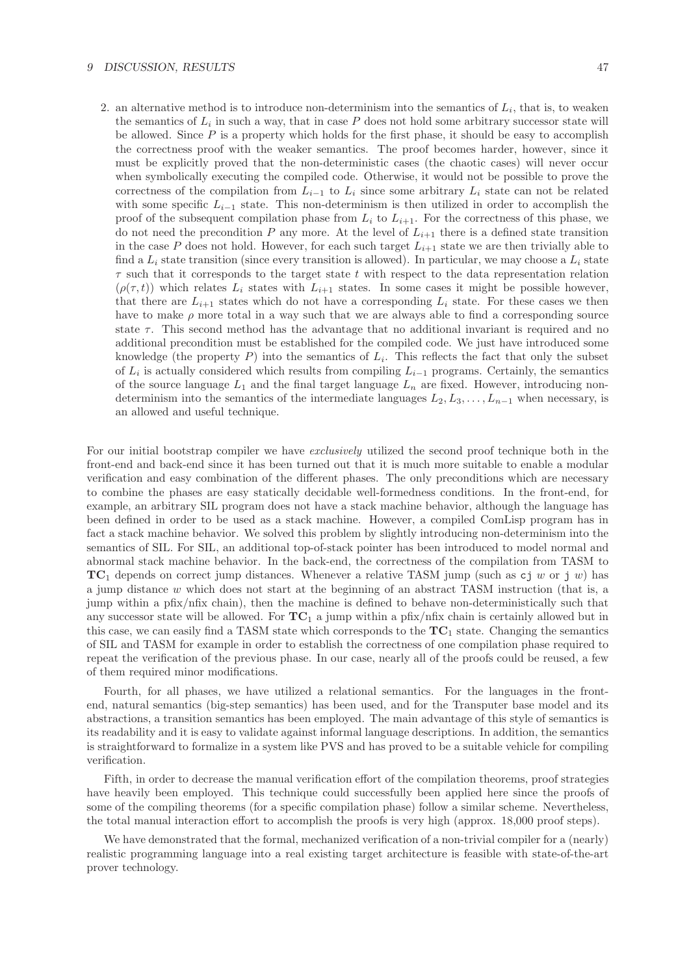#### *9 DISCUSSION, RESULTS* 47

2. an alternative method is to introduce non-determinism into the semantics of  $L_i$ , that is, to weaken the semantics of  $L_i$  in such a way, that in case P does not hold some arbitrary successor state will be allowed. Since  $P$  is a property which holds for the first phase, it should be easy to accomplish the correctness proof with the weaker semantics. The proof becomes harder, however, since it must be explicitly proved that the non-deterministic cases (the chaotic cases) will never occur when symbolically executing the compiled code. Otherwise, it would not be possible to prove the correctness of the compilation from  $L_{i-1}$  to  $L_i$  since some arbitrary  $L_i$  state can not be related with some specific  $L_{i-1}$  state. This non-determinism is then utilized in order to accomplish the proof of the subsequent compilation phase from  $L_i$  to  $L_{i+1}$ . For the correctness of this phase, we do not need the precondition P any more. At the level of  $L_{i+1}$  there is a defined state transition in the case P does not hold. However, for each such target  $L_{i+1}$  state we are then trivially able to find a  $L_i$  state transition (since every transition is allowed). In particular, we may choose a  $L_i$  state  $\tau$  such that it corresponds to the target state t with respect to the data representation relation  $(\rho(\tau, t))$  which relates  $L_i$  states with  $L_{i+1}$  states. In some cases it might be possible however, that there are  $L_{i+1}$  states which do not have a corresponding  $L_i$  state. For these cases we then have to make  $\rho$  more total in a way such that we are always able to find a corresponding source state  $\tau$ . This second method has the advantage that no additional invariant is required and no additional precondition must be established for the compiled code. We just have introduced some knowledge (the property  $P$ ) into the semantics of  $L<sub>i</sub>$ . This reflects the fact that only the subset of  $L_i$  is actually considered which results from compiling  $L_{i-1}$  programs. Certainly, the semantics of the source language  $L_1$  and the final target language  $L_n$  are fixed. However, introducing nondeterminism into the semantics of the intermediate languages  $L_2, L_3, \ldots, L_{n-1}$  when necessary, is an allowed and useful technique.

For our initial bootstrap compiler we have *exclusively* utilized the second proof technique both in the front-end and back-end since it has been turned out that it is much more suitable to enable a modular verification and easy combination of the different phases. The only preconditions which are necessary to combine the phases are easy statically decidable well-formedness conditions. In the front-end, for example, an arbitrary SIL program does not have a stack machine behavior, although the language has been defined in order to be used as a stack machine. However, a compiled ComLisp program has in fact a stack machine behavior. We solved this problem by slightly introducing non-determinism into the semantics of SIL. For SIL, an additional top-of-stack pointer has been introduced to model normal and abnormal stack machine behavior. In the back-end, the correctness of the compilation from TASM to  $TC_1$  depends on correct jump distances. Whenever a relative TASM jump (such as  $c_j w$  or j w) has a jump distance w which does not start at the beginning of an abstract TASM instruction (that is, a jump within a pfix/nfix chain), then the machine is defined to behave non-deterministically such that any successor state will be allowed. For **TC**<sup>1</sup> a jump within a pfix/nfix chain is certainly allowed but in this case, we can easily find a TASM state which corresponds to the  $TC_1$  state. Changing the semantics of SIL and TASM for example in order to establish the correctness of one compilation phase required to repeat the verification of the previous phase. In our case, nearly all of the proofs could be reused, a few of them required minor modifications.

Fourth, for all phases, we have utilized a relational semantics. For the languages in the frontend, natural semantics (big-step semantics) has been used, and for the Transputer base model and its abstractions, a transition semantics has been employed. The main advantage of this style of semantics is its readability and it is easy to validate against informal language descriptions. In addition, the semantics is straightforward to formalize in a system like PVS and has proved to be a suitable vehicle for compiling verification.

Fifth, in order to decrease the manual verification effort of the compilation theorems, proof strategies have heavily been employed. This technique could successfully been applied here since the proofs of some of the compiling theorems (for a specific compilation phase) follow a similar scheme. Nevertheless, the total manual interaction effort to accomplish the proofs is very high (approx. 18,000 proof steps).

We have demonstrated that the formal, mechanized verification of a non-trivial compiler for a (nearly) realistic programming language into a real existing target architecture is feasible with state-of-the-art prover technology.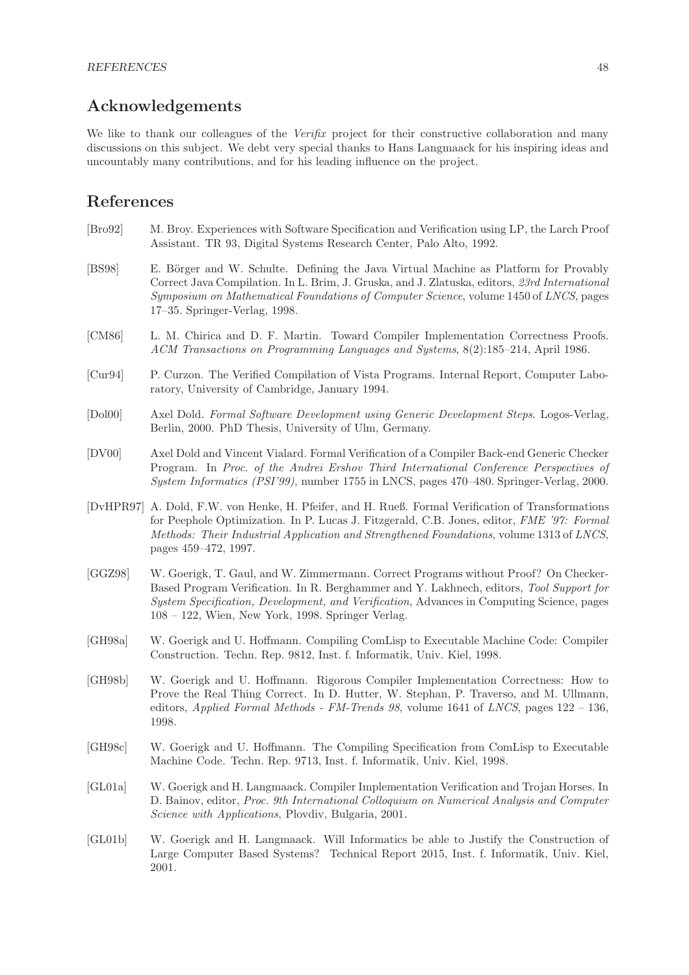## **Acknowledgements**

We like to thank our colleagues of the *Verifix* project for their constructive collaboration and many discussions on this subject. We debt very special thanks to Hans Langmaack for his inspiring ideas and uncountably many contributions, and for his leading influence on the project.

## **References**

- [Bro92] M. Broy. Experiences with Software Specification and Verification using LP, the Larch Proof Assistant. TR 93, Digital Systems Research Center, Palo Alto, 1992.
- [BS98] E. Börger and W. Schulte. Defining the Java Virtual Machine as Platform for Provably Correct Java Compilation. In L. Brim, J. Gruska, and J. Zlatuska, editors, *23rd International Symposium on Mathematical Foundations of Computer Science*, volume 1450 of *LNCS*, pages 17–35. Springer-Verlag, 1998.
- [CM86] L. M. Chirica and D. F. Martin. Toward Compiler Implementation Correctness Proofs. *ACM Transactions on Programming Languages and Systems*, 8(2):185–214, April 1986.
- [Cur94] P. Curzon. The Verified Compilation of Vista Programs. Internal Report, Computer Laboratory, University of Cambridge, January 1994.
- [Dol00] Axel Dold. *Formal Software Development using Generic Development Steps*. Logos-Verlag, Berlin, 2000. PhD Thesis, University of Ulm, Germany.
- [DV00] Axel Dold and Vincent Vialard. Formal Verification of a Compiler Back-end Generic Checker Program. In *Proc. of the Andrei Ershov Third International Conference Perspectives of System Informatics (PSI'99)*, number 1755 in LNCS, pages 470–480. Springer-Verlag, 2000.
- [DvHPR97] A. Dold, F.W. von Henke, H. Pfeifer, and H. Rueß. Formal Verification of Transformations for Peephole Optimization. In P. Lucas J. Fitzgerald, C.B. Jones, editor, *FME '97: Formal Methods: Their Industrial Application and Strengthened Foundations*, volume 1313 of *LNCS*, pages 459–472, 1997.
- [GGZ98] W. Goerigk, T. Gaul, and W. Zimmermann. Correct Programs without Proof? On Checker-Based Program Verification. In R. Berghammer and Y. Lakhnech, editors, *Tool Support for System Specification, Development, and Verification*, Advances in Computing Science, pages 108 – 122, Wien, New York, 1998. Springer Verlag.
- [GH98a] W. Goerigk and U. Hoffmann. Compiling ComLisp to Executable Machine Code: Compiler Construction. Techn. Rep. 9812, Inst. f. Informatik, Univ. Kiel, 1998.
- [GH98b] W. Goerigk and U. Hoffmann. Rigorous Compiler Implementation Correctness: How to Prove the Real Thing Correct. In D. Hutter, W. Stephan, P. Traverso, and M. Ullmann, editors, *Applied Formal Methods - FM-Trends 98*, volume 1641 of *LNCS*, pages 122 – 136, 1998.
- [GH98c] W. Goerigk and U. Hoffmann. The Compiling Specification from ComLisp to Executable Machine Code. Techn. Rep. 9713, Inst. f. Informatik, Univ. Kiel, 1998.
- [GL01a] W. Goerigk and H. Langmaack. Compiler Implementation Verification and Trojan Horses. In D. Bainov, editor, *Proc. 9th International Colloquium on Numerical Analysis and Computer Science with Applications*, Plovdiv, Bulgaria, 2001.
- [GL01b] W. Goerigk and H. Langmaack. Will Informatics be able to Justify the Construction of Large Computer Based Systems? Technical Report 2015, Inst. f. Informatik, Univ. Kiel, 2001.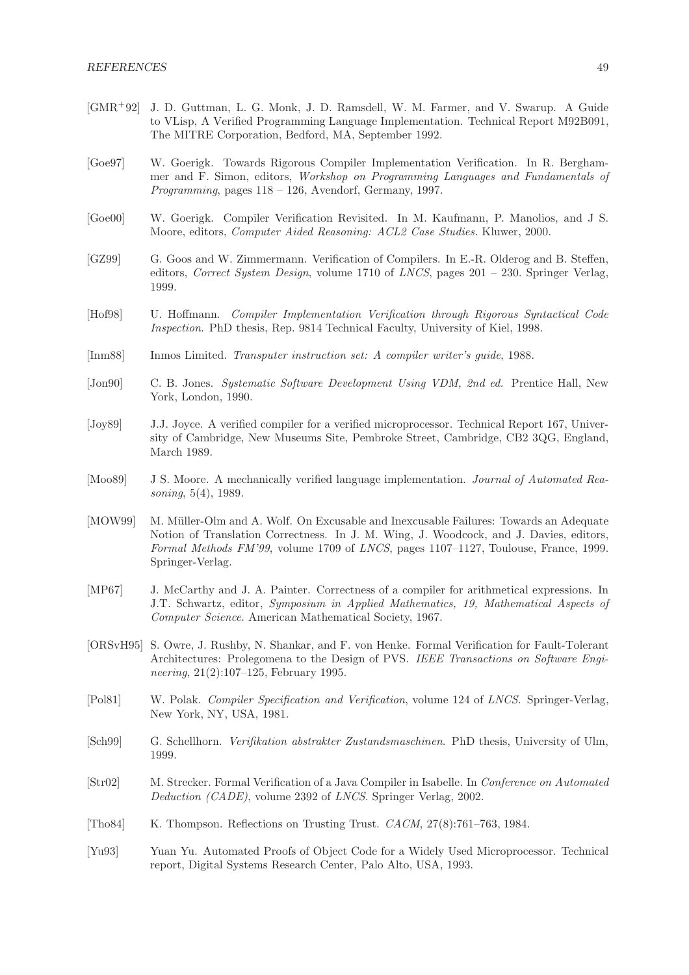- [GMR+92] J. D. Guttman, L. G. Monk, J. D. Ramsdell, W. M. Farmer, and V. Swarup. A Guide to VLisp, A Verified Programming Language Implementation. Technical Report M92B091, The MITRE Corporation, Bedford, MA, September 1992.
- [Goe97] W. Goerigk. Towards Rigorous Compiler Implementation Verification. In R. Berghammer and F. Simon, editors, *Workshop on Programming Languages and Fundamentals of Programming*, pages 118 – 126, Avendorf, Germany, 1997.
- [Goe00] W. Goerigk. Compiler Verification Revisited. In M. Kaufmann, P. Manolios, and J S. Moore, editors, *Computer Aided Reasoning: ACL2 Case Studies.* Kluwer, 2000.
- [GZ99] G. Goos and W. Zimmermann. Verification of Compilers. In E.-R. Olderog and B. Steffen, editors, *Correct System Design*, volume 1710 of *LNCS*, pages 201 – 230. Springer Verlag, 1999.
- [Hof98] U. Hoffmann. *Compiler Implementation Verification through Rigorous Syntactical Code Inspection*. PhD thesis, Rep. 9814 Technical Faculty, University of Kiel, 1998.
- [Inm88] Inmos Limited. *Transputer instruction set: A compiler writer's guide*, 1988.
- [Jon90] C. B. Jones. *Systematic Software Development Using VDM, 2nd ed.* Prentice Hall, New York, London, 1990.
- [Joy89] J.J. Joyce. A verified compiler for a verified microprocessor. Technical Report 167, University of Cambridge, New Museums Site, Pembroke Street, Cambridge, CB2 3QG, England, March 1989.
- [Moo89] J S. Moore. A mechanically verified language implementation. *Journal of Automated Reasoning*, 5(4), 1989.
- [MOW99] M. Müller-Olm and A. Wolf. On Excusable and Inexcusable Failures: Towards an Adequate Notion of Translation Correctness. In J. M. Wing, J. Woodcock, and J. Davies, editors, *Formal Methods FM'99*, volume 1709 of *LNCS*, pages 1107–1127, Toulouse, France, 1999. Springer-Verlag.
- [MP67] J. McCarthy and J. A. Painter. Correctness of a compiler for arithmetical expressions. In J.T. Schwartz, editor, *Symposium in Applied Mathematics, 19, Mathematical Aspects of Computer Science*. American Mathematical Society, 1967.
- [ORSvH95] S. Owre, J. Rushby, N. Shankar, and F. von Henke. Formal Verification for Fault-Tolerant Architectures: Prolegomena to the Design of PVS. *IEEE Transactions on Software Engineering*, 21(2):107–125, February 1995.
- [Pol81] W. Polak. *Compiler Specification and Verification*, volume 124 of *LNCS*. Springer-Verlag, New York, NY, USA, 1981.
- [Sch99] G. Schellhorn. *Verifikation abstrakter Zustandsmaschinen*. PhD thesis, University of Ulm, 1999.
- [Str02] M. Strecker. Formal Verification of a Java Compiler in Isabelle. In *Conference on Automated Deduction (CADE)*, volume 2392 of *LNCS*. Springer Verlag, 2002.
- [Tho84] K. Thompson. Reflections on Trusting Trust. *CACM*, 27(8):761–763, 1984.
- [Yu93] Yuan Yu. Automated Proofs of Object Code for a Widely Used Microprocessor. Technical report, Digital Systems Research Center, Palo Alto, USA, 1993.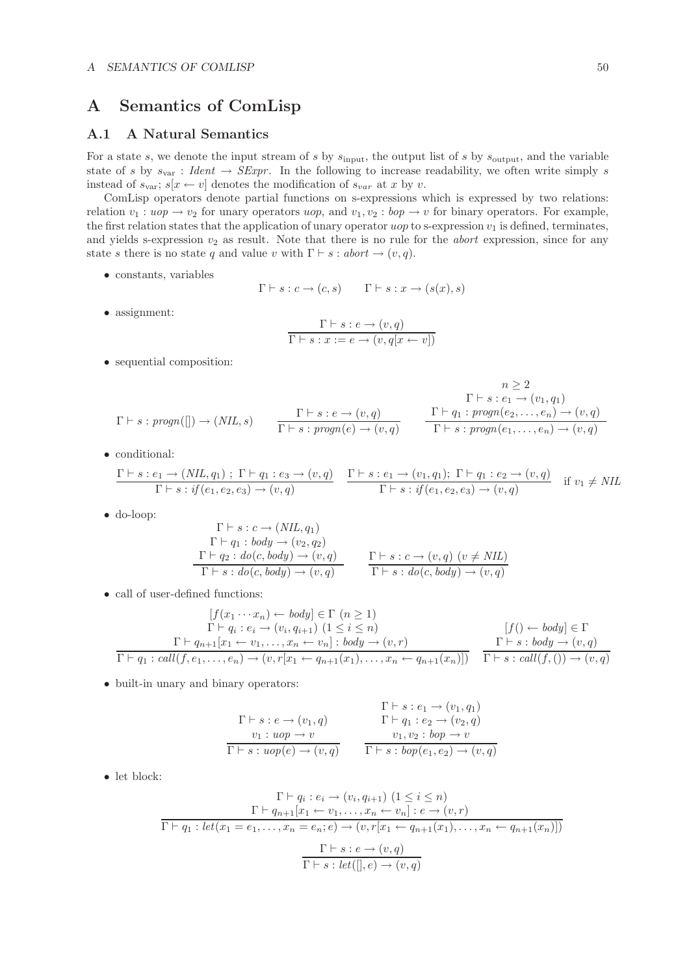## **A Semantics of ComLisp**

## **A.1 A Natural Semantics**

For a state s, we denote the input stream of s by  $s_{\text{input}}$ , the output list of s by  $s_{\text{output}}$ , and the variable state of s by  $s_{\text{var}}$ : *Ident*  $\rightarrow$  *SExpr*. In the following to increase readability, we often write simply s instead of  $s_{\text{var}}$ ;  $s[x \leftarrow v]$  denotes the modification of  $s_{var}$  at x by v.

ComLisp operators denote partial functions on s-expressions which is expressed by two relations: relation  $v_1 : u \circ p \to v_2$  for unary operators uop, and  $v_1, v_2 : b \circ p \to v$  for binary operators. For example, the first relation states that the application of unary operator  $u \circ p$  to s-expression  $v_1$  is defined, terminates, and yields s-expression  $v_2$  as result. Note that there is no rule for the *abort* expression, since for any state s there is no state q and value v with  $\Gamma \vdash s : abort \rightarrow (v, q)$ .

• constants, variables

$$
\Gamma \vdash s : c \to (c, s)
$$
  $\Gamma \vdash s : x \to (s(x), s)$ 

• assignment:

$$
\frac{\Gamma \vdash s : e \to (v, q)}{\Gamma \vdash s : x := e \to (v, q[x \leftarrow v])}
$$

• sequential composition:

$$
\begin{array}{ll}\n & n \geq 2 \\
\Gamma \vdash s : \mathit{progn}(\mathcal{I}) \rightarrow (NIL, s) \\
\frac{\Gamma \vdash s : e \rightarrow (v, q)}{\Gamma \vdash s : \mathit{progn}(e) \rightarrow (v, q)} \\
\frac{\Gamma \vdash g : \mathit{progn}(e_2, \dots, e_n) \rightarrow (v, q)}{\Gamma \vdash s : \mathit{progn}(e_1, \dots, e_n) \rightarrow (v, q)}\n\end{array}
$$

• conditional:

$$
\frac{\Gamma \vdash s : e_1 \to (NIL, q_1) ; \Gamma \vdash q_1 : e_3 \to (v, q)}{\Gamma \vdash s : if (e_1, e_2, e_3) \to (v, q)} \quad \frac{\Gamma \vdash s : e_1 \to (v_1, q_1); \Gamma \vdash q_1 : e_2 \to (v, q)}{\Gamma \vdash s : if (e_1, e_2, e_3) \to (v, q)} \quad \text{if } v_1 \neq NIL
$$

• do-loop:

$$
\Gamma \vdash s : c \rightarrow (NIL, q_1) \n\Gamma \vdash q_1 : body \rightarrow (v_2, q_2) \n\Gamma \vdash q_2 : do(c, body) \rightarrow (v, q) \n\Gamma \vdash s : do(c, body) \rightarrow (v, q) \n\Gamma \vdash s : do(c, body) \rightarrow (v, q)
$$

• call of user-defined functions:

$$
[f(x_1 \cdots x_n) \leftarrow body] \in \Gamma \ (n \ge 1)
$$
  
\n
$$
\Gamma \vdash q_i : e_i \to (v_i, q_{i+1}) \ (1 \le i \le n)
$$
  
\n
$$
\Gamma \vdash q_{n+1}[x_1 \leftarrow v_1, \dots, x_n \leftarrow v_n] : body \to (v, r)
$$
  
\n
$$
\Gamma \vdash q_1 : call(f, e_1, \dots, e_n) \to (v, r[x_1 \leftarrow q_{n+1}(x_1), \dots, x_n \leftarrow q_{n+1}(x_n)])
$$
  
\n
$$
\Gamma \vdash s : body \to (v, q)
$$
  
\n
$$
\Gamma \vdash s : call(f, () \to (v, q)
$$

• built-in unary and binary operators:

$$
\Gamma \vdash s : e \rightarrow (v_1, q) \n v_1 : uop \rightarrow v \n \overline{\Gamma \vdash s : uop(e) \rightarrow (v, q) } \qquad \qquad \Gamma \vdash q_1 : e_2 \rightarrow (v_2, q) \n v_1, v_2 : bop \rightarrow v \n \overline{\Gamma \vdash s : uop(e) \rightarrow (v, q) } \qquad \qquad \overline{\Gamma \vdash s : bop(e_1, e_2) \rightarrow (v, q) }
$$

• let block:

$$
\Gamma \vdash q_i : e_i \to (v_i, q_{i+1}) \ (1 \leq i \leq n)
$$
\n
$$
\Gamma \vdash q_{n+1}[x_1 \leftarrow v_1, \dots, x_n \leftarrow v_n] : e \to (v, r)
$$
\n
$$
\Gamma \vdash q_1 : let (x_1 = e_1, \dots, x_n = e_n; e) \to (v, r[x_1 \leftarrow q_{n+1}(x_1), \dots, x_n \leftarrow q_{n+1}(x_n)])
$$
\n
$$
\Gamma \vdash s : e \to (v, q)
$$
\n
$$
\Gamma \vdash s : let([], e) \to (v, q)
$$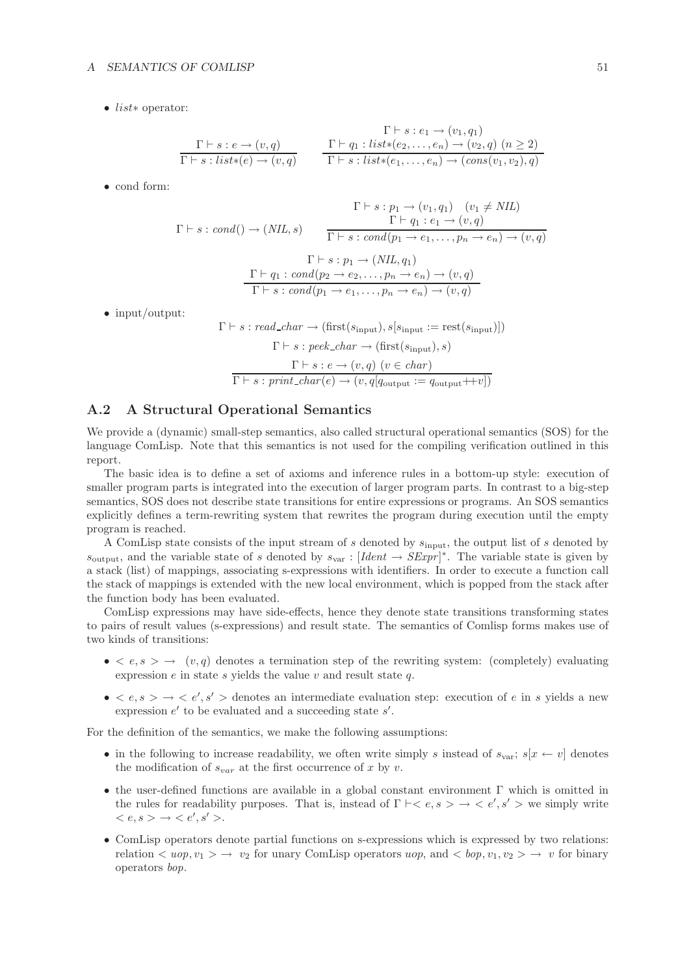• list∗ operator:

$$
\Gamma \vdash s : e_1 \to (v_1, q_1)
$$
\n
$$
\Gamma \vdash s : e_2 \to (v_1, q_1)
$$
\n
$$
\Gamma \vdash s : \text{list} * (e) \to (v, q)
$$
\n
$$
\Gamma \vdash s : \text{list} * (e_2, \dots, e_n) \to (v_2, q) \ (n \ge 2)
$$
\n
$$
\Gamma \vdash s : \text{list} * (e_1, \dots, e_n) \to (\text{cons}(v_1, v_2), q)
$$

• cond form:

$$
\Gamma \vdash s : p_1 \to (v_1, q_1) \quad (v_1 \neq NIL)
$$
  
\n
$$
\Gamma \vdash s : cond() \to (NIL, s) \qquad \frac{\Gamma \vdash q_1 : e_1 \to (v, q)}{\Gamma \vdash s : cond(p_1 \to e_1, \dots, p_n \to e_n) \to (v, q)}
$$
  
\n
$$
\frac{\Gamma \vdash q_1 : cond(p_2 \to e_2, \dots, p_n \to e_n) \to (v, q)}{\Gamma \vdash s : cond(p_1 \to e_1, \dots, p_n \to e_n) \to (v, q)}
$$

• input/output:

$$
\Gamma \vdash s : read\_char \to (\text{first}(s_{\text{input}}), s[s_{\text{input}} := \text{rest}(s_{\text{input}})])
$$

$$
\Gamma \vdash s : peek\_char \to (\text{first}(s_{\text{input}}), s)
$$

$$
\Gamma \vdash s : e \to (v, q) \ (v \in char)
$$

$$
\overline{\Gamma \vdash s : print\_char(e) \to (v, q[a_{\text{output}} := q_{\text{output}} + v])}
$$

## **A.2 A Structural Operational Semantics**

We provide a (dynamic) small-step semantics, also called structural operational semantics (SOS) for the language ComLisp. Note that this semantics is not used for the compiling verification outlined in this report.

The basic idea is to define a set of axioms and inference rules in a bottom-up style: execution of smaller program parts is integrated into the execution of larger program parts. In contrast to a big-step semantics, SOS does not describe state transitions for entire expressions or programs. An SOS semantics explicitly defines a term-rewriting system that rewrites the program during execution until the empty program is reached.

A ComLisp state consists of the input stream of s denoted by  $s_{\text{input}}$ , the output list of s denoted by  $s_{\text{output}}$ , and the variable state of s denoted by  $s_{\text{var}}$ : [*Ident*  $\rightarrow$  *SExpr*]<sup>\*</sup>. The variable state is given by a stack (list) of mappings, associating s-expressions with identifiers. In order to execute a function call the stack of mappings is extended with the new local environment, which is popped from the stack after the function body has been evaluated.

ComLisp expressions may have side-effects, hence they denote state transitions transforming states to pairs of result values (s-expressions) and result state. The semantics of Comlisp forms makes use of two kinds of transitions:

- $\bullet \leq e, s \geq \rightarrow (v, q)$  denotes a termination step of the rewriting system: (completely) evaluating expression  $e$  in state  $s$  yields the value  $v$  and result state  $q$ .
- $\bullet \leq e, s \leq \cdots \leq e', s'$  denotes an intermediate evaluation step: execution of e in s yields a new expression  $e'$  to be evaluated and a succeeding state  $s'$ .

For the definition of the semantics, we make the following assumptions:

- in the following to increase readability, we often write simply s instead of  $s_{\text{var}}$ ;  $s[x \leftarrow v]$  denotes the modification of  $s_{var}$  at the first occurrence of x by v.
- the user-defined functions are available in a global constant environment Γ which is omitted in the rules for readability purposes. That is, instead of  $\Gamma \vdash < e, s > \rightarrow < e', s' >$  we simply write  $\langle e, s \rangle \rightarrow \langle e', s' \rangle.$
- ComLisp operators denote partial functions on s-expressions which is expressed by two relations: relation  $\langle u \circ w, v_1 \rangle \to v_2$  for unary ComLisp operators  $u \circ w$ , and  $\langle \circ w, v_1, v_2 \rangle \to v$  for binary operators *bop*.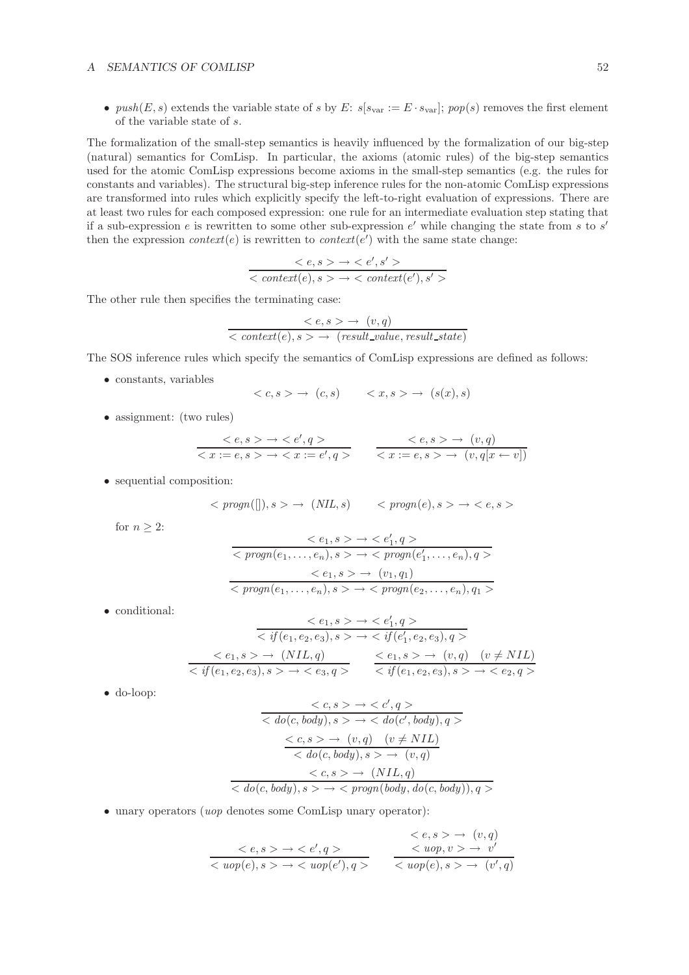•  $push(E, s)$  extends the variable state of s by E:  $s[s_{\text{var}}] := E \cdot s_{\text{var}}$ ;  $pop(s)$  removes the first element of the variable state of s.

The formalization of the small-step semantics is heavily influenced by the formalization of our big-step (natural) semantics for ComLisp. In particular, the axioms (atomic rules) of the big-step semantics used for the atomic ComLisp expressions become axioms in the small-step semantics (e.g. the rules for constants and variables). The structural big-step inference rules for the non-atomic ComLisp expressions are transformed into rules which explicitly specify the left-to-right evaluation of expressions. There are at least two rules for each composed expression: one rule for an intermediate evaluation step stating that if a sub-expression e is rewritten to some other sub-expression  $e'$  while changing the state from s to s' then the expression *context*(*e*) is rewritten to *context*(*e'*) with the same state change:

$$
\frac{ \rightarrow }{<\mathit{context}(e),s> \rightarrow <\mathit{context}(e'),s'>}
$$

The other rule then specifies the terminating case:

$$
\frac{< e, s > \to (v, q)}{< context(e), s > \to (result\_value, result\_state)}
$$

The SOS inference rules which specify the semantics of ComLisp expressions are defined as follows:

• constants, variables

$$
\langle c, s \rangle \to (c, s) \qquad \langle x, s \rangle \to (s(x), s)
$$

• assignment: (two rules)

$$
\begin{array}{ccc}\n< e, s > \rightarrow < e', q > \\
&< x := e, s > \rightarrow < x := e', q > \\
&< x := e, s > \rightarrow (v, q[x \leftarrow v])\n\end{array}
$$

• sequential composition:

$$
\langle \text{ program}([\,]), s \rangle \rightarrow (\text{NIL}, s) \qquad \langle \text{ program}(e), s \rangle \rightarrow \langle e, s \rangle
$$

for  $n \geq 2$ :

$$
\langle e_1, s \rangle \to \langle e'_1, q \rangle
$$
  
\n
$$
\langle progn(e_1, \ldots, e_n), s \rangle \to \langle progn(e'_1, \ldots, e_n), q \rangle
$$
  
\n
$$
\langle e_1, s \rangle \to \langle v_1, q_1 \rangle
$$
  
\n
$$
\langle progn(e_1, \ldots, e_n), s \rangle \to \langle progn(e_2, \ldots, e_n), q_1 \rangle
$$

• conditional:

$$
\begin{array}{rcl}\n & < e_1, s > \to < e'_1, q > \\
 & < if(e_1, e_2, e_3), s > \to < if(e'_1, e_2, e_3), q > \\
 & < e_1, s > \to (NIL, q) < e_1, s > \to (v, q) \quad (v \neq NIL) \\
 & < if(e_1, e_2, e_3), s > \to < e_3, q > \n\end{array}
$$

• do-loop:

$$
\langle c, s \rangle \rightarrow \langle c', q \rangle
$$
  
\n
$$
\langle do(c, body), s \rangle \rightarrow \langle do(c', body), q \rangle
$$
  
\n
$$
\langle c, s \rangle \rightarrow (v, q) \quad (v \neq NIL)
$$
  
\n
$$
\langle do(c, body), s \rangle \rightarrow (v, q)
$$
  
\n
$$
\langle c, s \rangle \rightarrow (NIL, q)
$$
  
\n
$$
\langle do(c, body), s \rangle \rightarrow \langle pragn(body, do(c, body)), q \rangle
$$

• unary operators (*uop* denotes some ComLisp unary operator):

$$
\begin{array}{ccc}\n< e, s \rightarrow \rightarrow < e', q \rightarrow \\
< wop(e), s \rightarrow \rightarrow < wop(e'), q \rightarrow\n\end{array}\n\qquad\n\begin{array}{ccc}\n< e, s \rightarrow \rightarrow & (v, q) \\
< wop, v \rightarrow \rightarrow & v' \\
< wop(e), s \rightarrow \rightarrow & (v', q)\n\end{array}
$$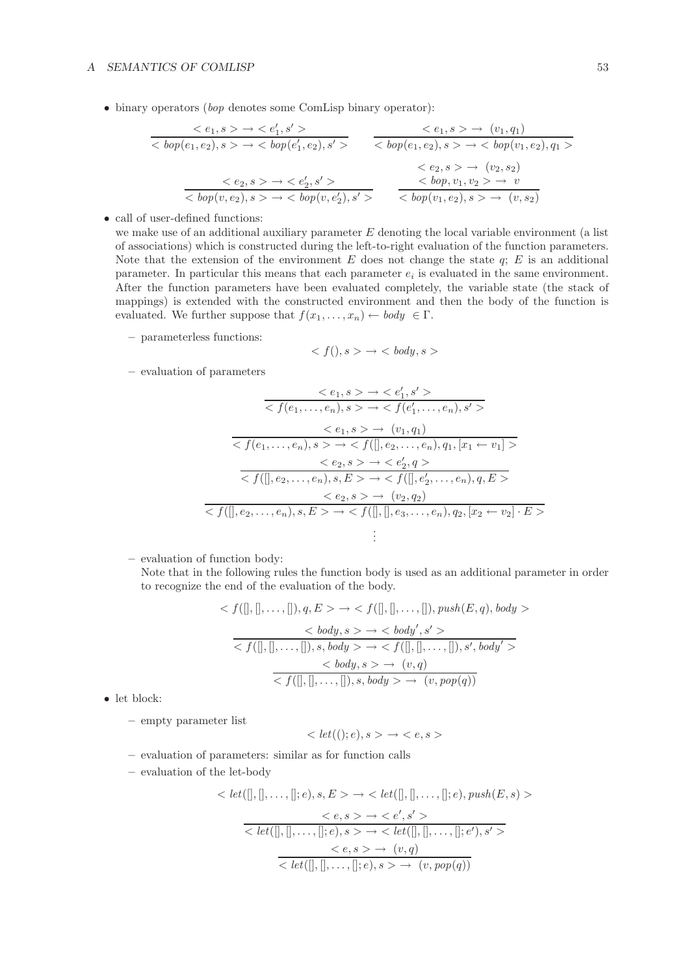• binary operators (*bop* denotes some ComLisp binary operator):

$$
\begin{array}{ccc}\n< e_1, s > \rightarrow < e_1', s' > < e_1, s > \rightarrow (v_1, q_1) \\
< \text{top}(e_1, e_2), s > \rightarrow < \text{top}(e_1', e_2), s' > < \text{top}(e_1, e_2), s > \rightarrow < \text{top}(v_1, e_2), q_1 > \\
&< e_2, s > \rightarrow < \text{top}(e_1, e_2), s > \rightarrow < \text{top}(v_1, e_2) \\
&< e_2, s > \rightarrow < (v_2, s_2) \\
&< \text{top}(v, e_2), s > \rightarrow < \text{top}(v, e_2'), s' > < \text{top}(v_1, e_2), s > \rightarrow (v, s_2)\n\end{array}
$$

• call of user-defined functions:

we make use of an additional auxiliary parameter E denoting the local variable environment (a list of associations) which is constructed during the left-to-right evaluation of the function parameters. Note that the extension of the environment  $E$  does not change the state  $q$ ;  $E$  is an additional parameter. In particular this means that each parameter  $e_i$  is evaluated in the same environment. After the function parameters have been evaluated completely, the variable state (the stack of mappings) is extended with the constructed environment and then the body of the function is evaluated. We further suppose that  $f(x_1,...,x_n) \leftarrow body \in \Gamma$ .

**–** parameterless functions:

$$
\langle f(), s \rangle \to \langle body, s \rangle
$$

**–** evaluation of parameters

$$
\frac{< e_1, s \to \text{< } e_1', s' >}{< f(e_1, \ldots, e_n), s \to \text{< } f(e_1', \ldots, e_n), s' >}{< e_1, s \to \text{< } (e_1, \ldots, e_n), s \to \text{< } (v_1, q_1)} \\
 < e_2, s \to \text{< } f([], e_2, \ldots, e_n), q_1, [x_1 \leftarrow v_1] > \\
 < e_2, s \to \text{< } e_2', q > \\
 < f([], e_2, \ldots, e_n), s, E > \to \text{< } f([], e_2', \ldots, e_n), q, E > \\
 < e_2, s \to \text{< } (v_2, q_2) \\
 < f([], e_2, \ldots, e_n), s, E > \to \text{< } f([], [], e_3, \ldots, e_n), q_2, [x_2 \leftarrow v_2] \cdot E > \\
 > \vdots
$$

**–** evaluation of function body:

Note that in the following rules the function body is used as an additional parameter in order to recognize the end of the evaluation of the body.

$$
\langle f([], [], \ldots, []), q, E \rangle \to \langle f([], [], \ldots, []), push(E, q), body \rangle
$$
  

$$
\langle body, s \rangle \to \langle body', s' \rangle
$$
  

$$
\langle f([], [], \ldots, []), s, body \rangle \to \langle f([], [], \ldots, []), s', body' \rangle
$$
  

$$
\langle body, s \rangle \to (v, q)
$$
  

$$
\langle f([], [], \ldots, []), s, body \rangle \to (v, pop(q))
$$

• let block:

**–** empty parameter list

$$
\langle let ((); e), s \rangle \to \langle e, s \rangle
$$

- **–** evaluation of parameters: similar as for function calls
- **–** evaluation of the let-body

$$
\langle let([],[],\ldots,[],e), s, E \rangle \to \langle let([],[],\ldots,[],e), push(E, s) \rangle
$$
  

$$
\langle e, s \rangle \to \langle e', s' \rangle
$$
  

$$
\langle let([],[],\ldots,[],e), s \rangle \to \langle let([],[],\ldots,[],e'), s' \rangle
$$
  

$$
\langle e, s \rangle \to (v, q)
$$
  

$$
\langle let([],[],\ldots,[],e), s \rangle \to (v, pop(q))
$$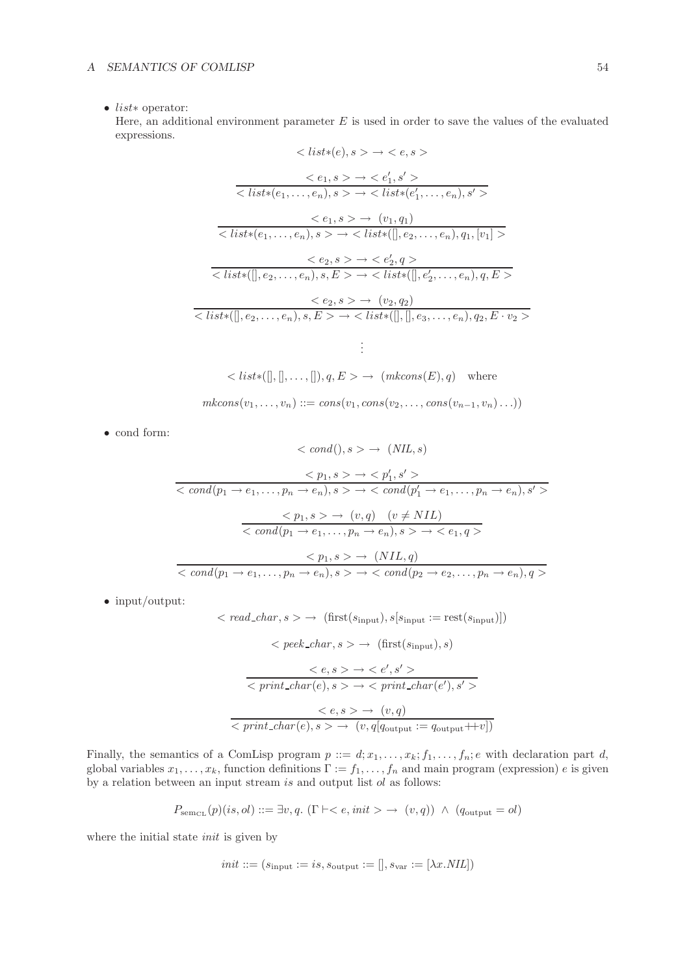### • list∗ operator:

Here, an additional environment parameter  $E$  is used in order to save the values of the evaluated expressions.

$$
\langle list*(e), s \rangle \to \langle e, s \rangle
$$
  
\n
$$
\langle e_1, s \rangle \to \langle e'_1, s' \rangle
$$
  
\n
$$
\langle list*(e_1, \ldots, e_n), s \rangle \to \langle list*(e'_1, \ldots, e_n), s' \rangle
$$
  
\n
$$
\langle e_1, s \rangle \to \langle list*(e'_1, \ldots, e_n), s' \rangle
$$
  
\n
$$
\langle list*(e_1, \ldots, e_n), s \rangle \to \langle list*([], e_2, \ldots, e_n), q_1, [v_1] \rangle
$$
  
\n
$$
\langle e_2, s \rangle \to \langle e'_2, q \rangle
$$
  
\n
$$
\langle list*([], e_2, \ldots, e_n), s, E \rangle \to \langle list([], e'_2, \ldots, e_n), q, E \rangle
$$
  
\n
$$
\langle e_2, s \rangle \to \langle v_2, q_2 \rangle
$$
  
\n
$$
\langle list*([], e_2, \ldots, e_n), s, E \rangle \to \langle list([],[], e_3, \ldots, e_n), q_2, E \cdot v_2 \rangle
$$
  
\n
$$
\vdots
$$

$$
\langle list*([],[],\ldots,[],q,E\rangle \rightarrow (mkcons(E),q) \text{ where}
$$
  

$$
mkcons(v_1,\ldots,v_n) ::= cons(v_1,cons(v_2,\ldots,cons(v_{n-1},v_n)\ldots))
$$

• cond form:

$$
\langle \operatorname{cond}(0), s \rangle \to (\operatorname{NIL}, s)
$$
\n
$$
\langle p_1, s \rangle \to \langle p'_1, s' \rangle
$$
\n
$$
\langle \operatorname{cond}(p_1 \to e_1, \dots, p_n \to e_n), s \rangle \to \langle \operatorname{cond}(p'_1 \to e_1, \dots, p_n \to e_n), s' \rangle
$$
\n
$$
\langle \operatorname{cond}(p_1 \to e_1, \dots, p_n \to e_n), s \rangle \to \langle \operatorname{end}(q_1 \to e_1, \dots, p_n \to e_n), s \rangle \to \langle \operatorname{end}(q_2 \to e_2, \dots, p_n \to e_n), q \rangle
$$
\n
$$
\langle \operatorname{cond}(p_1 \to e_1, \dots, p_n \to e_n), s \rangle \to \langle \operatorname{cond}(p_2 \to e_2, \dots, p_n \to e_n), q \rangle
$$

• input/output:

$$
\langle \text{ read\_char}, s \rangle \rightarrow (\text{first}(s_{\text{input}}), s[s_{\text{input}} := \text{rest}(s_{\text{input}})])
$$
\n
$$
\langle \text{ peek\_char}, s \rangle \rightarrow (\text{first}(s_{\text{input}}), s)
$$
\n
$$
\langle e, s \rangle \rightarrow \langle e', s' \rangle
$$
\n
$$
\langle \text{print\_char}(e), s \rangle \rightarrow \langle \text{print\_char}(e'), s' \rangle
$$
\n
$$
\langle e, s \rangle \rightarrow (v, q)
$$
\n
$$
\langle \text{print\_char}(e), s \rangle \rightarrow (v, q[q_{\text{output}} := q_{\text{output}} + v])
$$

Finally, the semantics of a ComLisp program  $p ::= d; x_1, \ldots, x_k; f_1, \ldots, f_n; e$  with declaration part d, global variables  $x_1, \ldots, x_k$ , function definitions  $\Gamma := f_1, \ldots, f_n$  and main program (expression) e is given by a relation between an input stream is and output list  $ol$  as follows:

$$
P_{\text{sem}_{\text{CL}}}(p)(is,ol) ::= \exists v, q. \ (\Gamma \vdash  \rightarrow (v,q)) \ \land \ (q_{\text{output}} = ol)
$$

where the initial state *init* is given by

$$
init ::= (sinput := is, soutput :=[], svar := [\lambda x. \textit{NIL}])
$$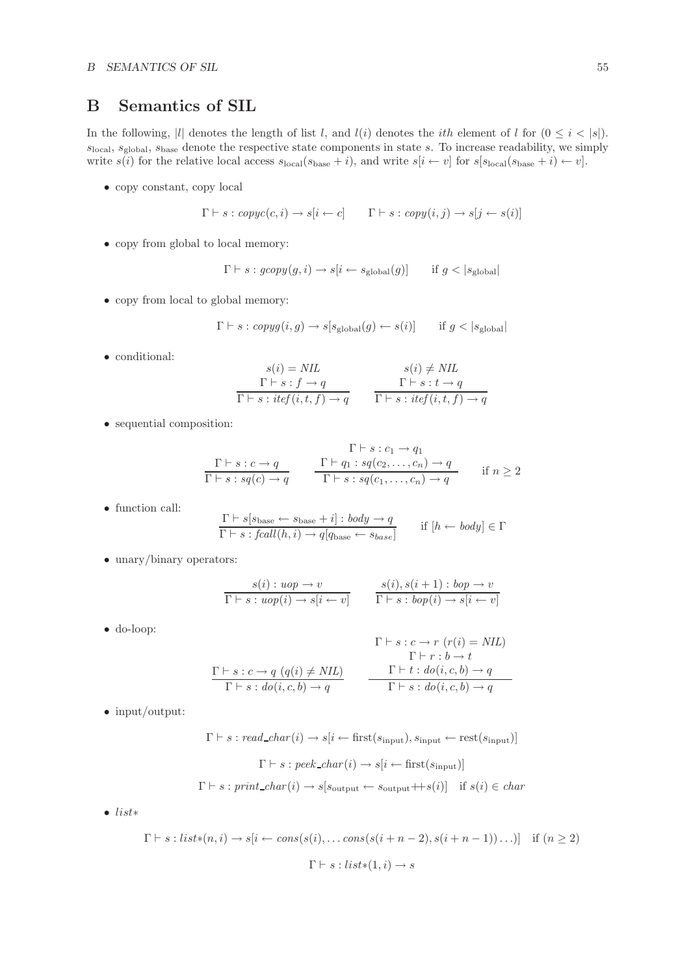## **B Semantics of SIL**

In the following, |l| denotes the length of list l, and  $l(i)$  denotes the *i*th element of l for  $(0 \le i \le |s|)$ .  $s_{\text{local}}$ ,  $s_{\text{global}}$ ,  $s_{\text{base}}$  denote the respective state components in state s. To increase readability, we simply write  $s(i)$  for the relative local access  $s_{\text{local}}(s_{\text{base}} + i)$ , and write  $s[i \leftarrow v]$  for  $s[s_{\text{local}}(s_{\text{base}} + i) \leftarrow v]$ .

• copy constant, copy local

$$
\Gamma \vdash s : copyc(c, i) \rightarrow s[i \leftarrow c] \qquad \Gamma \vdash s : copy(i, j) \rightarrow s[j \leftarrow s(i)]
$$

• copy from global to local memory:

$$
\Gamma \vdash s : gcopy(g, i) \rightarrow s[i \leftarrow s_{\text{global}}(g)] \quad \text{if } g < |s_{\text{global}}|
$$

• copy from local to global memory:

$$
\Gamma \vdash s : \mathit{copyg}(i, g) \rightarrow s[s_{\mathrm{global}}(g) \leftarrow s(i)] \qquad \text{if } g < |s_{\mathrm{global}}|
$$

• conditional:

$$
s(i) = NIL
$$
  
\n
$$
\Gamma \vdash s : f \to q
$$
  
\n
$$
\Gamma \vdash s : t \leftrightarrow q
$$
  
\n
$$
\Gamma \vdash s : t \leftrightarrow q
$$
  
\n
$$
\Gamma \vdash s : t \leftrightarrow q
$$
  
\n
$$
\Gamma \vdash s : t \leftrightarrow q
$$

• sequential composition:

$$
\frac{\Gamma \vdash s : c_1 \to q_1}{\Gamma \vdash s : sq(c) \to q} \qquad \frac{\Gamma \vdash q_1 : sq(c_2, \dots, c_n) \to q}{\Gamma \vdash s : sq(c_1, \dots, c_n) \to q} \qquad \text{if } n \ge 2
$$

• function call:

$$
\frac{\Gamma \vdash s[s_{\text{base}} \leftarrow s_{\text{base}} + i]: \text{body} \rightarrow q}{\Gamma \vdash s : \text{fcall}(h, i) \rightarrow q[q_{\text{base}} \leftarrow s_{\text{base}}]} \quad \text{if } [h \leftarrow \text{body}] \in \Gamma
$$

• unary/binary operators:

$$
\frac{s(i): uop \to v}{\Gamma \vdash s: uop(i) \to s[i \leftarrow v]} \qquad \frac{s(i), s(i+1): bop \to v}{\Gamma \vdash s: bop(i) \to s[i \leftarrow v]}
$$

• do-loop:

$$
\Gamma \vdash s : c \rightarrow r \ (r(i) = NIL)
$$
\n
$$
\Gamma \vdash r : b \rightarrow t
$$
\n
$$
\Gamma \vdash r : b \rightarrow t
$$
\n
$$
\Gamma \vdash s : c \rightarrow q \ (q(i) \neq NIL)
$$
\n
$$
\Gamma \vdash t : do(i, c, b) \rightarrow q
$$
\n
$$
\Gamma \vdash s : do(i, c, b) \rightarrow q
$$

• input/output:

$$
\Gamma \vdash s : read\_char(i) \rightarrow s[i \leftarrow first(s_{input}), s_{input} \leftarrow rest(s_{input})]
$$

$$
\Gamma \vdash s : peek\_char(i) \rightarrow s[i \leftarrow first(s_{input})]
$$

$$
\Gamma \vdash s : print\_char(i) \rightarrow s[s_{output} \leftarrow s_{output} + s(i)] \quad \text{if } s(i) \in char
$$

• list∗

$$
\Gamma \vdash s : \text{list}*(n, i) \to s[i \leftarrow \text{cons}(s(i), \dots \text{cons}(s(i+n-2), s(i+n-1))\dots)] \quad \text{if } (n \ge 2)
$$

$$
\Gamma \vdash s : \text{list}*(1, i) \to s
$$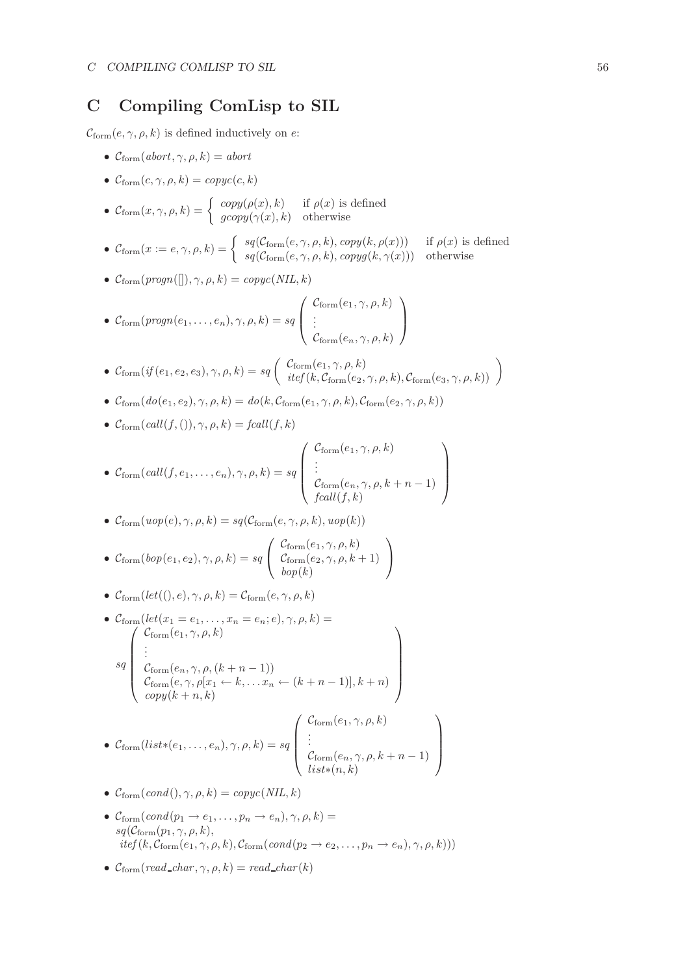## **C Compiling ComLisp to SIL**

 $C_{\text{form}}(e, \gamma, \rho, k)$  is defined inductively on e:

- $\mathcal{C}_{\text{form}}(abort, \gamma, \rho, k) = abort$
- $\mathcal{C}_{\text{form}}(c, \gamma, \rho, k) = \text{copyc}(c, k)$
- $\mathcal{C}_{\text{form}}(x, \gamma, \rho, k) = \begin{cases} \text{copy}(\rho(x), k) & \text{if } \rho(x) \text{ is defined} \\ \text{group}(\gamma(x), k) & \text{otherwise} \end{cases}$
- $\mathcal{C}_{\text{form}}(x := e, \gamma, \rho, k) = \begin{cases} s q(\mathcal{C}_{\text{form}}(e, \gamma, \rho, k), copy(k, \rho(x))) & \text{if } \rho(x) \text{ is defined} \\ s q(\mathcal{C}_{\text{form}}(e, \gamma, \rho, k), copy g(k, \gamma(x))) & \text{otherwise} \end{cases}$
- $\mathcal{C}_{form}(propn([)), \gamma, \rho, k) = copyc(NIL, k)$

• 
$$
C_{\text{form}}(progn(e_1, ..., e_n), \gamma, \rho, k) = sq \begin{pmatrix} C_{\text{form}}(e_1, \gamma, \rho, k) \\ \vdots \\ C_{\text{form}}(e_n, \gamma, \rho, k) \end{pmatrix}
$$

- $\bullet \ \mathcal{C}_{\text{form}}(if(e_1, e_2, e_3), \gamma, \rho, k) = sq\left( \begin{array}{c} \mathcal{C}_{\text{form}}(e_1, \gamma, \rho, k) \\ itef(k, \mathcal{C}_{\text{form}}(e_2, \gamma, \rho, k), \mathcal{C}_{\text{form}}(e_3, \gamma, \rho, k) \end{array} \right)$
- $\mathcal{C}_{\text{form}}(do(e_1, e_2), \gamma, \rho, k) = do(k, \mathcal{C}_{\text{form}}(e_1, \gamma, \rho, k), \mathcal{C}_{\text{form}}(e_2, \gamma, \rho, k))$
- $C_{\text{form}}(\text{call}(f,()), \gamma, \rho, k) = \text{fcall}(f, k)$

• 
$$
C_{\text{form}}(call(f, e_1, ..., e_n), \gamma, \rho, k) = sq \begin{pmatrix} C_{\text{form}}(e_1, \gamma, \rho, k) \\ \vdots \\ C_{\text{form}}(e_n, \gamma, \rho, k + n - 1) \\ \text{fcall}(f, k) \end{pmatrix}
$$

•  $\mathcal{C}_{\text{form}}(u \circ p(e), \gamma, \rho, k) = sq(\mathcal{C}_{\text{form}}(e, \gamma, \rho, k), u \circ p(k))$ 

• 
$$
C_{\text{form}}(bop(e_1, e_2), \gamma, \rho, k) = sq \begin{pmatrix} C_{\text{form}}(e_1, \gamma, \rho, k) \\ C_{\text{form}}(e_2, \gamma, \rho, k+1) \\ bop(k) \end{pmatrix}
$$

- $\mathcal{C}_{\text{form}}(\text{let}((), e), \gamma, \rho, k) = \mathcal{C}_{\text{form}}(e, \gamma, \rho, k)$
- $\mathcal{C}_{\text{form}}(\text{let}(x_1 = e_1, \ldots, x_n = e_n; e), \gamma, \rho, k) =$ *sq*  $\sqrt{ }$  $\overline{\phantom{a}}$  $\mathcal{C}_{\rm form}(e_1,\gamma,\rho,k)$ . . .  $\mathcal{C}_{\text{form}}(e_n, \gamma, \rho, (k+n-1))$  $\mathcal{C}_{\text{form}}(e, \gamma, \rho[x_1 \leftarrow k, \dots x_n \leftarrow (k+n-1)], k+n)$ <br>*copy*( $k+n, k$ )  $\setminus$  $\overline{\phantom{a}}$

• 
$$
C_{\text{form}}(list*(e_1, ..., e_n), \gamma, \rho, k) = sq \begin{pmatrix} C_{\text{form}}(e_1, \gamma, \rho, k) \\ \vdots \\ C_{\text{form}}(e_n, \gamma, \rho, k + n - 1) \\ list*(n, k) \end{pmatrix}
$$

- $\mathcal{C}_{\text{form}}(\text{cond}(), \gamma, \rho, k) = \text{copyc}(NIL, k)$
- $\mathcal{C}_{form}(cond(p_1 \rightarrow e_1, \ldots, p_n \rightarrow e_n), \gamma, \rho, k) =$  $sq(\mathcal{C}_{\text{form}}(p_1, \gamma, \rho, k)),$  $itef(k, \mathcal{C}_{form}(e_1, \gamma, \rho, k), \mathcal{C}_{form}(cond(p_2 \rightarrow e_2, \ldots, p_n \rightarrow e_n), \gamma, \rho, k)))$
- $C_{\text{form}}(\text{read\_char}, \gamma, \rho, k) = \text{read\_char}(k)$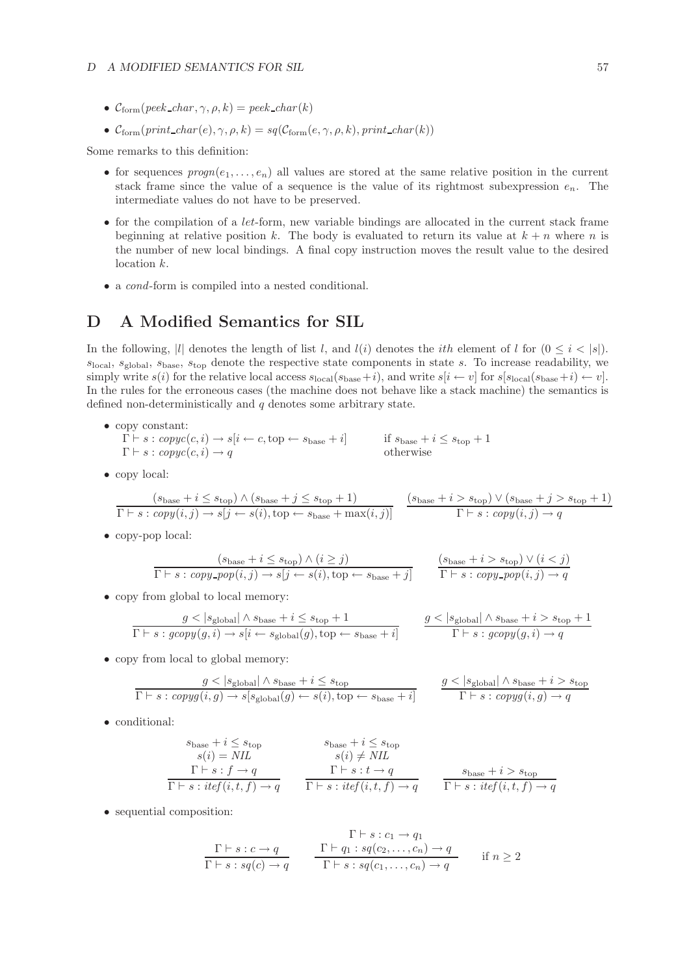- $C_{\text{form}}(peek\_char, \gamma, \rho, k) = peek\_char(k)$
- $\mathcal{C}_{form}(print\_char(e), \gamma, \rho, k) = sq(\mathcal{C}_{form}(e, \gamma, \rho, k), print\_char(k))$

Some remarks to this definition:

- for sequences  $propn(e_1,...,e_n)$  all values are stored at the same relative position in the current stack frame since the value of a sequence is the value of its rightmost subexpression  $e_n$ . The intermediate values do not have to be preserved.
- $\bullet$  for the compilation of a *let*-form, new variable bindings are allocated in the current stack frame beginning at relative position k. The body is evaluated to return its value at  $k + n$  where n is the number of new local bindings. A final copy instruction moves the result value to the desired location k.
- a *cond*-form is compiled into a nested conditional.

## **D A Modified Semantics for SIL**

In the following, |l| denotes the length of list l, and  $l(i)$  denotes the *i*th element of l for  $(0 \le i \le |s|)$ .  $s_{\text{local}}$ ,  $s_{\text{global}}$ ,  $s_{\text{base}}$ ,  $s_{\text{top}}$  denote the respective state components in state s. To increase readability, we simply write  $s(i)$  for the relative local access  $s_{\text{local}}(s_{\text{base}}+i)$ , and write  $s[i \leftarrow v]$  for  $s[s_{\text{local}}(s_{\text{base}}+i) \leftarrow v]$ . In the rules for the erroneous cases (the machine does not behave like a stack machine) the semantics is defined non-deterministically and  $q$  denotes some arbitrary state.

- copy constant:  $\overline{\Gamma} \vdash s : copyc(c, i) \rightarrow s[i \leftarrow c, top \leftarrow s_{base} + i]$  if  $s_{base} + i \leq s_{top} + 1$ <br>  $\Gamma \vdash s : conv(c, i) \rightarrow a$  otherwise  $\Gamma \vdash s : \textit{copyc}(c, i) \rightarrow q$
- copy local:

$$
\frac{(s_{\text{base}} + i \le s_{\text{top}}) \land (s_{\text{base}} + j \le s_{\text{top}} + 1)}{\Gamma \vdash s : copy(i, j) \rightarrow s[j \leftarrow s(i), \text{top} \leftarrow s_{\text{base}} + \max(i, j)]} \quad \frac{(s_{\text{base}} + i > s_{\text{top}}) \lor (s_{\text{base}} + j > s_{\text{top}} + 1)}{\Gamma \vdash s : copy(i, j) \rightarrow q}
$$

• copy-pop local:

$$
\frac{(s_{\text{base}} + i \le s_{\text{top}}) \land (i \ge j)}{\Gamma \vdash s : copy\_pop(i, j) \rightarrow s[j \leftarrow s(i), \text{top} \leftarrow s_{\text{base}} + j]} \qquad \frac{(s_{\text{base}} + i > s_{\text{top}}) \lor (i < j)}{\Gamma \vdash s : copy\_pop(i, j) \rightarrow q}
$$

• copy from global to local memory:

$$
\frac{g < |s_{\text{global}}| \land s_{\text{base}} + i \leq s_{\text{top}} + 1}{\Gamma \vdash s : \text{group}(g, i) \to s[i \leftarrow s_{\text{global}}(g), \text{top} \leftarrow s_{\text{base}} + i]} \qquad \frac{g < |s_{\text{global}}| \land s_{\text{base}} + i > s_{\text{top}} + 1}{\Gamma \vdash s : \text{group}(g, i) \to q}
$$

• copy from local to global memory:

$$
\frac{g < |s_{\text{global}}| \land s_{\text{base}} + i \leq s_{\text{top}}}{\Gamma \vdash s : \mathit{copy}(i, g) \to s[s_{\text{global}}(g) \leftarrow s(i), \text{top} \leftarrow s_{\text{base}} + i]} \qquad \frac{g < |s_{\text{global}}| \land s_{\text{base}} + i > s_{\text{top}}}{\Gamma \vdash s : \mathit{copy}(i, g) \to q}
$$

• conditional:

$$
s_{\text{base}} + i \leq s_{\text{top}}
$$
  
\n
$$
s(i) = NIL
$$
  
\n
$$
\Gamma \vdash s : f \rightarrow q
$$
  
\n
$$
s(i) \neq NIL
$$
  
\n
$$
\Gamma \vdash s : t \rightarrow q
$$
  
\n
$$
s(i) \neq NIL
$$
  
\n
$$
\Gamma \vdash s : t \rightarrow q
$$
  
\n
$$
s_{\text{base}} + i > s_{\text{top}}
$$
  
\n
$$
\Gamma \vdash s : t \rightarrow q
$$
  
\n
$$
\Gamma \vdash s : t \neq f(i, t, f) \rightarrow q
$$
  
\n
$$
\Gamma \vdash s : t \neq f(i, t, f) \rightarrow q
$$

• sequential composition:

$$
\frac{\Gamma \vdash s : c_1 \to q_1}{\Gamma \vdash s : sq(c) \to q} \qquad \frac{\Gamma \vdash q_1 : sq(c_2, \dots, c_n) \to q}{\Gamma \vdash s : sq(c_1, \dots, c_n) \to q} \qquad \text{if } n \ge 2
$$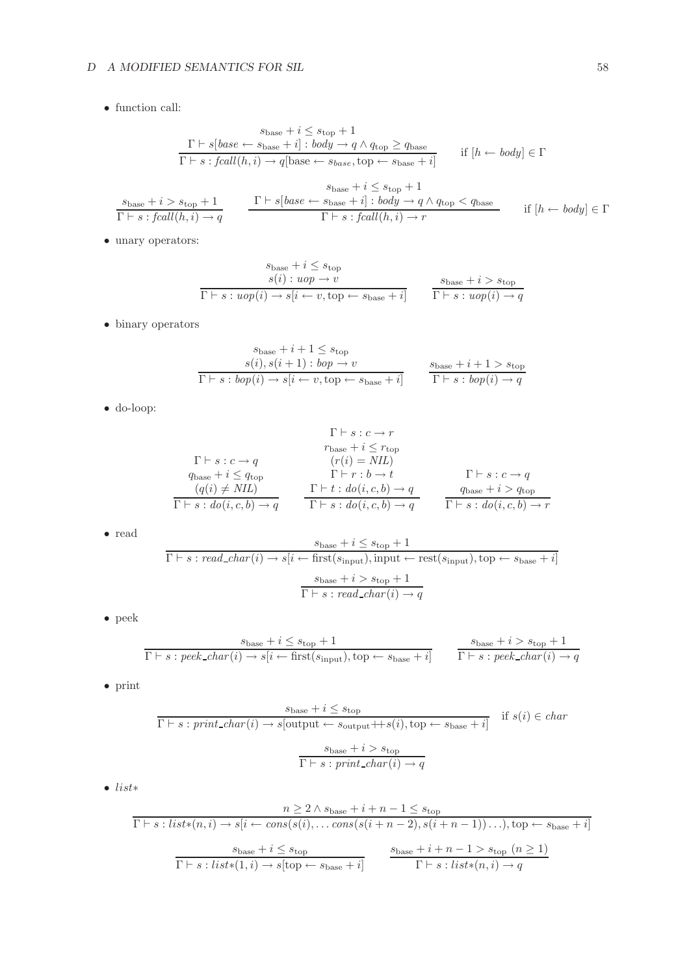## *D A MODIFIED SEMANTICS FOR SIL* 58

• function call:

$$
s_{\text{base}} + i \leq s_{\text{top}} + 1
$$
\n
$$
\frac{\Gamma \vdash s[\text{base} \leftarrow s_{\text{base}} + i] : \text{body} \rightarrow q \land q_{\text{top}} \geq q_{\text{base}}}{\Gamma \vdash s : \text{fcall}(h, i) \rightarrow q[\text{base} \leftarrow s_{\text{base}}, \text{top} \leftarrow s_{\text{base}} + i]} \quad \text{if } [h \leftarrow \text{body}] \in \Gamma
$$
\n
$$
\frac{s_{\text{base}} + i > s_{\text{top}} + 1}{\Gamma \vdash s : \text{fcall}(h, i) \rightarrow q} \quad \frac{\Gamma \vdash s[\text{base} \leftarrow s_{\text{base}} + i] : \text{body} \rightarrow q \land q_{\text{top}} < q_{\text{base}}}{\Gamma \vdash s : \text{fcall}(h, i) \rightarrow r} \quad \text{if } [h \leftarrow \text{body}] \in \Gamma
$$

 $\bullet\,$  unary operators:

$$
s_{\text{base}} + i \leq s_{\text{top}}
$$
  
\n
$$
s(i) : uop \to v
$$
  
\n
$$
\overline{\Gamma \vdash s : uop(i) \to s[i \leftarrow v, \text{top} \leftarrow s_{\text{base}} + i]} \qquad \overline{\Gamma \vdash s : uop(i) \to q}
$$

 $\bullet\,$  binary operators

$$
s_{\text{base}} + i + 1 \le s_{\text{top}}
$$
\n
$$
s(i), s(i+1): \text{top} \to v
$$
\n
$$
\overline{\Gamma \vdash s : \text{top}(i) \to s[i \leftarrow v, \text{top} \leftarrow s_{\text{base}} + i]}
$$
\n
$$
s_{\text{base}} + i + 1 > s_{\text{top}}
$$
\n
$$
\overline{\Gamma \vdash s : \text{top}(i) \to q}
$$

• do-loop:

$$
\Gamma \vdash s : c \to r
$$
\n
$$
\Gamma \vdash s : c \to q
$$
\n
$$
q_{base} + i \leq q_{top}
$$
\n
$$
(q(i) \neq NIL)
$$
\n
$$
\Gamma \vdash r : b \to t
$$
\n
$$
\Gamma \vdash r : b \to t
$$
\n
$$
\Gamma \vdash s : c \to q
$$
\n
$$
(q(i) \neq NIL)
$$
\n
$$
\Gamma \vdash s : do(i, c, b) \to q
$$
\n
$$
\Gamma \vdash s : d o(i, c, b) \to q
$$
\n
$$
\Gamma \vdash s : d o(i, c, b) \to q
$$
\n
$$
\Gamma \vdash s : d o(i, c, b) \to r
$$

• read

$$
\cfrac{s_{\text{base}}+i \leq s_{\text{top}}+1}{\Gamma \vdash s : \textit{read\_char}(i) \rightarrow s [i \leftarrow \text{first}(s_{\text{input}}), \text{input} \leftarrow \text{rest}(s_{\text{input}}), \text{top} \leftarrow s_{\text{base}}+i]} \\[12pt] \cfrac{s_{\text{base}}+i > s_{\text{top}}+1}{\Gamma \vdash s : \textit{read\_char}(i) \rightarrow q} \\
$$

• peek

$$
\frac{s_{\text{base}} + i \le s_{\text{top}} + 1}{\Gamma \vdash s : \text{peak\_char}(i) \rightarrow s[i \leftarrow \text{first}(s_{\text{input}}), \text{top} \leftarrow s_{\text{base}} + i]} \qquad \frac{s_{\text{base}} + i > s_{\text{top}} + 1}{\Gamma \vdash s : \text{peak\_char}(i) \rightarrow q}
$$

• print

$$
s_{\text{base}} + i \le s_{\text{top}}
$$
  

$$
\Gamma \vdash s : print\_char(i) \to s[\text{output} \leftarrow s_{\text{output}} + s(i), \text{top} \leftarrow s_{\text{base}} + i] \quad \text{if } s(i) \in char
$$
  

$$
\frac{s_{\text{base}} + i > s_{\text{top}}}{\Gamma \vdash s : print\_char(i) \to q}
$$

 $\bullet$   $\;list*$ 

$$
\frac{n \geq 2 \land s_{\text{base}} + i + n - 1 \leq s_{\text{top}}}{\Gamma \vdash s : \text{list} * (n, i) \rightarrow s [i \leftarrow \text{cons}(s(i), \dots \text{cons}(s(i+n-2), s(i+n-1)) \dots), \text{top} \leftarrow s_{\text{base}} + i]}
$$

$$
\frac{s_{\text{base}} + i \leq s_{\text{top}}}{\Gamma \vdash s : \text{list} * (1, i) \rightarrow s [\text{top} \leftarrow s_{\text{base}} + i]} \qquad \frac{s_{\text{base}} + i + n - 1 > s_{\text{top}} \ (n \geq 1)}{\Gamma \vdash s : \text{list} * (n, i) \rightarrow q}
$$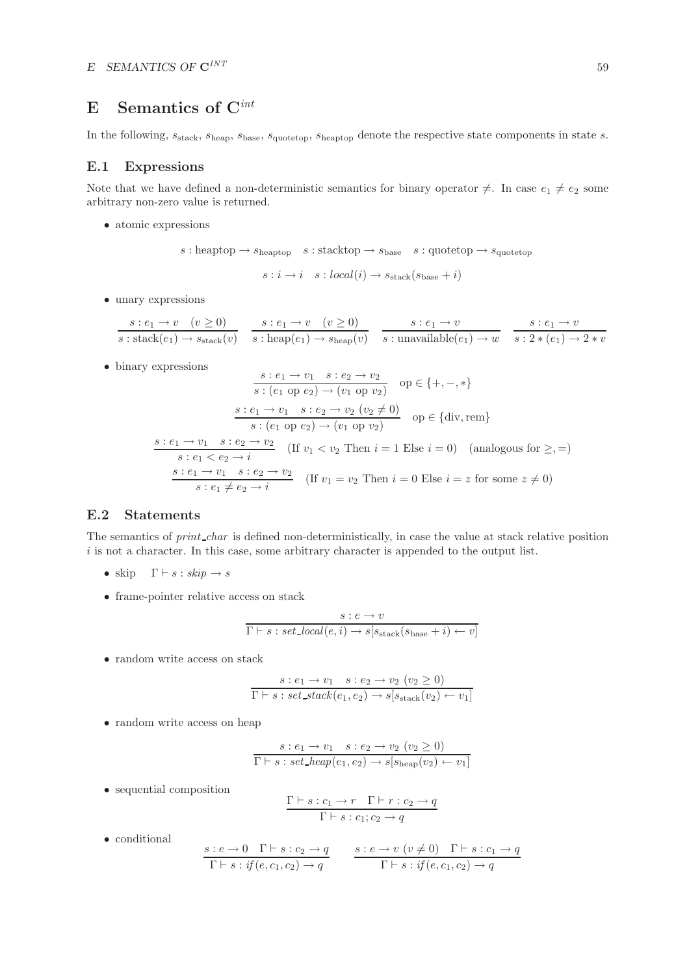# **E Semantics of C***int*

In the following,  $s_{\text{stack}}$ ,  $s_{\text{heap}}$ ,  $s_{\text{base}}$ ,  $s_{\text{quotetop}}$ ,  $s_{\text{heaptop}}$  denote the respective state components in state s.

## **E.1 Expressions**

Note that we have defined a non-deterministic semantics for binary operator  $\neq$ . In case  $e_1 \neq e_2$  some arbitrary non-zero value is returned.

• atomic expressions

$$
s: \text{heaptop} \rightarrow s_{\text{heaptop}} \quad s: \text{stacktop} \rightarrow s_{\text{base}} \quad s: \text{quotetop} \rightarrow s_{\text{quotetop}}
$$
  
 $s: i \rightarrow i \quad s: \text{local}(i) \rightarrow s_{\text{stack}}(s_{\text{base}} + i)$ 

• unary expressions

$$
\frac{s: e_1 \to v \quad (v \ge 0)}{s: \text{stack}(e_1) \to s_{\text{stack}}(v)} \quad \frac{s: e_1 \to v \quad (v \ge 0)}{s: \text{heap}(e_1) \to s_{\text{heap}}(v)} \quad \frac{s: e_1 \to v}{s: \text{unavailable}(e_1) \to w} \quad \frac{s: e_1 \to v}{s: 2 * (e_1) \to 2 * v}
$$

• binary expressions

$$
\frac{s: e_1 \rightarrow v_1 \quad s: e_2 \rightarrow v_2}{s: (e_1 \text{ op } e_2) \rightarrow (v_1 \text{ op } v_2)} \quad \text{op} \in \{+, -, *\}
$$
\n
$$
\frac{s: e_1 \rightarrow v_1 \quad s: e_2 \rightarrow v_2 \quad (v_2 \neq 0)}{s: (e_1 \text{ op } e_2) \rightarrow (v_1 \text{ op } v_2)} \quad \text{op} \in \{\text{div}, \text{rem}\}
$$
\n
$$
\frac{s: e_1 \rightarrow v_1 \quad s: e_2 \rightarrow v_2}{s: e_1 < e_2 \rightarrow i} \quad (\text{If } v_1 < v_2 \text{ Then } i = 1 \text{ Else } i = 0) \quad (\text{analogous for } \geq, =)
$$
\n
$$
\frac{s: e_1 \rightarrow v_1 \quad s: e_2 \rightarrow v_2}{s: e_1 \neq e_2 \rightarrow i} \quad (\text{If } v_1 = v_2 \text{ Then } i = 0 \text{ Else } i = z \text{ for some } z \neq 0)
$$

## **E.2 Statements**

The semantics of *print char* is defined non-deterministically, in case the value at stack relative position  $i$  is not a character. In this case, some arbitrary character is appended to the output list.

- skip  $\Gamma \vdash s : skip \rightarrow s$
- frame-pointer relative access on stack

$$
\cfrac{s: e \to v}{\Gamma \vdash s: set\_local(e, i) \to s[s_{\text{stack}}(s_{\text{base}} + i) \gets v]}
$$

• random write access on stack

$$
\frac{s : e_1 \to v_1 \quad s : e_2 \to v_2 \ (v_2 \ge 0)}{\Gamma \vdash s : set\_stack(e_1, e_2) \to s[s_{stack}(v_2) \leftarrow v_1]}
$$

• random write access on heap

$$
\frac{s : e_1 \to v_1 \quad s : e_2 \to v_2 \ (v_2 \ge 0)}{\Gamma \vdash s : set\_heap(e_1, e_2) \to s[s_{\text{heap}}(v_2) \leftarrow v_1]}
$$

• sequential composition

$$
\frac{\Gamma \vdash s : c_1 \to r \quad \Gamma \vdash r : c_2 \to q}{\Gamma \vdash s : c_1; c_2 \to q}
$$

• conditional

$$
\frac{s:e\to 0 \quad \Gamma\vdash s:e_2\to q}{\Gamma\vdash s: if(e,c_1,c_2)\to q} \qquad \frac{s:e\to v\ (v\neq 0) \quad \Gamma\vdash s:c_1\to q}{\Gamma\vdash s: if(e,c_1,c_2)\to q}
$$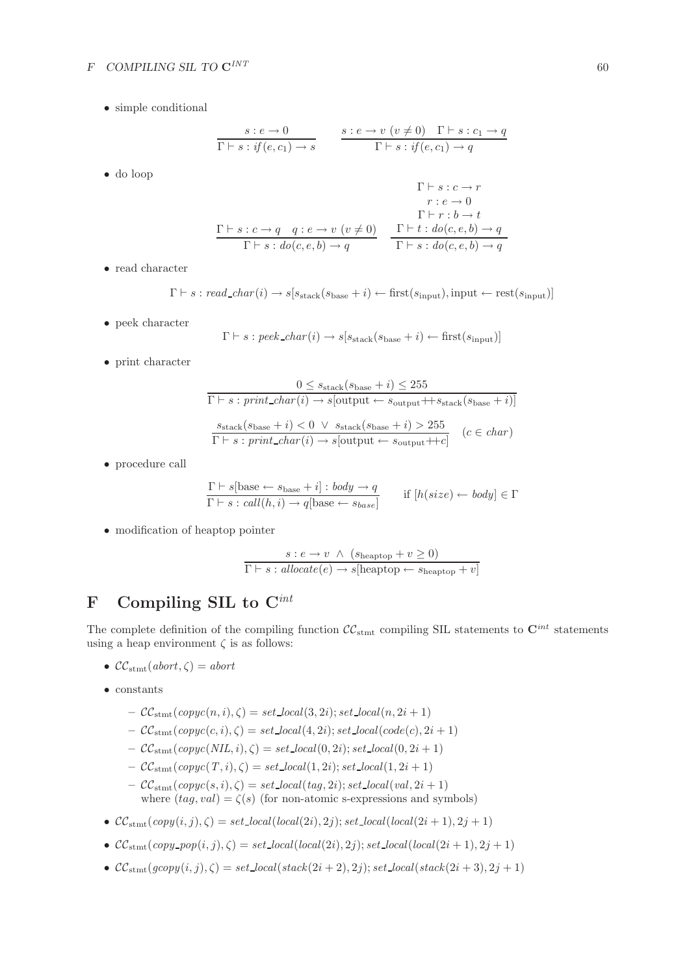### *F COMPILING SIL TO* **C***INT* 60

• simple conditional

$$
\begin{array}{ccc}\ns: e \to 0 & s : e \to v \ (v \neq 0) & \Gamma \vdash s : c_1 \to q \\
\hline\n\Gamma \vdash s : \textit{if}(e, c_1) \to s & \Gamma \vdash s : \textit{if}(e, c_1) \to q\n\end{array}
$$
\n
$$
\begin{array}{ccc}\n\Gamma \vdash s : c \to r \\
r : e \to 0 \\
\Gamma \vdash r : b \to t\n\end{array}
$$

$$
\frac{\Gamma\vdash s:c\rightarrow q\quad q:e\rightarrow v\ (v\neq 0)}{\Gamma\vdash s:do(c,e,b)\rightarrow q}\quad \frac{\Gamma\vdash t:do(c,e,b)\rightarrow q}{\Gamma\vdash s:do(c,e,b)\rightarrow q}
$$

• read character

• do loop

 $\Gamma \vdash s : \text{read\_char}(i) \rightarrow s[s_{\text{stack}}(s_{\text{base}} + i) \leftarrow \text{first}(s_{\text{input}}), \text{input} \leftarrow \text{rest}(s_{\text{input}})$ 

• peek character

$$
\Gamma \vdash s : \text{peek\_char}(i) \rightarrow s[s_{\text{stack}}(s_{\text{base}} + i) \leftarrow \text{first}(s_{\text{input}})]
$$

• print character

$$
0 \leq s_{\text{stack}}(s_{\text{base}} + i) \leq 255
$$
  

$$
\Gamma \vdash s : print\_char(i) \to s[\text{output} \leftarrow s_{\text{output}} + t s_{\text{stack}}(s_{\text{base}} + i)]
$$
  

$$
\frac{s_{\text{stack}}(s_{\text{base}} + i) < 0 \lor s_{\text{stack}}(s_{\text{base}} + i) > 255}{\Gamma \vdash s : print\_char(i) \to s[\text{output} \leftarrow s_{\text{output}} + t c]} \quad (c \in char)
$$

• procedure call

$$
\frac{\Gamma \vdash s[\text{base} \leftarrow s_{\text{base}} + i] : body \rightarrow q}{\Gamma \vdash s : call(h, i) \rightarrow q[\text{base} \leftarrow s_{\text{base}}]} \quad \text{if } [h(size) \leftarrow body] \in \Gamma
$$

• modification of heaptop pointer

$$
\frac{s : e \to v \land (s_{\text{heattop}} + v \ge 0)}{\Gamma \vdash s : \text{allocate}(e) \to s[\text{heattop} \gets s_{\text{heattop}} + v]}
$$

## **F Compiling SIL to C***int*

The complete definition of the compiling function  $\mathcal{CC}_{\text{stmt}}$  compiling SIL statements to  $\mathbf{C}^{int}$  statements using a heap environment  $\zeta$  is as follows:

- $\mathcal{CC}_{\text{stmt}}(abort,\zeta)=abort$
- constants
	- $\mathcal{CC}_{\text{stmt}}(copyc(n, i), \zeta) = set\_local(3, 2i); set\_local(n, 2i + 1)$
	- $-CC_{\text{stmt}}(copyc(c, i), \zeta) = set\_local(4, 2i); set\_local(code(c), 2i + 1)$
	- $\mathcal{CC}_{\text{stmt}}(copyc(NIL, i), \zeta) = set\_local(0, 2i); set\_local(0, 2i + 1)$
	- $-CC_{\text{stmt}}(copyc(T, i), \zeta) = set\_local(1, 2i); set\_local(1, 2i + 1)$
	- $\mathcal{CC}_{\text{stmt}}(copyc(s, i), \zeta) = set\_local(tag, 2i); set\_local(val, 2i + 1)$ where  $(tag, val) = \zeta(s)$  (for non-atomic s-expressions and symbols)
- $CC_{\text{stmt}}(copy(i, j), \zeta) = set\_local(local(2i), 2j); set\_local(local(2i + 1), 2j + 1)$
- $CC_{\text{stmt}}(copy\_pop(i, j), \zeta) = set\_local(local(2i), 2j); set\_local(local(2i + 1), 2j + 1)$
- $CC_{\text{stmt}}(gcopy(i, j), \zeta) = set\_local(state(2i + 2), 2j); set\_local(state(2i + 3), 2j + 1)$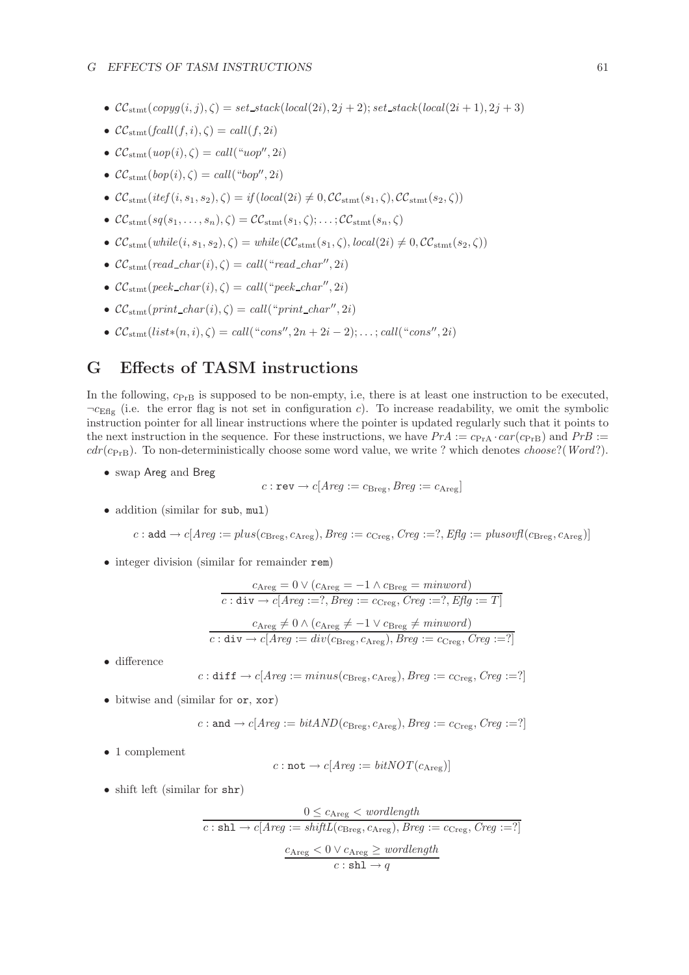- $CC_{\text{stmt}}(copy(i, j), \zeta) = set\_stack(local(2i), 2j + 2); set\_stack(local(2i + 1), 2j + 3)$
- $\mathcal{CC}_{\text{stmt}}(fcall(f, i), \zeta) = call(f, 2i)$
- $\mathcal{CC}_{\text{stmt}}(uop(i), \zeta) = \text{call}("uop", 2i)$
- $\mathcal{CC}_{\text{stmt}}(bop(i), \zeta) = \text{call}("bop", 2i)$
- $CC_{\text{stmt}}(itef(i, s_1, s_2), \zeta) = if(local(2i) \neq 0, CC_{\text{stmt}}(s_1, \zeta), CC_{\text{stmt}}(s_2, \zeta))$
- $\mathcal{CC}_{\text{stmt}}(sq(s_1,\ldots,s_n), \zeta) = \mathcal{CC}_{\text{stmt}}(s_1,\zeta); \ldots; \mathcal{CC}_{\text{stmt}}(s_n,\zeta)$
- $CC_{\text{stmt}}(\text{while}(i, s_1, s_2), \zeta) = \text{while}(CC_{\text{stmt}}(s_1, \zeta), \text{local}(2i) \neq 0, CC_{\text{stmt}}(s_2, \zeta))$
- $CC_{\text{stmt}}(\text{read\_char}(i), \zeta) = \text{call}("read\_char", 2i)$
- $CC_{\text{stmt}}(peek\_char(i), \zeta) = call("peek\_char", 2i)$
- $CC_{\text{stmt}}(print\_char(i), \zeta) = call("print\_char", 2i)$
- $\mathcal{CC}_{\text{stmt}}(list*(n, i), \zeta) = \text{call}("cons", 2n + 2i 2); \ldots; \text{call}("cons", 2i)$

## **G Effects of TASM instructions**

In the following,  $c_{PrB}$  is supposed to be non-empty, i.e, there is at least one instruction to be executed,  $\neg c_{\text{Eflg}}$  (i.e. the error flag is not set in configuration c). To increase readability, we omit the symbolic instruction pointer for all linear instructions where the pointer is updated regularly such that it points to the next instruction in the sequence. For these instructions, we have  $PrA := c_{PrA} \cdot car(c_{PrB})$  and  $PrB :=$  $cdr(c_{PrB})$ . To non-deterministically choose some word value, we write ? which denotes *choose*?(*Word*?).

• swap Areg and Breg

$$
c: \texttt{rev} \rightarrow c[Arg := c_{\text{Breg}}, Breg := c_{\text{Areg}}]
$$

• addition (similar for sub, mul)

$$
c: \mathsf{add} \to c[ \mathit{Areg} := \mathit{plus}(c_{\text{Breg}}, c_{\text{Areg}}), \mathit{Breg} := c_{\text{Creg}}, \mathit{Creg} := ?, \mathit{Effg} := \mathit{plusovfl}(c_{\text{Breg}}, c_{\text{Areg}})]
$$

• integer division (similar for remainder rem)

$$
c_{\text{Areg}} = 0 \lor (c_{\text{Areg}} = -1 \land c_{\text{Breg}} = \text{minword})
$$
  

$$
\overline{c : \text{div} \rightarrow c[\text{Areg} := ?, \text{Breg} := c_{\text{Creg}}, \text{Creg} := ?, \text{Efg} := T]}
$$
  

$$
c_{\text{Areg}} \neq 0 \land (c_{\text{Areg}} \neq -1 \lor c_{\text{Breg}} \neq \text{minword})
$$

$$
\overline{c: \text{div} \rightarrow c[Area := div(c_{\text{Breg}}, c_{\text{Areg}}), Breg := c_{\text{Creg}}, Creg := ?]}
$$

• difference

$$
c: \text{diff} \rightarrow c[Area := minus(c_{\text{Breg}}, c_{\text{Areg}}), Breg := c_{\text{Creg}}, Creg :=?]
$$

• bitwise and (similar for or, xor)

$$
c: \texttt{and} \rightarrow c[Area := bitAND(c_{\text{Breg}}, c_{\text{Areg}}), Breg := c_{\text{Creg}}, Creg := ?]
$$

• 1 complement

$$
c: \mathtt{not} \rightarrow c[Areg := bitNOT(c_{\mathrm{Areg}})]
$$

• shift left (similar for shr)

$$
0 \leq c_{\text{Areg}} < \text{wordlength}
$$
\n
$$
c: \text{sh1} \to c[\text{Areg} := \text{shiftL}(c_{\text{Breg}}, c_{\text{Areg}}), \text{Breg} := c_{\text{Creg}}, \text{Creg} := ?]
$$
\n
$$
\text{Areg} < 0 \lor c_{\text{Areg}} \geq \text{wordlength}
$$
\n
$$
c: \text{sh1} \to q
$$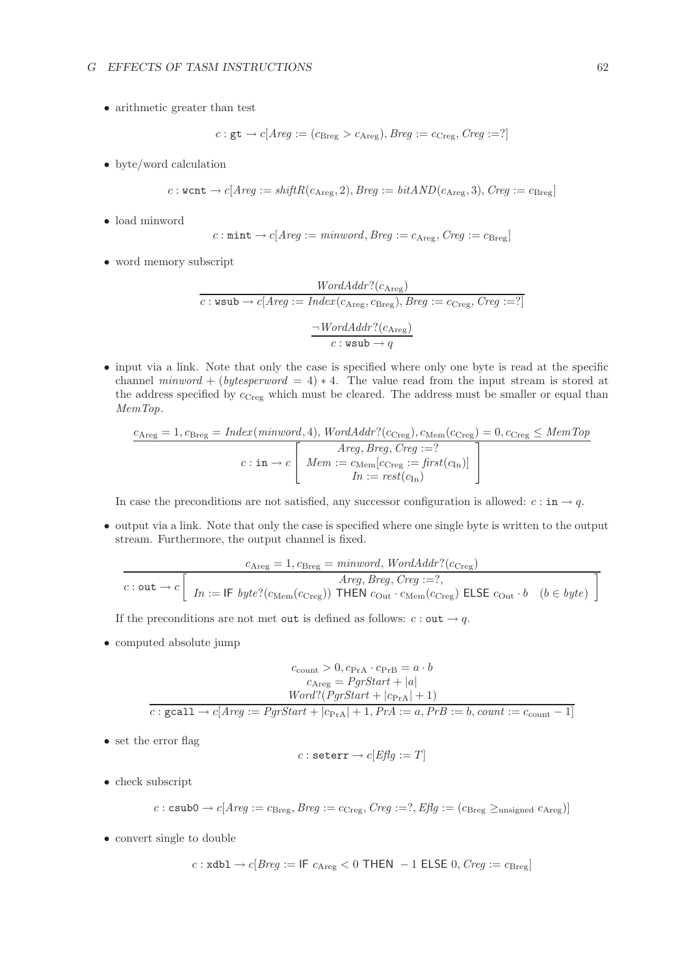• arithmetic greater than test

$$
c: \mathsf{gt} \rightarrow c[Arg := (c_{\text{Breg}} > c_{\text{Areg}}), Breg := c_{\text{Creg}}, Creg := ?]
$$

• byte/word calculation

$$
c: \text{wcnt} \rightarrow c[Area := shiftR(c_{\text{Areg}}, 2), Breg := bitAND(c_{\text{Areg}}, 3), Creg := c_{\text{Breg}}]
$$

• load minword

$$
c: \mathtt{mint} \rightarrow c[Areg := \textit{minword}, \textit{Breg} := c_{\text{Areg}}, \textit{Creg} := c_{\text{Breg}}]
$$

• word memory subscript

$$
WordAddr?(c_{\text{Areg}})
$$
  

$$
c : \text{wsub} \rightarrow c[Area := Index(c_{\text{Areg}}, c_{\text{Breg}}), Breg := c_{\text{Creg}}, Creg := ?]
$$
  

$$
\frac{\neg WordAddr?(c_{\text{Areg}})}{c : \text{wsub} \rightarrow q}
$$

• input via a link. Note that only the case is specified where only one byte is read at the specific channel *minword* + (*bytesperword* = 4)  $*$  4. The value read from the input stream is stored at the address specified by  $c_{Creg}$  which must be cleared. The address must be smaller or equal than *MemTop*.

$$
c_{\text{Areg}} = 1, c_{\text{Breg}} = \text{Index}(\text{minword}, 4), \text{WordAddr?}(c_{\text{Creg}}), c_{\text{Mem}}(c_{\text{Creg}}) = 0, c_{\text{Creg}} \le \text{MemTop}
$$
\n
$$
c: \text{in} \to c \left[ \begin{array}{c} \text{Areg}, \text{Breg}, \text{Creg} := ?\\ \text{Mem} := c_{\text{Mem}}[c_{\text{Creg}} := \text{first}(c_{\text{In}})]\\ \text{In} := \text{rest}(c_{\text{In}}) \end{array} \right]
$$

In case the preconditions are not satisfied, any successor configuration is allowed:  $c : \text{in} \rightarrow q$ .

• output via a link. Note that only the case is specified where one single byte is written to the output stream. Furthermore, the output channel is fixed.

$$
\cfrac{c_{\text{Areg}} = 1, c_{\text{Breg}} = \text{minword}, \text{WordAddr?}(c_{\text{Creg}})}{\text{Arg}, \text{Breg}, \text{Creg} := ?},
$$
\n
$$
c: \text{out} \rightarrow c \left[ \text{ In} := \text{IF } byte?(c_{\text{Mem}}(c_{\text{Creg}})) \text{ THEN } c_{\text{Out}} \cdot c_{\text{Mem}}(c_{\text{Creg}}) \text{ ELSE } c_{\text{Out}} \cdot b \quad (b \in byte) \right]
$$

If the preconditions are not met out is defined as follows:  $c : \text{out} \rightarrow q$ .

• computed absolute jump

$$
c_{\text{count}} > 0, c_{\text{Pr}} \cdot c_{\text{Pr}} = a \cdot b
$$

$$
c_{\text{Areg}} = PgrStart + |a|
$$

$$
Word?(PgrStart + |c_{\text{Pr}}| + 1)
$$

$$
c: \text{gcd1} \rightarrow c[Area := PgrStart + |c_{\text{Pr}}| + 1, PrA := a, PrB := b, count := c_{\text{count}} - 1]
$$

• set the error flag

$$
c: \mathtt{seterr} \rightarrow c[{\mathit{Effg}} := T]
$$

• check subscript

$$
c: \texttt{csub0} \rightarrow c[Area := c_{\text{Breg}}, Breg := c_{\text{Creg}}, Creg :=?, Efg := (c_{\text{Breg}} \geq_{\text{unsigned}} c_{\text{Areg}})]
$$

• convert single to double

$$
c: \text{xdbl} \rightarrow c[Breg := \text{IF } c_{\text{Areg}} < 0 \text{ THEN } -1 \text{ ELSE } 0, \text{Creg} := c_{\text{Breg}}]
$$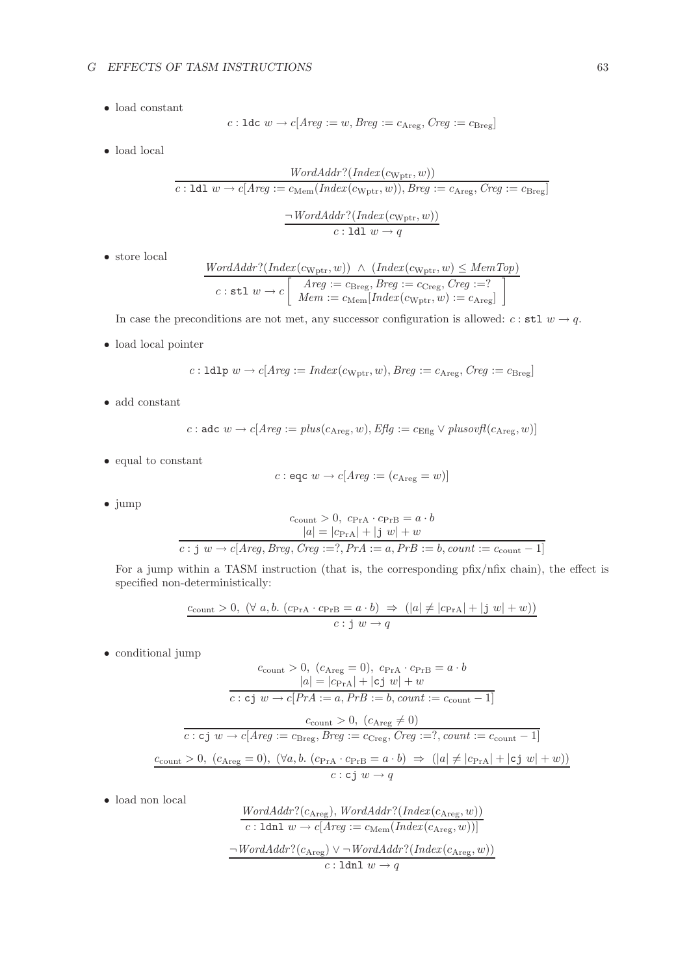• load constant

$$
c: \text{Idc } w \to c[Arg := w, Breg := c_{\text{Areg}}, Creg := c_{\text{Breg}}]
$$

 $\bullet\,$  load local

$$
\frac{WordAddr?(Index(c_{Wptr}, w))}{c:1d1 w \rightarrow c[Areg := c_{Mem}(Index(c_{Wptr}, w)), Breg := c_{Areg}, Creg := c_{Breg}]}
$$

$$
\frac{\neg WordAddr?(Index(c_{Wptr}, w))}{c:1d1 w \rightarrow q}
$$

• store local

$$
\frac{WordAddr?(Index(c_{Wptr}, w)) \ \land \ (Index(c_{Wptr}, w) \le MemTop)}{c : \texttt{stl } w \to c} \left[\begin{array}{c} \textit{Areg} := c_{\text{Breg}}, \textit{Breg} := c_{\text{Creg}}, \textit{Creg} := ?\\ \textit{Mem} := c_{\text{Mem}}[\textit{Index}(c_{Wptr}, w) := c_{\text{Areg}}] \end{array}\right]
$$

In case the preconditions are not met, any successor configuration is allowed:  $c : \texttt{stl} \ w \rightarrow q$ .

 $\bullet\,$  load local pointer

$$
c: \text{Idlp } w \to c[ \text{Arg} := \text{Index}(c_{\text{Wptr}}, w), \text{Breg} := c_{\text{Areg}}, \text{Creg} := c_{\text{Breg}}]
$$

• add constant

$$
c: \text{adc } w \to c[Area := plus(c_{\text{Areg}}, w), \text{Effg} := c_{\text{Efig}} \lor \text{plus} \text{ovfl}(c_{\text{Areg}}, w)]
$$

 $\bullet\,$  equal to constant

$$
c: \texttt{eqc} \ w \to c[Arg := (c_{\text{Areg}} = w)]
$$

• jump

$$
c_{\text{count}} > 0, c_{\text{PrA}} \cdot c_{\text{PrB}} = a \cdot b
$$

$$
|a| = |c_{\text{PrA}}| + |j w| + w
$$

$$
c : j w \to c[Area, Breg, Creg := ?, PrA := a, PrB := b, count := c_{\text{count}} - 1]
$$

For a jump within a TASM instruction (that is, the corresponding pfix/nfix chain), the effect is specified non-deterministically:

$$
\frac{c_{\text{count}} > 0, (\forall a, b. (c_{\text{PrA}} \cdot c_{\text{PrB}} = a \cdot b) \Rightarrow (|a| \neq |c_{\text{PrA}}| + |j w| + w))}{c : j w \rightarrow q}
$$

• conditional jump

$$
c_{\text{count}} > 0, (c_{\text{Areg}} = 0), c_{\text{PrA}} \cdot c_{\text{PrB}} = a \cdot b
$$
\n
$$
|a| = |c_{\text{PrA}}| + |c \text{ j } w| + w
$$
\n
$$
\overline{c : c \text{ j } w \rightarrow c[PrA := a, PrB := b, count := c_{\text{count}} - 1]}
$$
\n
$$
c_{\text{count}} > 0, (c_{\text{Areg}} \neq 0)
$$
\n
$$
\overline{c : c \text{ j } w \rightarrow c[Areg := c_{\text{Breg}}, Breg := c_{\text{Creg}}, Creg := 7, count := c_{\text{count}} - 1]}
$$
\n
$$
\underline{c_{\text{count}} > 0}, (c_{\text{Areg}} = 0), (\forall a, b. (c_{\text{PrA}} \cdot c_{\text{PrB}} = a \cdot b) \Rightarrow (|a| \neq |c_{\text{PrA}}| + |c \text{ j } w| + w))
$$
\n
$$
\overline{c : c \text{ j } w \rightarrow q}
$$

• load non local

$$
\frac{WordAddr?(c_{\text{Areg}}), WordAddr?(Index(c_{\text{Areg}}, w))}{c: 1 \text{dn } w \rightarrow c[Areg := c_{\text{Mem}}(Index(c_{\text{Areg}}, w))]}
$$

$$
\neg WordAddr?(c_{\text{Areg}}) \lor \neg WordAddr?(Index(c_{\text{Areg}}, w))
$$

$$
c: 1 \text{dn } w \rightarrow q
$$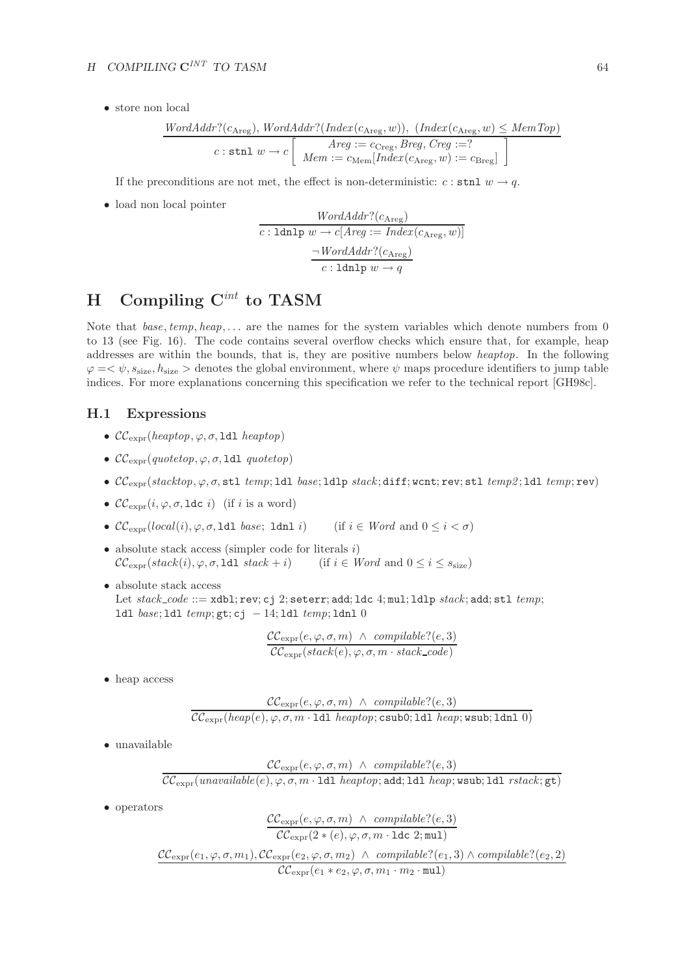• store non local

$$
\frac{WordAddr?(c_{\text{Areg}}), WordAddr?(Index(c_{\text{Areg}}, w)), (Index(c_{\text{Areg}}, w) \le MemTop)}{c : \text{stnl } w \to c \left[\begin{array}{c} \text{Areg} := c_{\text{Creg}}, \text{Breg}, \text{Creg} := ?\\ \text{Mem} = c_{\text{Mem}}[Index(c_{\text{Areg}}, w) := c_{\text{Breg}} \end{array}\right]}
$$

If the preconditions are not met, the effect is non-deterministic:  $c : \text{stnl } w \rightarrow q$ .

• load non local pointer

$$
\frac{WordAddr?(c_{\text{Areg}})}{c:\text{Idnlp }w \to c[Area := Index(c_{\text{Areg}}, w)]}
$$

$$
\frac{\neg WordAddr?(c_{\text{Areg}})}{c:\text{Idnlp }w \to q}
$$

# **H Compiling C***int* **to TASM**

Note that *base*, *temp*, *heap*,... are the names for the system variables which denote numbers from 0 to 13 (see Fig. 16). The code contains several overflow checks which ensure that, for example, heap addresses are within the bounds, that is, they are positive numbers below *heaptop*. In the following  $\varphi = \langle \psi, s_{\text{size}}, h_{\text{size}} \rangle$  denotes the global environment, where  $\psi$  maps procedure identifiers to jump table indices. For more explanations concerning this specification we refer to the technical report [GH98c].

## **H.1 Expressions**

- $\mathcal{CC}_{\text{expr}}(heaptop, \varphi, \sigma, \text{Idl} \; heaptop)$
- $\mathcal{CC}_{\text{expr}}(quotetop, \varphi, \sigma, \text{1d1} quotetop)$
- CCexpr(*stacktop*, ϕ, σ, stl *temp*; ldl *base*; ldlp *stack* ; diff; wcnt; rev; stl *temp2* ; ldl *temp*; rev)
- $\mathcal{CC}_{\text{expr}}(i, \varphi, \sigma, \text{1dc } i)$  (if i is a word)
- $\mathcal{CC}_{\text{expr}}(local(i), \varphi, \sigma, \text{1d1 } base; \text{1dnl } i)$  (if  $i \in Word$  and  $0 \leq i < \sigma$ )
- absolute stack access (simpler code for literals  $i$ )  $\mathcal{CC}_{\text{expr}}(stack(i), \varphi, \sigma, \text{1d1} stack + i)$  (if  $i \in Word$  and  $0 \leq i \leq s_{\text{size}}$ )
- absolute stack access Let *stack code* ::= xdbl; rev; cj 2; seterr; add; ldc 4; mul; ldlp *stack*; add; stl *temp*; ldl *base*; ldl *temp*; gt; cj − 14; ldl *temp*; ldnl 0

$$
\frac{\mathcal{CC}_{\text{expr}}(e, \varphi, \sigma, m) \ \wedge \ \text{compilable?}(e, 3)}{\mathcal{CC}_{\text{expr}}(\text{stack}(e), \varphi, \sigma, m \cdot \text{stack\_code})}
$$

• heap access

$$
\frac{\mathcal{CC}_{\text{expr}}(e, \varphi, \sigma, m) \ \wedge \ \text{complable?}(e, 3)}{\mathcal{CC}_{\text{expr}}(\text{heap}(e), \varphi, \sigma, m \cdot \text{1dl \} \text{heaptop}; \text{csub0}; \text{1dl \} \text{heap}; \text{wsub}; \text{1dn1 } 0)}
$$

• unavailable

$$
\mathcal{CC}_{\text{expr}}(e, \varphi, \sigma, m) \ \wedge \ \textit{compilable?}(e, 3) \mathcal{CC}_{\text{expr}}(\textit{unavailable}(e), \varphi, \sigma, m \cdot \text{1dl} \ \textit{heaptp}; \text{add}; 1dl \ \textit{heap}; \text{wsub}; 1dl \ \textit{rstack}; \text{gt})
$$

• operators

$$
\frac{\mathcal{CC}_{\text{expr}}(e, \varphi, \sigma, m) \ \wedge \ \text{compile?}(e, 3)}{\mathcal{CC}_{\text{expr}}(2 * (e), \varphi, \sigma, m \cdot \text{1dc } 2; \text{mul})}
$$
\n
$$
\frac{\mathcal{CC}_{\text{expr}}(e_1, \varphi, \sigma, m_1), \mathcal{CC}_{\text{expr}}(e_2, \varphi, \sigma, m_2) \ \wedge \ \text{compile?}(e_1, 3) \ \wedge \ \text{compile?}(e_2, 2)}{\mathcal{CC}_{\text{expr}}(e_1 * e_2, \varphi, \sigma, m_1 \cdot m_2 \cdot \text{mul})}
$$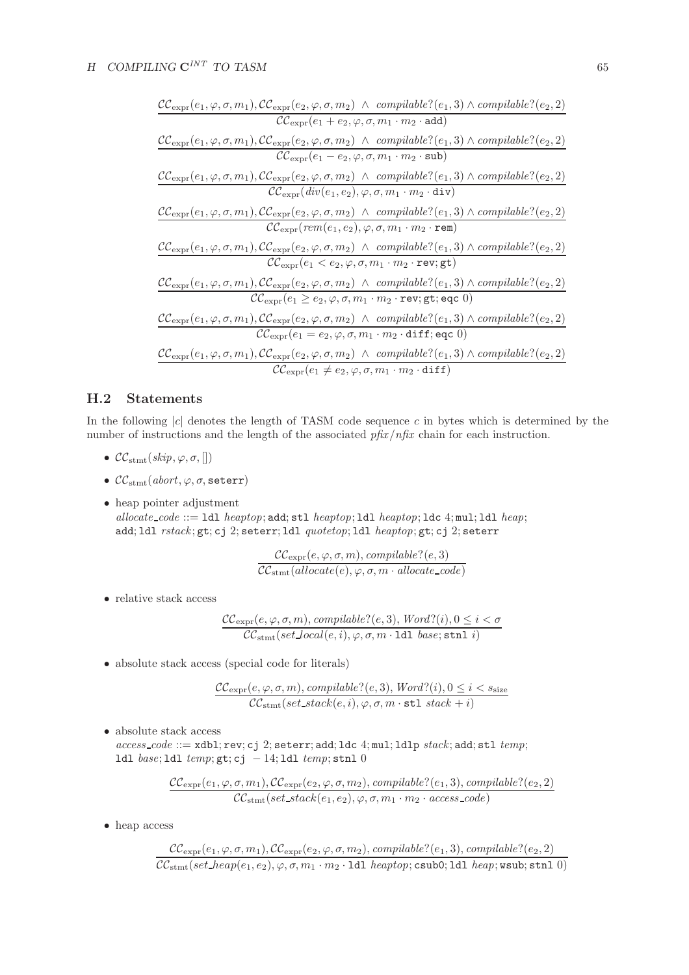$$
\frac{\mathcal{CC}_{\text{expr}}(e_1, \varphi, \sigma, m_1), \mathcal{CC}_{\text{expr}}(e_2, \varphi, \sigma, m_2) \wedge \text{compilable?}(e_1, 3) \wedge \text{compilable?}(e_2, 2)}{\mathcal{CC}_{\text{expr}}(e_1 + e_2, \varphi, \sigma, m_1 \cdot m_2 \cdot \text{add})}
$$
\n
$$
\frac{\mathcal{CC}_{\text{expr}}(e_1, \varphi, \sigma, m_1), \mathcal{CC}_{\text{expr}}(e_2, \varphi, \sigma, m_2) \wedge \text{compilable?}(e_1, 3) \wedge \text{compilable?}(e_2, 2)}{\mathcal{CC}_{\text{expr}}(e_1 - e_2, \varphi, \sigma, m_1 \cdot m_2 \cdot \text{sub})}
$$
\n
$$
\frac{\mathcal{CC}_{\text{expr}}(e_1, \varphi, \sigma, m_1), \mathcal{CC}_{\text{expr}}(e_2, \varphi, \sigma, m_2) \wedge \text{compilable?}(e_1, 3) \wedge \text{compilable?}(e_2, 2)}{\mathcal{CC}_{\text{expr}}(div(e_1, e_2), \varphi, \sigma, m_1 \cdot m_2 \cdot \text{div})}
$$
\n
$$
\frac{\mathcal{CC}_{\text{expr}}(e_1, \varphi, \sigma, m_1), \mathcal{CC}_{\text{expr}}(e_2, \varphi, \sigma, m_2) \wedge \text{compilable?}(e_1, 3) \wedge \text{compilable?}(e_2, 2)}{\mathcal{CC}_{\text{expr}}(e_1, e_2), \varphi, \sigma, m_1 \cdot m_2 \cdot \text{rem}}
$$
\n
$$
\frac{\mathcal{CC}_{\text{expr}}(e_1, \varphi, \sigma, m_1), \mathcal{CC}_{\text{expr}}(e_2, \varphi, \sigma, m_2) \wedge \text{compilable?}(e_1, 3) \wedge \text{compilable?}(e_2, 2)}{\mathcal{CC}_{\text{expr}}(e_1 < e_2, \varphi, \sigma, m_1 \cdot m_2 \cdot \text{rev}; \text{gt})}
$$
\n
$$
\frac{\mathcal{C}_{\text{C}_{\text{expr}}}(e_1, \varphi, \sigma, m_1), \mathcal{
$$

## **H.2 Statements**

In the following  $|c|$  denotes the length of TASM code sequence  $c$  in bytes which is determined by the number of instructions and the length of the associated *pfix*/*nfix* chain for each instruction.

- $\mathcal{CC}_{\text{stmt}}(\text{skip}, \varphi, \sigma, []$
- $\mathcal{CC}_{\text{stmt}}(abort, \varphi, \sigma, \text{seterr})$

• heap pointer adjustment *allocate code* ::= ldl *heaptop*; add; stl *heaptop*; ldl *heaptop*; ldc 4; mul; ldl *heap*; add; ldl *rstack* ; gt; cj 2; seterr; ldl *quotetop*; ldl *heaptop*; gt; cj 2; seterr

$$
\frac{\mathcal{CC}_{\text{expr}}(e, \varphi, \sigma, m), \text{compilable?}(e, 3)}{\mathcal{CC}_{\text{stmt}}(allocate(e), \varphi, \sigma, m \cdot allocate\_code)}
$$

• relative stack access

$$
\mathcal{CC}_{\text{expr}}(e, \varphi, \sigma, m), \text{compilable?}(e, 3), \text{Word?}(i), 0 \le i < \sigma
$$
  

$$
\mathcal{CC}_{\text{stmt}}(\text{set\_local}(e, i), \varphi, \sigma, m \cdot \text{1dl} \text{ base}; \text{stnl } i)
$$

• absolute stack access (special code for literals)

$$
\frac{\mathcal{CC}_{\text{expr}}(e, \varphi, \sigma, m), \text{compilable?}(e, 3), \text{Word?}(i), 0 \le i < s_{\text{size}}}{\mathcal{CC}_{\text{stmt}}(\text{set\_stack}(e, i), \varphi, \sigma, m \cdot \texttt{st1} \text{ stack} + i)}
$$

 $\bullet\,$  absolute stack access

*access code* ::= xdbl; rev; cj 2; seterr; add; ldc 4; mul; ldlp *stack*; add; stl *temp*; ldl *base*; ldl *temp*; gt; cj − 14; ldl *temp*; stnl 0

$$
\frac{\text{CC}_{\text{expr}}(e_1, \varphi, \sigma, m_1), \text{CC}_{\text{expr}}(e_2, \varphi, \sigma, m_2), \text{compilable?}(e_1, 3), \text{compilable?}(e_2, 2)}{\text{CC}_{\text{stmt}}(\text{set\_stack}(e_1, e_2), \varphi, \sigma, m_1 \cdot m_2 \cdot \text{access\_code})}
$$

• heap access

 $\mathcal{CC}_{\mathrm{expr}}(e_1, \varphi, \sigma, m_1), \mathcal{CC}_{\mathrm{expr}}(e_2, \varphi, \sigma, m_2),$  *compilable*? $(e_1, 3),$  *compilable*? $(e_2, 2)$  $\mathcal{CC}_{\text{stmt}}(set\_heap(e_1, e_2), \varphi, \sigma, m_1 \cdot m_2 \cdot \texttt{ldl}~heaptop; \texttt{csub0}; \texttt{ldl}~heap; \texttt{wsub}; \texttt{stnl}~0)$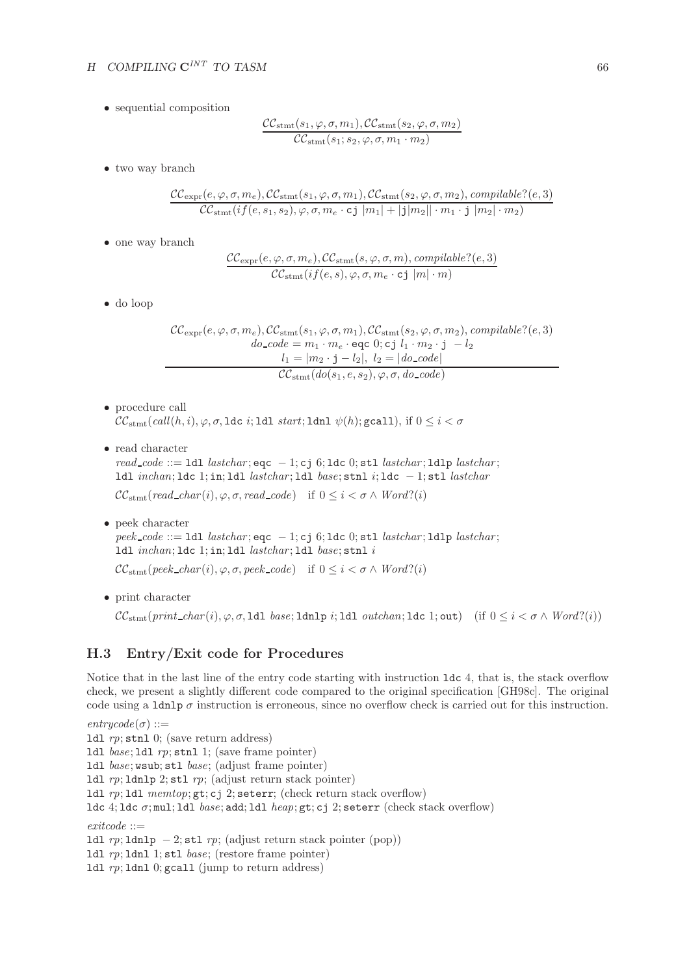• sequential composition

$$
\frac{\mathcal{CC}_{\text{stmt}}(s_1, \varphi, \sigma, m_1), \mathcal{CC}_{\text{stmt}}(s_2, \varphi, \sigma, m_2)}{\mathcal{CC}_{\text{stmt}}(s_1; s_2, \varphi, \sigma, m_1 \cdot m_2)}
$$

• two way branch

$$
\frac{\mathcal{CC}_{\text{expr}}(e, \varphi, \sigma, m_e), \mathcal{CC}_{\text{stmt}}(s_1, \varphi, \sigma, m_1), \mathcal{CC}_{\text{stmt}}(s_2, \varphi, \sigma, m_2), \text{compilable?}(e, 3)}{\mathcal{CC}_{\text{stmt}}(if(e, s_1, s_2), \varphi, \sigma, m_e \cdot \text{cj} |m_1| + |j|m_2|| \cdot m_1 \cdot j |m_2| \cdot m_2)}
$$

• one way branch

$$
\mathcal{CC}_{\text{expr}}(e, \varphi, \sigma, m_e), \mathcal{CC}_{\text{stmt}}(s, \varphi, \sigma, m), \text{compilable?}(e, 3) \mathcal{CC}_{\text{stmt}}(if(e, s), \varphi, \sigma, m_e \cdot \text{cj } |m| \cdot m)
$$

• do loop

$$
\mathcal{CC}_{\text{expr}}(e, \varphi, \sigma, m_e), \mathcal{CC}_{\text{stmt}}(s_1, \varphi, \sigma, m_1), \mathcal{CC}_{\text{stmt}}(s_2, \varphi, \sigma, m_2), \text{compilable?}(e, 3)
$$
\n
$$
do \text{.code} = m_1 \cdot m_e \cdot \text{eqc } 0; \text{cj } l_1 \cdot m_2 \cdot \text{j } - l_2
$$
\n
$$
l_1 = |m_2 \cdot \text{j} - l_2|, \ l_2 = |do \text{.code}|
$$
\n
$$
\mathcal{CC}_{\text{stmt}}(do(s_1, e, s_2), \varphi, \sigma, do \text{.code})
$$

- procedure call  $\mathcal{CC}_{\text{stmt}}(\text{call}(h, i), \varphi, \sigma, \text{Idc } i; \text{Idl } \text{start}; \text{Idnl } \psi(h); \text{gcall}), \text{ if } 0 \leq i < \sigma$
- read character

*read code* ::= ldl *lastchar* ; eqc − 1; cj 6; ldc 0; stl *lastchar* ; ldlp *lastchar* ; ldl *inchan*; ldc 1; in; ldl *lastchar* ; ldl *base*; stnl i; ldc − 1; stl *lastchar*

 $CC_{\text{stmt}}(\text{read\_char}(i), \varphi, \sigma, \text{read\_code})$  if  $0 \leq i < \sigma \wedge \text{Word}(i)$ 

• peek character *peek code* ::= ldl *lastchar* ; eqc − 1; cj 6; ldc 0; stl *lastchar* ; ldlp *lastchar* ; ldl *inchan*; ldc 1; in; ldl *lastchar* ; ldl *base*; stnl i

 $CC_{\text{stmt}}(\text{peak\_char}(i), \varphi, \sigma, \text{peak\_code})$  if  $0 \leq i \leq \sigma \wedge \text{Word}(i)$ 

• print character

 $CC_{\text{stmt}}(print\_char(i), \varphi, \sigma, 1$ dl *base*; 1dnlp *i*; 1dl *outchan*; 1dc 1; out) (if  $0 \leq i < \sigma \wedge Word$ ?(i))

## **H.3 Entry/Exit code for Procedures**

Notice that in the last line of the entry code starting with instruction ldc 4, that is, the stack overflow check, we present a slightly different code compared to the original specification [GH98c]. The original code using a ldnlp  $\sigma$  instruction is erroneous, since no overflow check is carried out for this instruction.

 $entrycode(\sigma) ::=$ ldl *rp*; stnl 0; (save return address) ldl *base*; ldl *rp*; stnl 1; (save frame pointer) ldl *base*; wsub; stl *base*; (adjust frame pointer) ldl *rp*; ldnlp 2; stl *rp*; (adjust return stack pointer) ldl *rp*; ldl *memtop*; gt; cj 2; seterr; (check return stack overflow) ldc 4; ldc σ; mul; ldl *base*; add; ldl *heap*; gt; cj 2; seterr (check stack overflow) *exitcode* ::= ldl *rp*; ldnlp − 2; stl *rp*; (adjust return stack pointer (pop)) ldl *rp*; ldnl 1; stl *base*; (restore frame pointer)

ldl *rp*; ldnl 0; gcall (jump to return address)